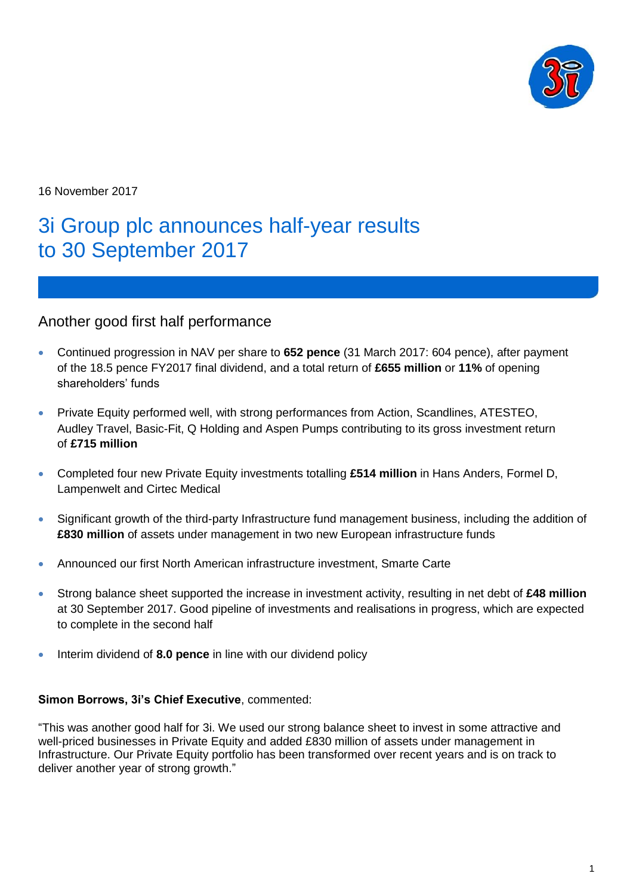

16 November 2017

# 3i Group plc announces half-year results to 30 September 2017

## Another good first half performance

- Continued progression in NAV per share to **652 pence** (31 March 2017: 604 pence), after payment of the 18.5 pence FY2017 final dividend, and a total return of **£655 million** or **11%** of opening shareholders' funds
- Private Equity performed well, with strong performances from Action, Scandlines, ATESTEO, Audley Travel, Basic-Fit, Q Holding and Aspen Pumps contributing to its gross investment return of **£715 million**
- Completed four new Private Equity investments totalling **£514 million** in Hans Anders, Formel D, Lampenwelt and Cirtec Medical
- Significant growth of the third-party Infrastructure fund management business, including the addition of **£830 million** of assets under management in two new European infrastructure funds
- Announced our first North American infrastructure investment, Smarte Carte
- Strong balance sheet supported the increase in investment activity, resulting in net debt of **£48 million** at 30 September 2017. Good pipeline of investments and realisations in progress, which are expected to complete in the second half
- Interim dividend of **8.0 pence** in line with our dividend policy

### **Simon Borrows, 3i's Chief Executive**, commented:

"This was another good half for 3i. We used our strong balance sheet to invest in some attractive and well-priced businesses in Private Equity and added £830 million of assets under management in Infrastructure. Our Private Equity portfolio has been transformed over recent years and is on track to deliver another year of strong growth."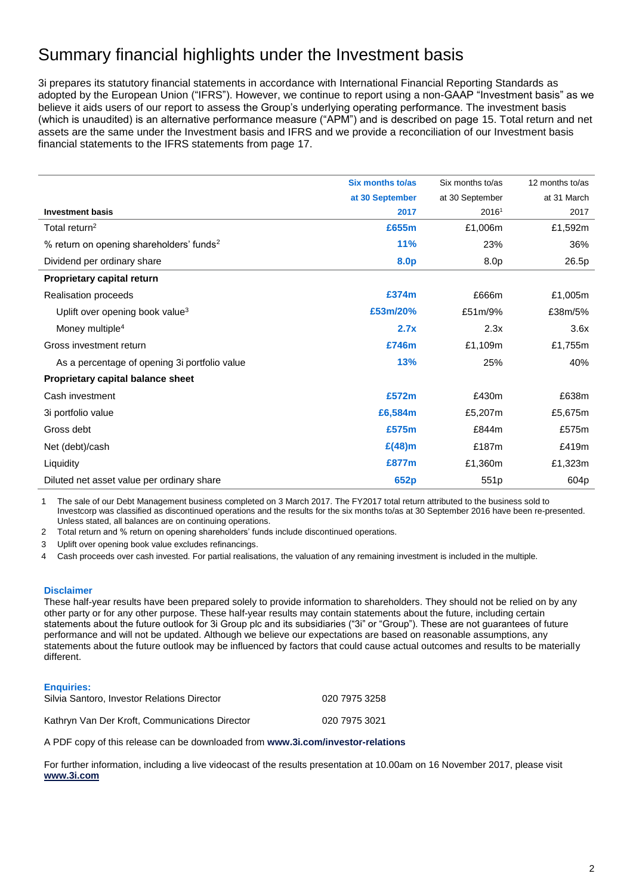# Summary financial highlights under the Investment basis

3i prepares its statutory financial statements in accordance with International Financial Reporting Standards as adopted by the European Union ("IFRS"). However, we continue to report using a non-GAAP "Investment basis" as we believe it aids users of our report to assess the Group's underlying operating performance. The investment basis (which is unaudited) is an alternative performance measure ("APM") and is described on page 15. Total return and net assets are the same under the Investment basis and IFRS and we provide a reconciliation of our Investment basis financial statements to the IFRS statements from page 17.

|                                                      | <b>Six months to/as</b> | Six months to/as | 12 months to/as |
|------------------------------------------------------|-------------------------|------------------|-----------------|
|                                                      |                         |                  |                 |
|                                                      | at 30 September         | at 30 September  | at 31 March     |
| <b>Investment basis</b>                              | 2017                    | 20161            | 2017            |
| Total return <sup>2</sup>                            | £655m                   | £1,006m          | £1,592m         |
| % return on opening shareholders' funds <sup>2</sup> | <b>11%</b>              | 23%              | 36%             |
| Dividend per ordinary share                          | 8.0p                    | 8.0p             | 26.5p           |
| Proprietary capital return                           |                         |                  |                 |
| Realisation proceeds                                 | £374m                   | £666m            | £1,005m         |
| Uplift over opening book value <sup>3</sup>          | £53m/20%                | £51m/9%          | £38m/5%         |
| Money multiple <sup>4</sup>                          | 2.7x                    | 2.3x             | 3.6x            |
| Gross investment return                              | £746m                   | £1,109m          | £1,755m         |
| As a percentage of opening 3i portfolio value        | 13%                     | 25%              | 40%             |
| Proprietary capital balance sheet                    |                         |                  |                 |
| Cash investment                                      | £572m                   | £430m            | £638m           |
| 3i portfolio value                                   | £6,584m                 | £5,207m          | £5,675m         |
| Gross debt                                           | £575m                   | £844m            | £575m           |
| Net (debt)/cash                                      | $E(48)$ m               | £187m            | £419m           |
| Liquidity                                            | £877m                   | £1,360m          | £1,323m         |
| Diluted net asset value per ordinary share           | 652p                    | 551p             | 604p            |

1 The sale of our Debt Management business completed on 3 March 2017. The FY2017 total return attributed to the business sold to Investcorp was classified as discontinued operations and the results for the six months to/as at 30 September 2016 have been re-presented. Unless stated, all balances are on continuing operations.

2 Total return and % return on opening shareholders' funds include discontinued operations.

3 Uplift over opening book value excludes refinancings.

4 Cash proceeds over cash invested. For partial realisations, the valuation of any remaining investment is included in the multiple.

#### **Disclaimer**

These half-year results have been prepared solely to provide information to shareholders. They should not be relied on by any other party or for any other purpose. These half-year results may contain statements about the future, including certain statements about the future outlook for 3i Group plc and its subsidiaries ("3i" or "Group"). These are not guarantees of future performance and will not be updated. Although we believe our expectations are based on reasonable assumptions, any statements about the future outlook may be influenced by factors that could cause actual outcomes and results to be materially different.

#### **Enquiries:**

| Silvia Santoro, Investor Relations Director    | 020 7975 3258 |
|------------------------------------------------|---------------|
| Kathryn Van Der Kroft, Communications Director | 020 7975 3021 |

A PDF copy of this release can be downloaded from **[www.3i.com/investor-relations](http://www.3i.com/investor-relations)**

For further information, including a live videocast of the results presentation at 10.00am on 16 November 2017, please visit **[www.3i.com](http://www.3i.com/)**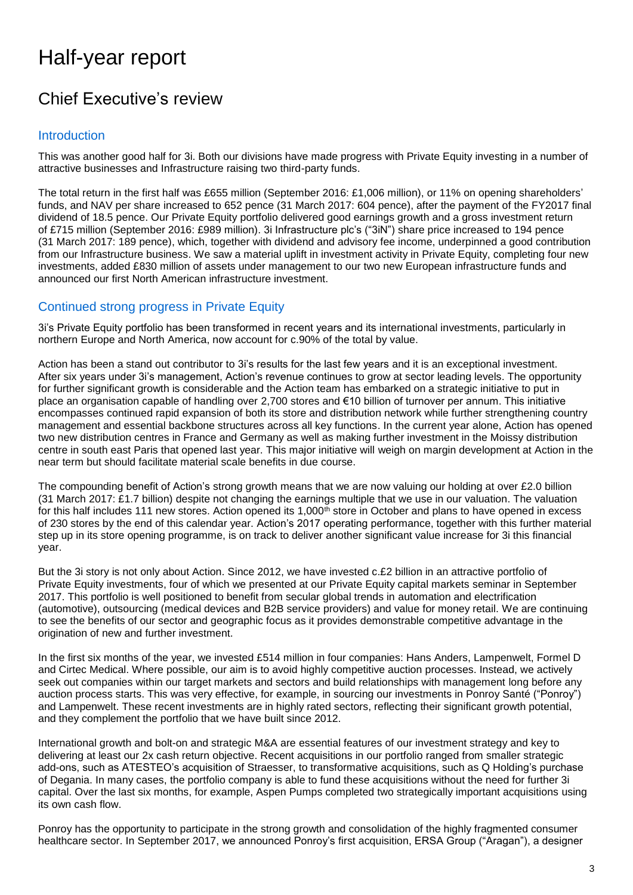# Half-year report

# Chief Executive's review

### Introduction

This was another good half for 3i. Both our divisions have made progress with Private Equity investing in a number of attractive businesses and Infrastructure raising two third-party funds.

The total return in the first half was £655 million (September 2016: £1,006 million), or 11% on opening shareholders' funds, and NAV per share increased to 652 pence (31 March 2017: 604 pence), after the payment of the FY2017 final dividend of 18.5 pence. Our Private Equity portfolio delivered good earnings growth and a gross investment return of £715 million (September 2016: £989 million). 3i Infrastructure plc's ("3iN") share price increased to 194 pence (31 March 2017: 189 pence), which, together with dividend and advisory fee income, underpinned a good contribution from our Infrastructure business. We saw a material uplift in investment activity in Private Equity, completing four new investments, added £830 million of assets under management to our two new European infrastructure funds and announced our first North American infrastructure investment.

## Continued strong progress in Private Equity

3i's Private Equity portfolio has been transformed in recent years and its international investments, particularly in northern Europe and North America, now account for c.90% of the total by value.

Action has been a stand out contributor to 3i's results for the last few years and it is an exceptional investment. After six years under 3i's management, Action's revenue continues to grow at sector leading levels. The opportunity for further significant growth is considerable and the Action team has embarked on a strategic initiative to put in place an organisation capable of handling over 2,700 stores and €10 billion of turnover per annum. This initiative encompasses continued rapid expansion of both its store and distribution network while further strengthening country management and essential backbone structures across all key functions. In the current year alone, Action has opened two new distribution centres in France and Germany as well as making further investment in the Moissy distribution centre in south east Paris that opened last year. This major initiative will weigh on margin development at Action in the near term but should facilitate material scale benefits in due course.

The compounding benefit of Action's strong growth means that we are now valuing our holding at over £2.0 billion (31 March 2017: £1.7 billion) despite not changing the earnings multiple that we use in our valuation. The valuation for this half includes 111 new stores. Action opened its 1,000<sup>th</sup> store in October and plans to have opened in excess of 230 stores by the end of this calendar year. Action's 2017 operating performance, together with this further material step up in its store opening programme, is on track to deliver another significant value increase for 3i this financial year.

But the 3i story is not only about Action. Since 2012, we have invested c.£2 billion in an attractive portfolio of Private Equity investments, four of which we presented at our Private Equity capital markets seminar in September 2017. This portfolio is well positioned to benefit from secular global trends in automation and electrification (automotive), outsourcing (medical devices and B2B service providers) and value for money retail. We are continuing to see the benefits of our sector and geographic focus as it provides demonstrable competitive advantage in the origination of new and further investment.

In the first six months of the year, we invested £514 million in four companies: Hans Anders, Lampenwelt, Formel D and Cirtec Medical. Where possible, our aim is to avoid highly competitive auction processes. Instead, we actively seek out companies within our target markets and sectors and build relationships with management long before any auction process starts. This was very effective, for example, in sourcing our investments in Ponroy Santé ("Ponroy") and Lampenwelt. These recent investments are in highly rated sectors, reflecting their significant growth potential, and they complement the portfolio that we have built since 2012.

International growth and bolt-on and strategic M&A are essential features of our investment strategy and key to delivering at least our 2x cash return objective. Recent acquisitions in our portfolio ranged from smaller strategic add-ons, such as ATESTEO's acquisition of Straesser, to transformative acquisitions, such as Q Holding's purchase of Degania. In many cases, the portfolio company is able to fund these acquisitions without the need for further 3i capital. Over the last six months, for example, Aspen Pumps completed two strategically important acquisitions using its own cash flow.

Ponroy has the opportunity to participate in the strong growth and consolidation of the highly fragmented consumer healthcare sector. In September 2017, we announced Ponroy's first acquisition, ERSA Group ("Aragan"), a designer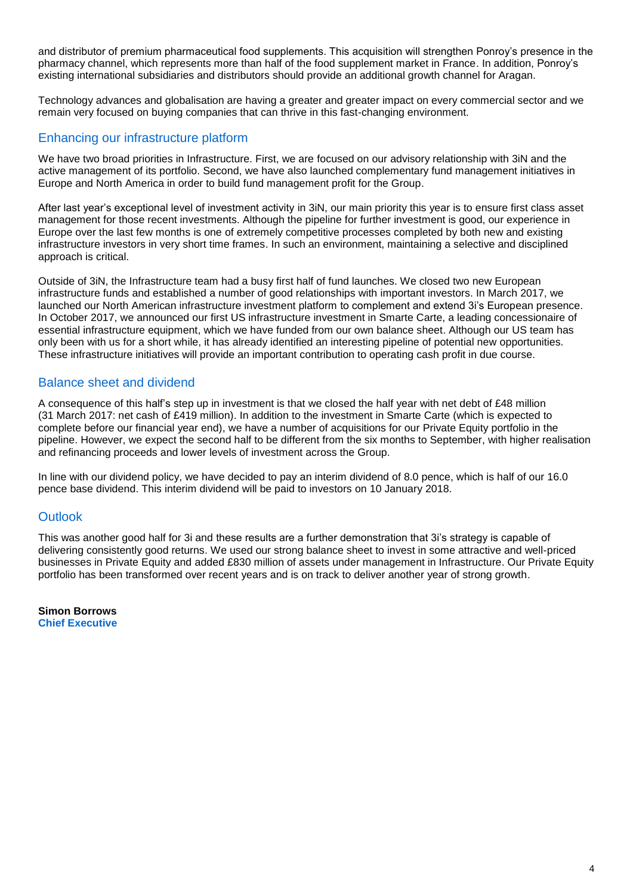and distributor of premium pharmaceutical food supplements. This acquisition will strengthen Ponroy's presence in the pharmacy channel, which represents more than half of the food supplement market in France. In addition, Ponroy's existing international subsidiaries and distributors should provide an additional growth channel for Aragan.

Technology advances and globalisation are having a greater and greater impact on every commercial sector and we remain very focused on buying companies that can thrive in this fast-changing environment.

## Enhancing our infrastructure platform

We have two broad priorities in Infrastructure. First, we are focused on our advisory relationship with 3iN and the active management of its portfolio. Second, we have also launched complementary fund management initiatives in Europe and North America in order to build fund management profit for the Group.

After last year's exceptional level of investment activity in 3iN, our main priority this year is to ensure first class asset management for those recent investments. Although the pipeline for further investment is good, our experience in Europe over the last few months is one of extremely competitive processes completed by both new and existing infrastructure investors in very short time frames. In such an environment, maintaining a selective and disciplined approach is critical.

Outside of 3iN, the Infrastructure team had a busy first half of fund launches. We closed two new European infrastructure funds and established a number of good relationships with important investors. In March 2017, we launched our North American infrastructure investment platform to complement and extend 3i's European presence. In October 2017, we announced our first US infrastructure investment in Smarte Carte, a leading concessionaire of essential infrastructure equipment, which we have funded from our own balance sheet. Although our US team has only been with us for a short while, it has already identified an interesting pipeline of potential new opportunities. These infrastructure initiatives will provide an important contribution to operating cash profit in due course.

### Balance sheet and dividend

A consequence of this half's step up in investment is that we closed the half year with net debt of £48 million (31 March 2017: net cash of £419 million). In addition to the investment in Smarte Carte (which is expected to complete before our financial year end), we have a number of acquisitions for our Private Equity portfolio in the pipeline. However, we expect the second half to be different from the six months to September, with higher realisation and refinancing proceeds and lower levels of investment across the Group.

In line with our dividend policy, we have decided to pay an interim dividend of 8.0 pence, which is half of our 16.0 pence base dividend. This interim dividend will be paid to investors on 10 January 2018.

## **Outlook**

This was another good half for 3i and these results are a further demonstration that 3i's strategy is capable of delivering consistently good returns. We used our strong balance sheet to invest in some attractive and well-priced businesses in Private Equity and added £830 million of assets under management in Infrastructure. Our Private Equity portfolio has been transformed over recent years and is on track to deliver another year of strong growth.

**Simon Borrows Chief Executive**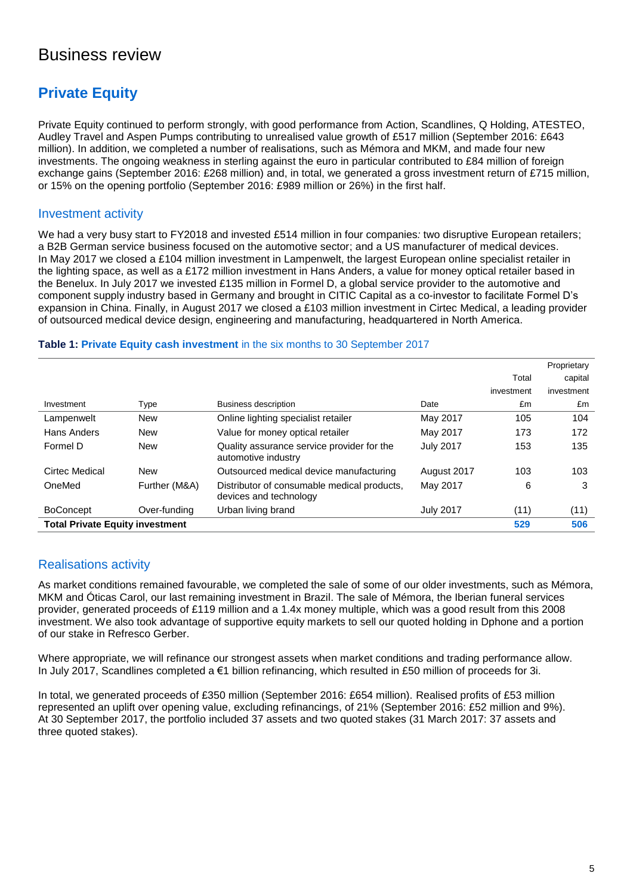## Business review

## **Private Equity**

Private Equity continued to perform strongly, with good performance from Action, Scandlines, Q Holding, ATESTEO, Audley Travel and Aspen Pumps contributing to unrealised value growth of £517 million (September 2016: £643 million). In addition, we completed a number of realisations, such as Mémora and MKM, and made four new investments. The ongoing weakness in sterling against the euro in particular contributed to £84 million of foreign exchange gains (September 2016: £268 million) and, in total, we generated a gross investment return of £715 million, or 15% on the opening portfolio (September 2016: £989 million or 26%) in the first half.

### Investment activity

We had a very busy start to FY2018 and invested £514 million in four companies*:* two disruptive European retailers; a B2B German service business focused on the automotive sector; and a US manufacturer of medical devices. In May 2017 we closed a £104 million investment in Lampenwelt, the largest European online specialist retailer in the lighting space, as well as a £172 million investment in Hans Anders, a value for money optical retailer based in the Benelux. In July 2017 we invested £135 million in Formel D, a global service provider to the automotive and component supply industry based in Germany and brought in CITIC Capital as a co-investor to facilitate Formel D's expansion in China. Finally, in August 2017 we closed a £103 million investment in Cirtec Medical, a leading provider of outsourced medical device design, engineering and manufacturing, headquartered in North America.

### **Table 1: Private Equity cash investment** in the six months to 30 September 2017

|                                        |               |                                                                       |                  |            | Proprietary |
|----------------------------------------|---------------|-----------------------------------------------------------------------|------------------|------------|-------------|
|                                        |               |                                                                       |                  | Total      | capital     |
|                                        |               |                                                                       |                  | investment | investment  |
| Investment                             | Type          | <b>Business description</b>                                           | Date             | £m         | £m          |
| Lampenwelt                             | <b>New</b>    | Online lighting specialist retailer                                   | May 2017         | 105        | 104         |
| Hans Anders                            | <b>New</b>    | Value for money optical retailer                                      | May 2017         | 173        | 172         |
| Formel D                               | New           | Quality assurance service provider for the<br>automotive industry     | <b>July 2017</b> | 153        | 135         |
| Cirtec Medical                         | <b>New</b>    | Outsourced medical device manufacturing                               | August 2017      | 103        | 103         |
| OneMed                                 | Further (M&A) | Distributor of consumable medical products,<br>devices and technology | May 2017         | 6          | 3           |
| <b>BoConcept</b>                       | Over-funding  | Urban living brand                                                    | <b>July 2017</b> | (11)       | (11)        |
| <b>Total Private Equity investment</b> |               |                                                                       |                  | 529        | 506         |

## Realisations activity

As market conditions remained favourable, we completed the sale of some of our older investments, such as Mémora, MKM and Óticas Carol, our last remaining investment in Brazil. The sale of Mémora, the Iberian funeral services provider, generated proceeds of £119 million and a 1.4x money multiple, which was a good result from this 2008 investment. We also took advantage of supportive equity markets to sell our quoted holding in Dphone and a portion of our stake in Refresco Gerber.

Where appropriate, we will refinance our strongest assets when market conditions and trading performance allow. In July 2017, Scandlines completed a €1 billion refinancing, which resulted in £50 million of proceeds for 3i.

In total, we generated proceeds of £350 million (September 2016: £654 million). Realised profits of £53 million represented an uplift over opening value, excluding refinancings, of 21% (September 2016: £52 million and 9%). At 30 September 2017, the portfolio included 37 assets and two quoted stakes (31 March 2017: 37 assets and three quoted stakes).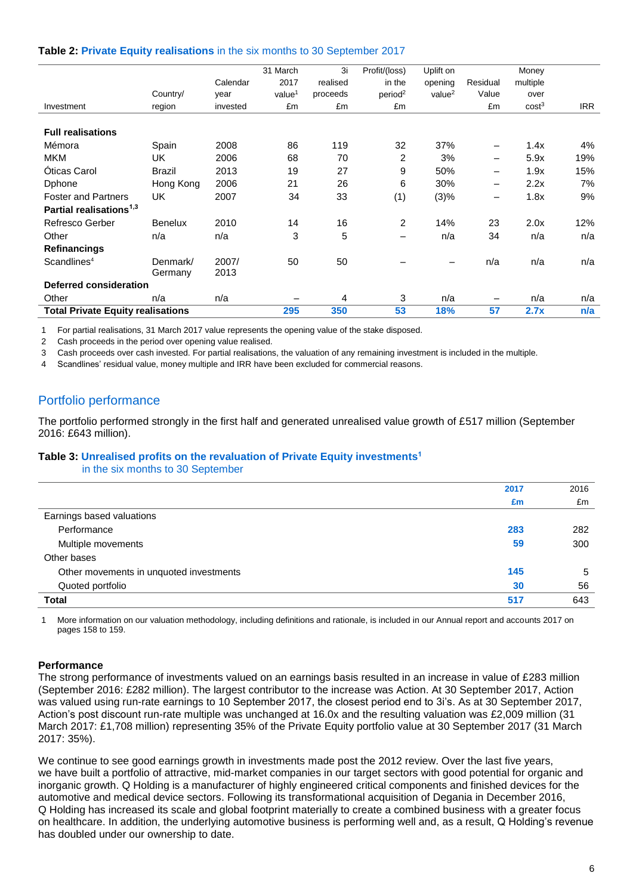#### **Table 2: Private Equity realisations** in the six months to 30 September 2017

|                                          |                |          | 31 March           | 3i       | Profit/(loss)       | Uplift on          |                          | Money             |            |
|------------------------------------------|----------------|----------|--------------------|----------|---------------------|--------------------|--------------------------|-------------------|------------|
|                                          |                | Calendar | 2017               | realised | in the              | opening            | Residual                 | multiple          |            |
|                                          | Country/       | year     | value <sup>1</sup> | proceeds | period <sup>2</sup> | value <sup>2</sup> | Value                    | over              |            |
| Investment                               | region         | invested | £m                 | £m       | £m                  |                    | £m                       | cost <sup>3</sup> | <b>IRR</b> |
|                                          |                |          |                    |          |                     |                    |                          |                   |            |
| <b>Full realisations</b>                 |                |          |                    |          |                     |                    |                          |                   |            |
| Mémora                                   | Spain          | 2008     | 86                 | 119      | 32                  | 37%                |                          | 1.4x              | 4%         |
| <b>MKM</b>                               | UK             | 2006     | 68                 | 70       | 2                   | 3%                 | $\overline{\phantom{0}}$ | 5.9x              | 19%        |
| <b>Oticas Carol</b>                      | <b>Brazil</b>  | 2013     | 19                 | 27       | 9                   | 50%                | —                        | 1.9x              | 15%        |
| Dphone                                   | Hong Kong      | 2006     | 21                 | 26       | 6                   | 30%                | $\overline{\phantom{0}}$ | 2.2x              | 7%         |
| <b>Foster and Partners</b>               | <b>UK</b>      | 2007     | 34                 | 33       | (1)                 | (3)%               |                          | 1.8x              | 9%         |
| Partial realisations <sup>1,3</sup>      |                |          |                    |          |                     |                    |                          |                   |            |
| Refresco Gerber                          | <b>Benelux</b> | 2010     | 14                 | 16       | 2                   | 14%                | 23                       | 2.0x              | 12%        |
| Other                                    | n/a            | n/a      | 3                  | 5        | $\qquad \qquad$     | n/a                | 34                       | n/a               | n/a        |
| <b>Refinancings</b>                      |                |          |                    |          |                     |                    |                          |                   |            |
| Scandlines <sup>4</sup>                  | Denmark/       | 2007/    | 50                 | 50       |                     |                    | n/a                      | n/a               | n/a        |
|                                          | Germany        | 2013     |                    |          |                     |                    |                          |                   |            |
| <b>Deferred consideration</b>            |                |          |                    |          |                     |                    |                          |                   |            |
| Other                                    | n/a            | n/a      |                    | 4        | 3                   | n/a                |                          | n/a               | n/a        |
| <b>Total Private Equity realisations</b> |                |          | 295                | 350      | 53                  | 18%                | 57                       | 2.7x              | n/a        |
|                                          |                |          |                    |          |                     |                    |                          |                   |            |

1 For partial realisations, 31 March 2017 value represents the opening value of the stake disposed.

2 Cash proceeds in the period over opening value realised.

3 Cash proceeds over cash invested. For partial realisations, the valuation of any remaining investment is included in the multiple.

4 Scandlines' residual value, money multiple and IRR have been excluded for commercial reasons.

### Portfolio performance

The portfolio performed strongly in the first half and generated unrealised value growth of £517 million (September 2016: £643 million).

### **Table 3: Unrealised profits on the revaluation of Private Equity investments 1**

in the six months to 30 September

|                                         | 2017 | 2016 |
|-----------------------------------------|------|------|
|                                         | £m   | £m   |
| Earnings based valuations               |      |      |
| Performance                             | 283  | 282  |
| Multiple movements                      | 59   | 300  |
| Other bases                             |      |      |
| Other movements in unquoted investments | 145  | 5    |
| Quoted portfolio                        | 30   | 56   |
| <b>Total</b>                            | 517  | 643  |

1 More information on our valuation methodology, including definitions and rationale, is included in our Annual report and accounts 2017 on pages 158 to 159.

#### **Performance**

The strong performance of investments valued on an earnings basis resulted in an increase in value of £283 million (September 2016: £282 million). The largest contributor to the increase was Action. At 30 September 2017, Action was valued using run-rate earnings to 10 September 2017, the closest period end to 3i's. As at 30 September 2017, Action's post discount run-rate multiple was unchanged at 16.0x and the resulting valuation was £2,009 million (31 March 2017: £1,708 million) representing 35% of the Private Equity portfolio value at 30 September 2017 (31 March 2017: 35%).

We continue to see good earnings growth in investments made post the 2012 review. Over the last five years, we have built a portfolio of attractive, mid-market companies in our target sectors with good potential for organic and inorganic growth. Q Holding is a manufacturer of highly engineered critical components and finished devices for the automotive and medical device sectors. Following its transformational acquisition of Degania in December 2016, Q Holding has increased its scale and global footprint materially to create a combined business with a greater focus on healthcare. In addition, the underlying automotive business is performing well and, as a result, Q Holding's revenue has doubled under our ownership to date.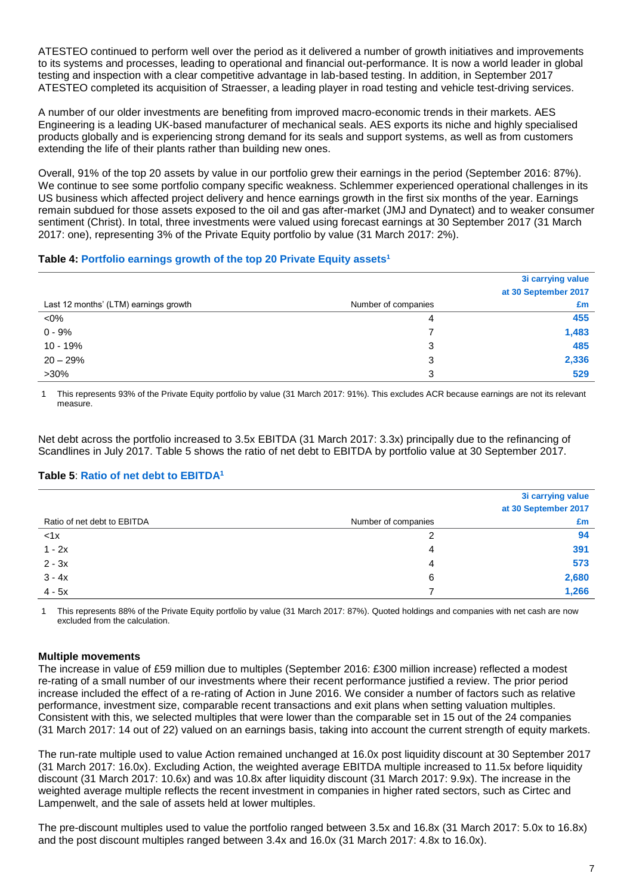ATESTEO continued to perform well over the period as it delivered a number of growth initiatives and improvements to its systems and processes, leading to operational and financial out-performance. It is now a world leader in global testing and inspection with a clear competitive advantage in lab-based testing. In addition, in September 2017 ATESTEO completed its acquisition of Straesser, a leading player in road testing and vehicle test-driving services.

A number of our older investments are benefiting from improved macro-economic trends in their markets. AES Engineering is a leading UK-based manufacturer of mechanical seals. AES exports its niche and highly specialised products globally and is experiencing strong demand for its seals and support systems, as well as from customers extending the life of their plants rather than building new ones.

Overall, 91% of the top 20 assets by value in our portfolio grew their earnings in the period (September 2016: 87%). We continue to see some portfolio company specific weakness. Schlemmer experienced operational challenges in its US business which affected project delivery and hence earnings growth in the first six months of the year. Earnings remain subdued for those assets exposed to the oil and gas after-market (JMJ and Dynatect) and to weaker consumer sentiment (Christ). In total, three investments were valued using forecast earnings at 30 September 2017 (31 March 2017: one), representing 3% of the Private Equity portfolio by value (31 March 2017: 2%).

### **Table 4: Portfolio earnings growth of the top 20 Private Equity assets<sup>1</sup>**

|                                       |                     | 3i carrying value    |
|---------------------------------------|---------------------|----------------------|
|                                       |                     | at 30 September 2017 |
| Last 12 months' (LTM) earnings growth | Number of companies | £m                   |
| $< 0\%$                               | 4                   | 455                  |
| $0 - 9%$                              |                     | 1,483                |
| 10 - 19%                              | 3                   | 485                  |
| $20 - 29%$                            | 3                   | 2,336                |
| $>30\%$                               | 3                   | 529                  |

1 This represents 93% of the Private Equity portfolio by value (31 March 2017: 91%). This excludes ACR because earnings are not its relevant measure.

Net debt across the portfolio increased to 3.5x EBITDA (31 March 2017: 3.3x) principally due to the refinancing of Scandlines in July 2017. Table 5 shows the ratio of net debt to EBITDA by portfolio value at 30 September 2017.

### **Table 5**: **Ratio of net debt to EBITDA<sup>1</sup>**

|                             |                     | 3i carrying value    |
|-----------------------------|---------------------|----------------------|
|                             |                     | at 30 September 2017 |
| Ratio of net debt to EBITDA | Number of companies | £m                   |
| < 1x                        | າ                   | 94                   |
| $1 - 2x$                    | 4                   | 391                  |
| $2 - 3x$                    | 4                   | 573                  |
| $3 - 4x$                    | 6                   | 2,680                |
| $4 - 5x$                    |                     | 1,266                |

1 This represents 88% of the Private Equity portfolio by value (31 March 2017: 87%). Quoted holdings and companies with net cash are now excluded from the calculation.

### **Multiple movements**

The increase in value of £59 million due to multiples (September 2016: £300 million increase) reflected a modest re-rating of a small number of our investments where their recent performance justified a review. The prior period increase included the effect of a re-rating of Action in June 2016. We consider a number of factors such as relative performance, investment size, comparable recent transactions and exit plans when setting valuation multiples. Consistent with this, we selected multiples that were lower than the comparable set in 15 out of the 24 companies (31 March 2017: 14 out of 22) valued on an earnings basis, taking into account the current strength of equity markets.

The run-rate multiple used to value Action remained unchanged at 16.0x post liquidity discount at 30 September 2017 (31 March 2017: 16.0x). Excluding Action, the weighted average EBITDA multiple increased to 11.5x before liquidity discount (31 March 2017: 10.6x) and was 10.8x after liquidity discount (31 March 2017: 9.9x). The increase in the weighted average multiple reflects the recent investment in companies in higher rated sectors, such as Cirtec and Lampenwelt, and the sale of assets held at lower multiples.

The pre-discount multiples used to value the portfolio ranged between 3.5x and 16.8x (31 March 2017: 5.0x to 16.8x) and the post discount multiples ranged between 3.4x and 16.0x (31 March 2017: 4.8x to 16.0x).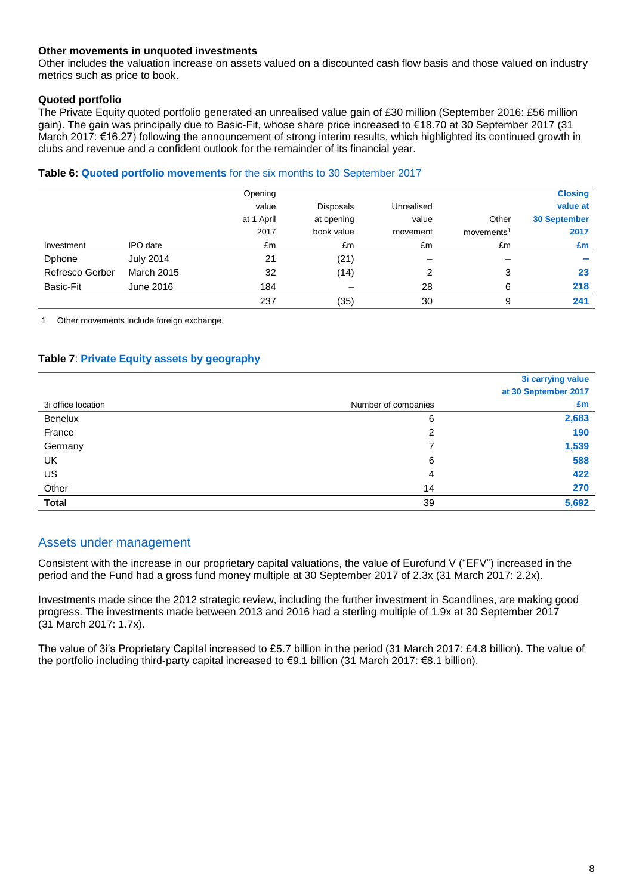### **Other movements in unquoted investments**

Other includes the valuation increase on assets valued on a discounted cash flow basis and those valued on industry metrics such as price to book.

### **Quoted portfolio**

The Private Equity quoted portfolio generated an unrealised value gain of £30 million (September 2016: £56 million gain). The gain was principally due to Basic-Fit, whose share price increased to €18.70 at 30 September 2017 (31 March 2017: €16.27) following the announcement of strong interim results, which highlighted its continued growth in clubs and revenue and a confident outlook for the remainder of its financial year.

#### **Table 6: Quoted portfolio movements** for the six months to 30 September 2017

|                        |                   | Opening    |                  |            |                        | <b>Closing</b>      |
|------------------------|-------------------|------------|------------------|------------|------------------------|---------------------|
|                        |                   | value      | <b>Disposals</b> | Unrealised |                        | value at            |
|                        |                   | at 1 April | at opening       | value      | Other                  | <b>30 September</b> |
|                        |                   | 2017       | book value       | movement   | movements <sup>1</sup> | 2017                |
| Investment             | IPO date          | £m         | £m               | £m         | £m                     | £m                  |
| Dphone                 | <b>July 2014</b>  | 21         | (21)             |            |                        |                     |
| <b>Refresco Gerber</b> | <b>March 2015</b> | 32         | (14)             | 2          | 3                      | 23                  |
| Basic-Fit              | June 2016         | 184        |                  | 28         | 6                      | 218                 |
|                        |                   | 237        | (35)             | 30         | 9                      | 241                 |

1 Other movements include foreign exchange.

### **Table 7**: **Private Equity assets by geography**

|                    |                     | 3i carrying value    |
|--------------------|---------------------|----------------------|
|                    |                     | at 30 September 2017 |
| 3i office location | Number of companies | £m                   |
| <b>Benelux</b>     | 6                   | 2,683                |
| France             | 2                   | 190                  |
| Germany            |                     | 1,539                |
| <b>UK</b>          | 6                   | 588                  |
| US                 | 4                   | 422                  |
| Other              | 14                  | 270                  |
| <b>Total</b>       | 39                  | 5,692                |

### Assets under management

Consistent with the increase in our proprietary capital valuations, the value of Eurofund V ("EFV") increased in the period and the Fund had a gross fund money multiple at 30 September 2017 of 2.3x (31 March 2017: 2.2x).

Investments made since the 2012 strategic review, including the further investment in Scandlines, are making good progress. The investments made between 2013 and 2016 had a sterling multiple of 1.9x at 30 September 2017 (31 March 2017: 1.7x).

The value of 3i's Proprietary Capital increased to £5.7 billion in the period (31 March 2017: £4.8 billion). The value of the portfolio including third-party capital increased to €9.1 billion (31 March 2017: €8.1 billion).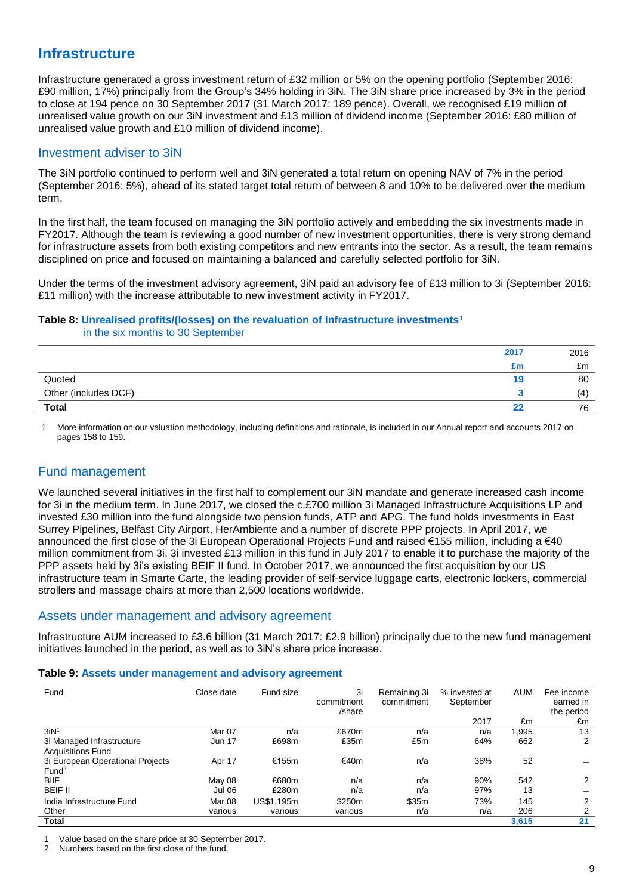## **Infrastructure**

Infrastructure generated a gross investment return of £32 million or 5% on the opening portfolio (September 2016: £90 million, 17%) principally from the Group's 34% holding in 3iN. The 3iN share price increased by 3% in the period to close at 194 pence on 30 September 2017 (31 March 2017: 189 pence). Overall, we recognised £19 million of unrealised value growth on our 3iN investment and £13 million of dividend income (September 2016: £80 million of unrealised value growth and £10 million of dividend income).

### Investment adviser to 3iN

The 3iN portfolio continued to perform well and 3iN generated a total return on opening NAV of 7% in the period (September 2016: 5%), ahead of its stated target total return of between 8 and 10% to be delivered over the medium term.

In the first half, the team focused on managing the 3iN portfolio actively and embedding the six investments made in FY2017. Although the team is reviewing a good number of new investment opportunities, there is very strong demand for infrastructure assets from both existing competitors and new entrants into the sector. As a result, the team remains disciplined on price and focused on maintaining a balanced and carefully selected portfolio for 3iN.

Under the terms of the investment advisory agreement, 3iN paid an advisory fee of £13 million to 3i (September 2016: £11 million) with the increase attributable to new investment activity in FY2017.

## **Table 8: Unrealised profits/(losses) on the revaluation of Infrastructure investments<sup>1</sup>**

in the six months to 30 September

|                      | 2017 | 2016 |
|----------------------|------|------|
|                      | £m   | £m   |
| Quoted               | 19   | 80   |
| Other (includes DCF) |      | (4)  |
| <b>Total</b>         | 22   | 76   |

1 More information on our valuation methodology, including definitions and rationale, is included in our Annual report and accounts 2017 on pages 158 to 159.

## Fund management

We launched several initiatives in the first half to complement our 3iN mandate and generate increased cash income for 3i in the medium term. In June 2017, we closed the c.£700 million 3i Managed Infrastructure Acquisitions LP and invested £30 million into the fund alongside two pension funds, ATP and APG. The fund holds investments in East Surrey Pipelines, Belfast City Airport, HerAmbiente and a number of discrete PPP projects. In April 2017, we announced the first close of the 3i European Operational Projects Fund and raised €155 million, including a €40 million commitment from 3i. 3i invested £13 million in this fund in July 2017 to enable it to purchase the majority of the PPP assets held by 3i's existing BEIF II fund. In October 2017, we announced the first acquisition by our US infrastructure team in Smarte Carte, the leading provider of self-service luggage carts, electronic lockers, commercial strollers and massage chairs at more than 2,500 locations worldwide.

### Assets under management and advisory agreement

Infrastructure AUM increased to £3.6 billion (31 March 2017: £2.9 billion) principally due to the new fund management initiatives launched in the period, as well as to 3iN's share price increase.

### **Table 9: Assets under management and advisory agreement**

| Fund                                                  | Close date    | Fund size  | 3i<br>commitment<br>/share | Remaining 3i<br>commitment | % invested at<br>September | <b>AUM</b> | Fee income<br>earned in<br>the period |
|-------------------------------------------------------|---------------|------------|----------------------------|----------------------------|----------------------------|------------|---------------------------------------|
|                                                       |               |            |                            |                            | 2017                       | £m         | £m                                    |
| 3iN <sup>1</sup>                                      | Mar 07        | n/a        | £670m                      | n/a                        | n/a                        | 1,995      | 13                                    |
| 3i Managed Infrastructure<br><b>Acquisitions Fund</b> | <b>Jun 17</b> | £698m      | £35m                       | £5m                        | 64%                        | 662        | 2                                     |
| 3i European Operational Projects<br>Fund <sup>2</sup> | Apr 17        | €155m      | €40m                       | n/a                        | 38%                        | 52         |                                       |
| <b>BIIF</b>                                           | May 08        | £680m      | n/a                        | n/a                        | 90%                        | 542        | 2                                     |
| <b>BEIF II</b>                                        | Jul 06        | £280m      | n/a                        | n/a                        | 97%                        | 13         |                                       |
| India Infrastructure Fund                             | Mar 08        | US\$1,195m | \$250m                     | \$35m                      | 73%                        | 145        | 2                                     |
| Other                                                 | various       | various    | various                    | n/a                        | n/a                        | 206        | 2                                     |
| Total                                                 |               |            |                            |                            |                            | 3,615      | 21                                    |

1 Value based on the share price at 30 September 2017.

2 Numbers based on the first close of the fund.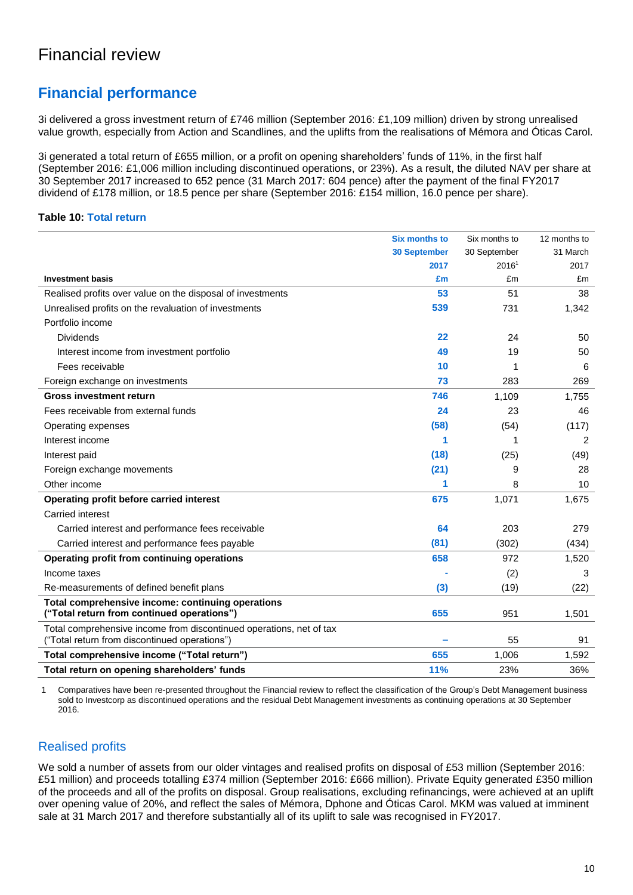## **Financial performance**

3i delivered a gross investment return of £746 million (September 2016: £1,109 million) driven by strong unrealised value growth, especially from Action and Scandlines, and the uplifts from the realisations of Mémora and Óticas Carol.

3i generated a total return of £655 million, or a profit on opening shareholders' funds of 11%, in the first half (September 2016: £1,006 million including discontinued operations, or 23%). As a result, the diluted NAV per share at 30 September 2017 increased to 652 pence (31 March 2017: 604 pence) after the payment of the final FY2017 dividend of £178 million, or 18.5 pence per share (September 2016: £154 million, 16.0 pence per share).

### **Table 10: Total return**

|                                                                                                                      | <b>Six months to</b> | Six months to | 12 months to |
|----------------------------------------------------------------------------------------------------------------------|----------------------|---------------|--------------|
|                                                                                                                      | <b>30 September</b>  | 30 September  | 31 March     |
|                                                                                                                      | 2017                 | 20161         | 2017         |
| <b>Investment basis</b>                                                                                              | £m                   | £m            | £m           |
| Realised profits over value on the disposal of investments                                                           | 53                   | 51            | 38           |
| Unrealised profits on the revaluation of investments                                                                 | 539                  | 731           | 1,342        |
| Portfolio income                                                                                                     |                      |               |              |
| <b>Dividends</b>                                                                                                     | 22                   | 24            | 50           |
| Interest income from investment portfolio                                                                            | 49                   | 19            | 50           |
| Fees receivable                                                                                                      | 10                   | 1             | 6            |
| Foreign exchange on investments                                                                                      | 73                   | 283           | 269          |
| <b>Gross investment return</b>                                                                                       | 746                  | 1,109         | 1,755        |
| Fees receivable from external funds                                                                                  | 24                   | 23            | 46           |
| Operating expenses                                                                                                   | (58)                 | (54)          | (117)        |
| Interest income                                                                                                      | 1                    | 1             | 2            |
| Interest paid                                                                                                        | (18)                 | (25)          | (49)         |
| Foreign exchange movements                                                                                           | (21)                 | 9             | 28           |
| Other income                                                                                                         | 1                    | 8             | 10           |
| Operating profit before carried interest                                                                             | 675                  | 1,071         | 1,675        |
| Carried interest                                                                                                     |                      |               |              |
| Carried interest and performance fees receivable                                                                     | 64                   | 203           | 279          |
| Carried interest and performance fees payable                                                                        | (81)                 | (302)         | (434)        |
| Operating profit from continuing operations                                                                          | 658                  | 972           | 1,520        |
| Income taxes                                                                                                         |                      | (2)           | 3            |
| Re-measurements of defined benefit plans                                                                             | (3)                  | (19)          | (22)         |
| Total comprehensive income: continuing operations                                                                    |                      |               |              |
| ("Total return from continued operations")                                                                           | 655                  | 951           | 1,501        |
| Total comprehensive income from discontinued operations, net of tax<br>("Total return from discontinued operations") |                      | 55            | 91           |
| Total comprehensive income ("Total return")                                                                          | 655                  | 1,006         | 1,592        |
| Total return on opening shareholders' funds                                                                          | <b>11%</b>           | 23%           | 36%          |

1 Comparatives have been re-presented throughout the Financial review to reflect the classification of the Group's Debt Management business sold to Investcorp as discontinued operations and the residual Debt Management investments as continuing operations at 30 September 2016.

## Realised profits

We sold a number of assets from our older vintages and realised profits on disposal of £53 million (September 2016: £51 million) and proceeds totalling £374 million (September 2016: £666 million). Private Equity generated £350 million of the proceeds and all of the profits on disposal. Group realisations, excluding refinancings, were achieved at an uplift over opening value of 20%, and reflect the sales of Mémora, Dphone and Óticas Carol. MKM was valued at imminent sale at 31 March 2017 and therefore substantially all of its uplift to sale was recognised in FY2017.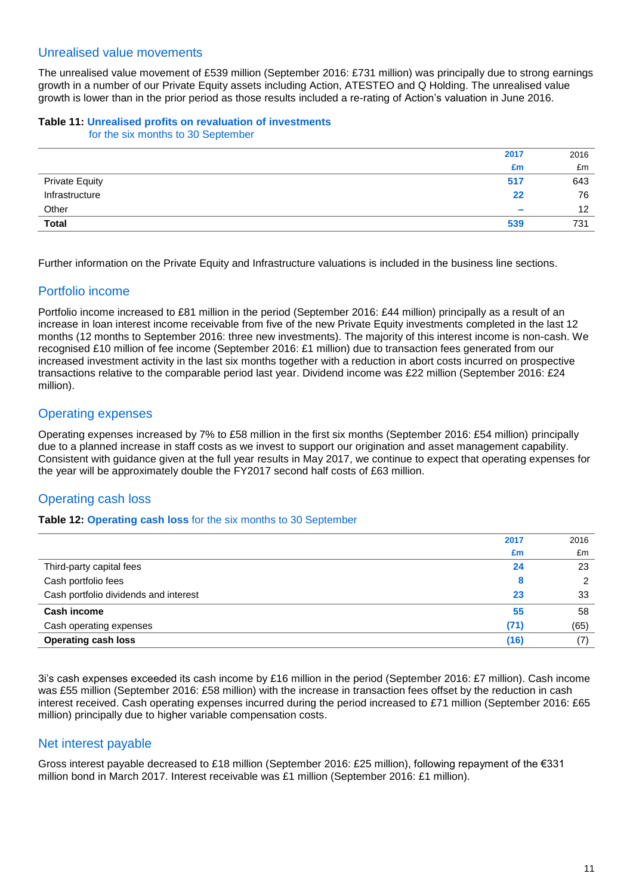### Unrealised value movements

The unrealised value movement of £539 million (September 2016: £731 million) was principally due to strong earnings growth in a number of our Private Equity assets including Action, ATESTEO and Q Holding. The unrealised value growth is lower than in the prior period as those results included a re-rating of Action's valuation in June 2016.

#### **Table 11: Unrealised profits on revaluation of investments** for the six months to 30 September

| 2017                                    | 2016              |
|-----------------------------------------|-------------------|
| £m                                      | £m                |
| 517<br>Private Equity<br>Infrastructure | 643               |
| 22                                      | 76                |
| Other<br>$\sim$                         | $12 \overline{ }$ |
| <b>Total</b><br>539                     | 731               |

Further information on the Private Equity and Infrastructure valuations is included in the business line sections.

## Portfolio income

Portfolio income increased to £81 million in the period (September 2016: £44 million) principally as a result of an increase in loan interest income receivable from five of the new Private Equity investments completed in the last 12 months (12 months to September 2016: three new investments). The majority of this interest income is non-cash. We recognised £10 million of fee income (September 2016: £1 million) due to transaction fees generated from our increased investment activity in the last six months together with a reduction in abort costs incurred on prospective transactions relative to the comparable period last year. Dividend income was £22 million (September 2016: £24 million).

## Operating expenses

Operating expenses increased by 7% to £58 million in the first six months (September 2016: £54 million) principally due to a planned increase in staff costs as we invest to support our origination and asset management capability. Consistent with guidance given at the full year results in May 2017, we continue to expect that operating expenses for the year will be approximately double the FY2017 second half costs of £63 million.

## Operating cash loss

### **Table 12: Operating cash loss** for the six months to 30 September

| 2017                                        | 2016   |
|---------------------------------------------|--------|
| £m                                          | £m     |
| Third-party capital fees<br>24              | 23     |
| Cash portfolio fees                         | 2<br>8 |
| Cash portfolio dividends and interest<br>23 | 33     |
| <b>Cash income</b><br>55                    | 58     |
| (71)<br>Cash operating expenses             | (65)   |
| <b>Operating cash loss</b><br>(16)          |        |

3i's cash expenses exceeded its cash income by £16 million in the period (September 2016: £7 million). Cash income was £55 million (September 2016: £58 million) with the increase in transaction fees offset by the reduction in cash interest received. Cash operating expenses incurred during the period increased to £71 million (September 2016: £65 million) principally due to higher variable compensation costs.

### Net interest payable

Gross interest payable decreased to £18 million (September 2016: £25 million), following repayment of the €331 million bond in March 2017. Interest receivable was £1 million (September 2016: £1 million).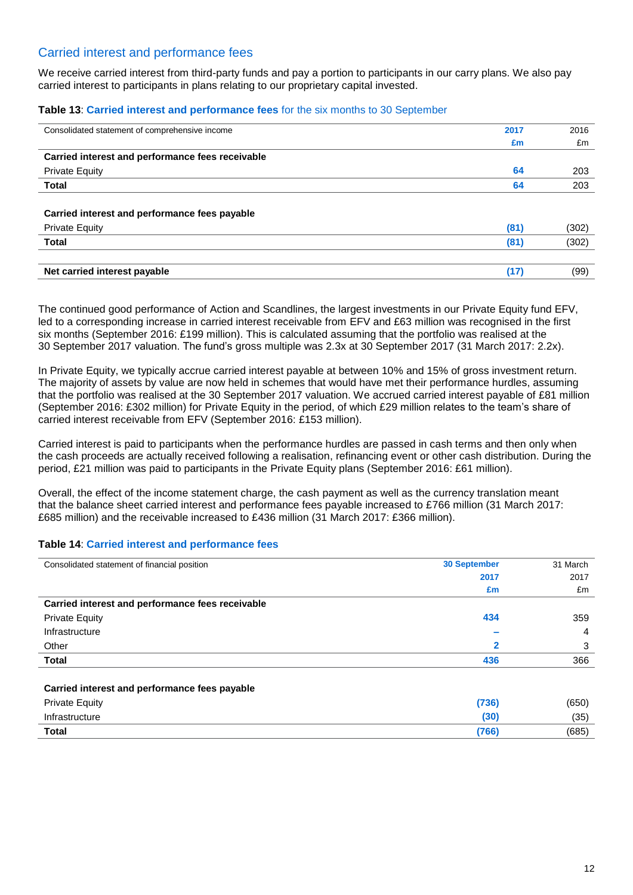### Carried interest and performance fees

We receive carried interest from third-party funds and pay a portion to participants in our carry plans. We also pay carried interest to participants in plans relating to our proprietary capital invested.

#### **Table 13**: **Carried interest and performance fees** for the six months to 30 September

| Consolidated statement of comprehensive income   | 2017 | 2016  |
|--------------------------------------------------|------|-------|
|                                                  | £m   | £m    |
| Carried interest and performance fees receivable |      |       |
| <b>Private Equity</b>                            | 64   | 203   |
| <b>Total</b>                                     | 64   | 203   |
|                                                  |      |       |
| Carried interest and performance fees payable    |      |       |
| <b>Private Equity</b>                            | (81) | (302) |
| <b>Total</b>                                     | (81) | (302) |
|                                                  |      |       |
| Net carried interest payable                     | (17) | (99)  |
|                                                  |      |       |

The continued good performance of Action and Scandlines, the largest investments in our Private Equity fund EFV, led to a corresponding increase in carried interest receivable from EFV and £63 million was recognised in the first six months (September 2016: £199 million). This is calculated assuming that the portfolio was realised at the 30 September 2017 valuation. The fund's gross multiple was 2.3x at 30 September 2017 (31 March 2017: 2.2x).

In Private Equity, we typically accrue carried interest payable at between 10% and 15% of gross investment return. The majority of assets by value are now held in schemes that would have met their performance hurdles, assuming that the portfolio was realised at the 30 September 2017 valuation. We accrued carried interest payable of £81 million (September 2016: £302 million) for Private Equity in the period, of which £29 million relates to the team's share of carried interest receivable from EFV (September 2016: £153 million).

Carried interest is paid to participants when the performance hurdles are passed in cash terms and then only when the cash proceeds are actually received following a realisation, refinancing event or other cash distribution. During the period, £21 million was paid to participants in the Private Equity plans (September 2016: £61 million).

Overall, the effect of the income statement charge, the cash payment as well as the currency translation meant that the balance sheet carried interest and performance fees payable increased to £766 million (31 March 2017: £685 million) and the receivable increased to £436 million (31 March 2017: £366 million).

### **Table 14**: **Carried interest and performance fees**

| Consolidated statement of financial position     | <b>30 September</b> | 31 March |
|--------------------------------------------------|---------------------|----------|
|                                                  | 2017                | 2017     |
|                                                  | £m                  | £m       |
| Carried interest and performance fees receivable |                     |          |
| <b>Private Equity</b>                            | 434                 | 359      |
| Infrastructure                                   |                     | 4        |
| Other                                            | 2                   | 3        |
| Total                                            | 436                 | 366      |
| Carried interest and performance fees payable    |                     |          |
| <b>Private Equity</b>                            | (736)               | (650)    |
| Infrastructure                                   | (30)                | (35)     |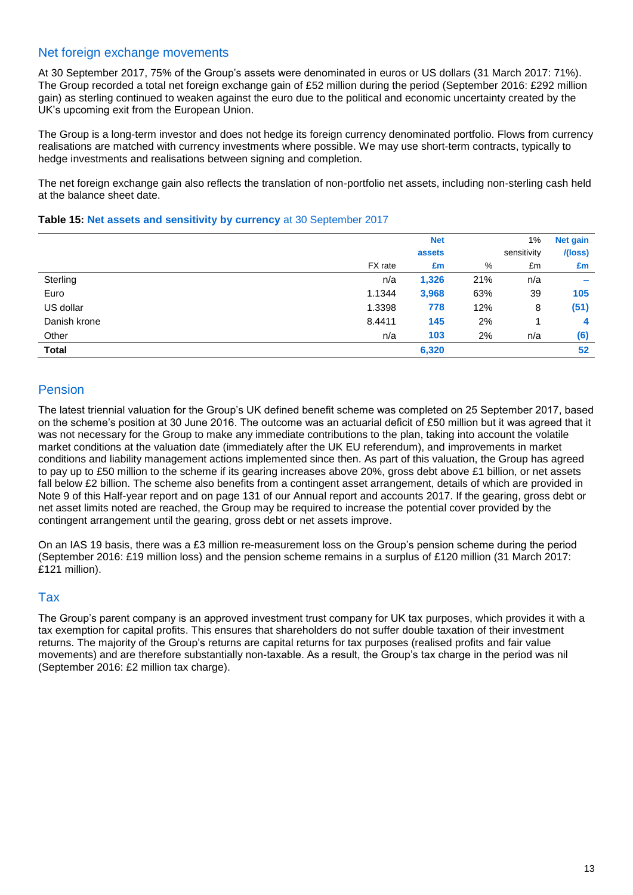### Net foreign exchange movements

At 30 September 2017, 75% of the Group's assets were denominated in euros or US dollars (31 March 2017: 71%). The Group recorded a total net foreign exchange gain of £52 million during the period (September 2016: £292 million gain) as sterling continued to weaken against the euro due to the political and economic uncertainty created by the UK's upcoming exit from the European Union.

The Group is a long-term investor and does not hedge its foreign currency denominated portfolio. Flows from currency realisations are matched with currency investments where possible. We may use short-term contracts, typically to hedge investments and realisations between signing and completion.

The net foreign exchange gain also reflects the translation of non-portfolio net assets, including non-sterling cash held at the balance sheet date.

### **Table 15: Net assets and sensitivity by currency** at 30 September 2017

|              |         | <b>Net</b> |     | 1%          | <b>Net gain</b>          |
|--------------|---------|------------|-----|-------------|--------------------------|
|              |         | assets     |     | sensitivity | I(loss)                  |
|              | FX rate | £m         | %   | £m          | £m                       |
| Sterling     | n/a     | 1,326      | 21% | n/a         | $\overline{\phantom{a}}$ |
| Euro         | 1.1344  | 3,968      | 63% | 39          | 105                      |
| US dollar    | 1.3398  | 778        | 12% | 8           | (51)                     |
| Danish krone | 8.4411  | 145        | 2%  |             | 4                        |
| Other        | n/a     | 103        | 2%  | n/a         | (6)                      |
| <b>Total</b> |         | 6,320      |     |             | 52                       |

## Pension

The latest triennial valuation for the Group's UK defined benefit scheme was completed on 25 September 2017, based on the scheme's position at 30 June 2016. The outcome was an actuarial deficit of £50 million but it was agreed that it was not necessary for the Group to make any immediate contributions to the plan, taking into account the volatile market conditions at the valuation date (immediately after the UK EU referendum), and improvements in market conditions and liability management actions implemented since then. As part of this valuation, the Group has agreed to pay up to £50 million to the scheme if its gearing increases above 20%, gross debt above £1 billion, or net assets fall below £2 billion. The scheme also benefits from a contingent asset arrangement, details of which are provided in Note 9 of this Half-year report and on page 131 of our Annual report and accounts 2017. If the gearing, gross debt or net asset limits noted are reached, the Group may be required to increase the potential cover provided by the contingent arrangement until the gearing, gross debt or net assets improve.

On an IAS 19 basis, there was a £3 million re-measurement loss on the Group's pension scheme during the period (September 2016: £19 million loss) and the pension scheme remains in a surplus of £120 million (31 March 2017: £121 million).

### Tax

The Group's parent company is an approved investment trust company for UK tax purposes, which provides it with a tax exemption for capital profits. This ensures that shareholders do not suffer double taxation of their investment returns. The majority of the Group's returns are capital returns for tax purposes (realised profits and fair value movements) and are therefore substantially non-taxable. As a result, the Group's tax charge in the period was nil (September 2016: £2 million tax charge).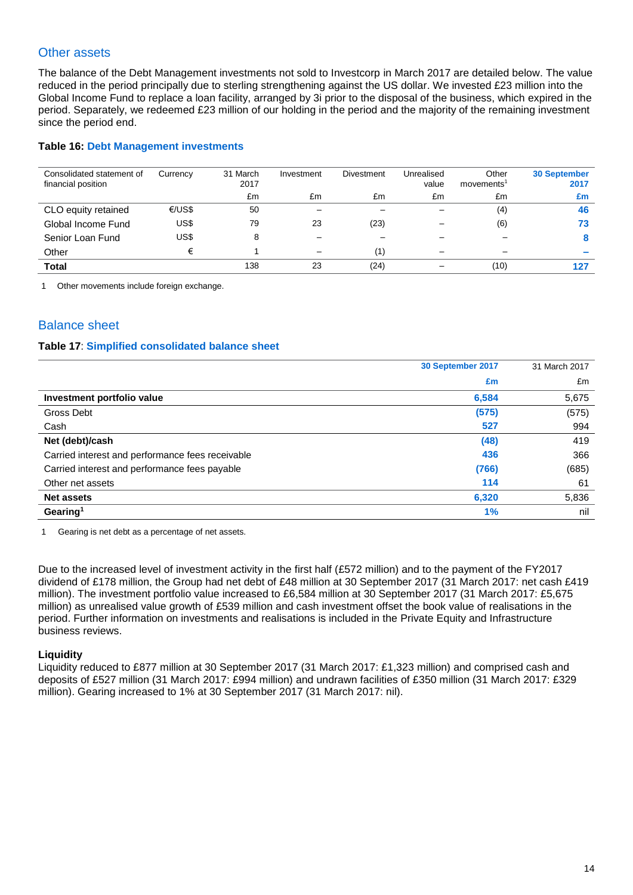## Other assets

The balance of the Debt Management investments not sold to Investcorp in March 2017 are detailed below. The value reduced in the period principally due to sterling strengthening against the US dollar. We invested £23 million into the Global Income Fund to replace a loan facility, arranged by 3i prior to the disposal of the business, which expired in the period. Separately, we redeemed £23 million of our holding in the period and the majority of the remaining investment since the period end.

### **Table 16: Debt Management investments**

| Consolidated statement of<br>financial position | Currency | 31 March<br>2017 | Investment | Divestment | Unrealised<br>value | Other<br>movements <sup>1</sup> | <b>30 September</b><br>2017 |
|-------------------------------------------------|----------|------------------|------------|------------|---------------------|---------------------------------|-----------------------------|
|                                                 |          | £m               | £m         | £m         | £m                  | £m                              | £m                          |
| CLO equity retained                             | €/US\$   | 50               |            |            |                     | (4)                             | 46                          |
| Global Income Fund                              | US\$     | 79               | 23         | (23)       |                     | (6)                             | 73                          |
| Senior Loan Fund                                | US\$     | 8                |            |            |                     |                                 |                             |
| Other                                           |          |                  |            | (1)        |                     |                                 |                             |
| Total                                           |          | 138              | 23         | (24)       |                     | (10)                            | 127                         |

1 Other movements include foreign exchange.

## Balance sheet

### **Table 17**: **Simplified consolidated balance sheet**

|                                                  | 30 September 2017 | 31 March 2017 |
|--------------------------------------------------|-------------------|---------------|
|                                                  | £m                | £m            |
| Investment portfolio value                       | 6,584             | 5,675         |
| Gross Debt                                       | (575)             | (575)         |
| Cash                                             | 527               | 994           |
| Net (debt)/cash                                  | (48)              | 419           |
| Carried interest and performance fees receivable | 436               | 366           |
| Carried interest and performance fees payable    | (766)             | (685)         |
| Other net assets                                 | 114               | 61            |
| <b>Net assets</b>                                | 6,320             | 5,836         |
| Gearing <sup>1</sup>                             | 1%                | nil           |

1 Gearing is net debt as a percentage of net assets.

Due to the increased level of investment activity in the first half (£572 million) and to the payment of the FY2017 dividend of £178 million, the Group had net debt of £48 million at 30 September 2017 (31 March 2017: net cash £419 million). The investment portfolio value increased to £6,584 million at 30 September 2017 (31 March 2017: £5,675 million) as unrealised value growth of £539 million and cash investment offset the book value of realisations in the period. Further information on investments and realisations is included in the Private Equity and Infrastructure business reviews.

### **Liquidity**

Liquidity reduced to £877 million at 30 September 2017 (31 March 2017: £1,323 million) and comprised cash and deposits of £527 million (31 March 2017: £994 million) and undrawn facilities of £350 million (31 March 2017: £329 million). Gearing increased to 1% at 30 September 2017 (31 March 2017: nil).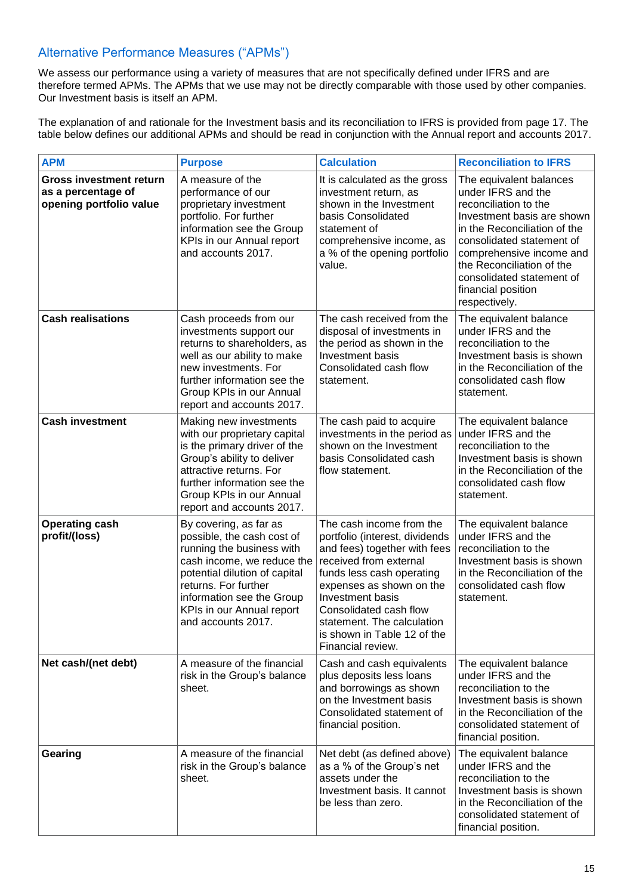## Alternative Performance Measures ("APMs")

We assess our performance using a variety of measures that are not specifically defined under IFRS and are therefore termed APMs. The APMs that we use may not be directly comparable with those used by other companies. Our Investment basis is itself an APM.

The explanation of and rationale for the Investment basis and its reconciliation to IFRS is provided from page 17. The table below defines our additional APMs and should be read in conjunction with the Annual report and accounts 2017.

| <b>APM</b>                                                                      | <b>Purpose</b>                                                                                                                                                                                                                                           | <b>Calculation</b>                                                                                                                                                                                                                                                                                            | <b>Reconciliation to IFRS</b>                                                                                                                                                                                                                                                                  |
|---------------------------------------------------------------------------------|----------------------------------------------------------------------------------------------------------------------------------------------------------------------------------------------------------------------------------------------------------|---------------------------------------------------------------------------------------------------------------------------------------------------------------------------------------------------------------------------------------------------------------------------------------------------------------|------------------------------------------------------------------------------------------------------------------------------------------------------------------------------------------------------------------------------------------------------------------------------------------------|
| <b>Gross investment return</b><br>as a percentage of<br>opening portfolio value | A measure of the<br>performance of our<br>proprietary investment<br>portfolio. For further<br>information see the Group<br>KPIs in our Annual report<br>and accounts 2017.                                                                               | It is calculated as the gross<br>investment return, as<br>shown in the Investment<br>basis Consolidated<br>statement of<br>comprehensive income, as<br>a % of the opening portfolio<br>value.                                                                                                                 | The equivalent balances<br>under IFRS and the<br>reconciliation to the<br>Investment basis are shown<br>in the Reconciliation of the<br>consolidated statement of<br>comprehensive income and<br>the Reconciliation of the<br>consolidated statement of<br>financial position<br>respectively. |
| <b>Cash realisations</b>                                                        | Cash proceeds from our<br>investments support our<br>returns to shareholders, as<br>well as our ability to make<br>new investments. For<br>further information see the<br>Group KPIs in our Annual<br>report and accounts 2017.                          | The cash received from the<br>disposal of investments in<br>the period as shown in the<br>Investment basis<br>Consolidated cash flow<br>statement.                                                                                                                                                            | The equivalent balance<br>under IFRS and the<br>reconciliation to the<br>Investment basis is shown<br>in the Reconciliation of the<br>consolidated cash flow<br>statement.                                                                                                                     |
| <b>Cash investment</b>                                                          | Making new investments<br>with our proprietary capital<br>is the primary driver of the<br>Group's ability to deliver<br>attractive returns. For<br>further information see the<br>Group KPIs in our Annual<br>report and accounts 2017.                  | The cash paid to acquire<br>investments in the period as<br>shown on the Investment<br>basis Consolidated cash<br>flow statement.                                                                                                                                                                             | The equivalent balance<br>under IFRS and the<br>reconciliation to the<br>Investment basis is shown<br>in the Reconciliation of the<br>consolidated cash flow<br>statement.                                                                                                                     |
| <b>Operating cash</b><br>profit/(loss)                                          | By covering, as far as<br>possible, the cash cost of<br>running the business with<br>cash income, we reduce the<br>potential dilution of capital<br>returns. For further<br>information see the Group<br>KPIs in our Annual report<br>and accounts 2017. | The cash income from the<br>portfolio (interest, dividends<br>and fees) together with fees<br>received from external<br>funds less cash operating<br>expenses as shown on the<br>Investment basis<br>Consolidated cash flow<br>statement. The calculation<br>is shown in Table 12 of the<br>Financial review. | The equivalent balance<br>under IFRS and the<br>reconciliation to the<br>Investment basis is shown<br>in the Reconciliation of the<br>consolidated cash flow<br>statement.                                                                                                                     |
| Net cash/(net debt)                                                             | A measure of the financial<br>risk in the Group's balance<br>sheet.                                                                                                                                                                                      | Cash and cash equivalents<br>plus deposits less loans<br>and borrowings as shown<br>on the Investment basis<br>Consolidated statement of<br>financial position.                                                                                                                                               | The equivalent balance<br>under IFRS and the<br>reconciliation to the<br>Investment basis is shown<br>in the Reconciliation of the<br>consolidated statement of<br>financial position.                                                                                                         |
| Gearing                                                                         | A measure of the financial<br>risk in the Group's balance<br>sheet.                                                                                                                                                                                      | Net debt (as defined above)<br>as a % of the Group's net<br>assets under the<br>Investment basis. It cannot<br>be less than zero.                                                                                                                                                                             | The equivalent balance<br>under IFRS and the<br>reconciliation to the<br>Investment basis is shown<br>in the Reconciliation of the<br>consolidated statement of<br>financial position.                                                                                                         |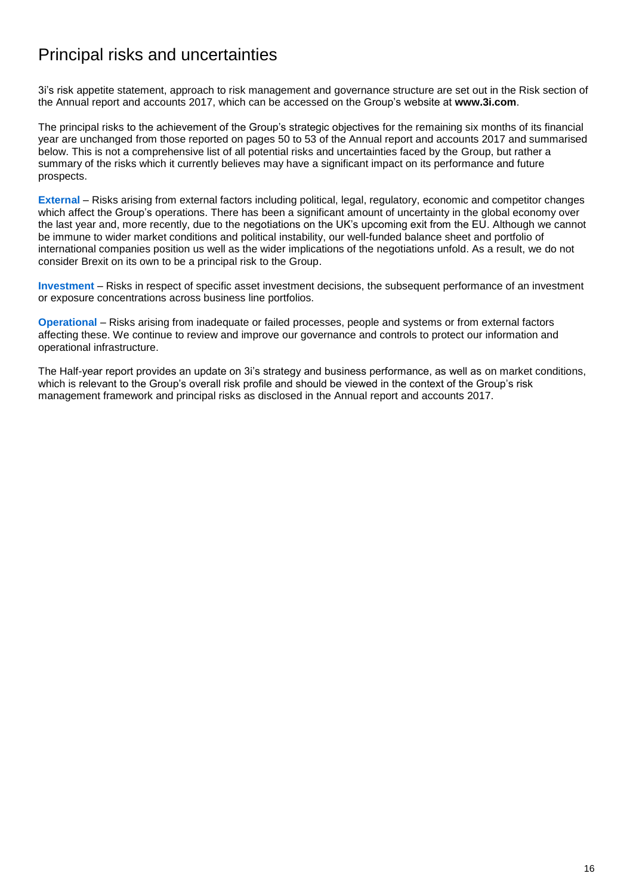# Principal risks and uncertainties

3i's risk appetite statement, approach to risk management and governance structure are set out in the Risk section of the Annual report and accounts 2017, which can be accessed on the Group's website at **[www.3i.com](http://www.3i.com/)**.

The principal risks to the achievement of the Group's strategic objectives for the remaining six months of its financial year are unchanged from those reported on pages 50 to 53 of the Annual report and accounts 2017 and summarised below. This is not a comprehensive list of all potential risks and uncertainties faced by the Group, but rather a summary of the risks which it currently believes may have a significant impact on its performance and future prospects.

**External** – Risks arising from external factors including political, legal, regulatory, economic and competitor changes which affect the Group's operations. There has been a significant amount of uncertainty in the global economy over the last year and, more recently, due to the negotiations on the UK's upcoming exit from the EU. Although we cannot be immune to wider market conditions and political instability, our well-funded balance sheet and portfolio of international companies position us well as the wider implications of the negotiations unfold. As a result, we do not consider Brexit on its own to be a principal risk to the Group.

**Investment** – Risks in respect of specific asset investment decisions, the subsequent performance of an investment or exposure concentrations across business line portfolios.

**Operational** – Risks arising from inadequate or failed processes, people and systems or from external factors affecting these. We continue to review and improve our governance and controls to protect our information and operational infrastructure.

The Half-year report provides an update on 3i's strategy and business performance, as well as on market conditions, which is relevant to the Group's overall risk profile and should be viewed in the context of the Group's risk management framework and principal risks as disclosed in the Annual report and accounts 2017.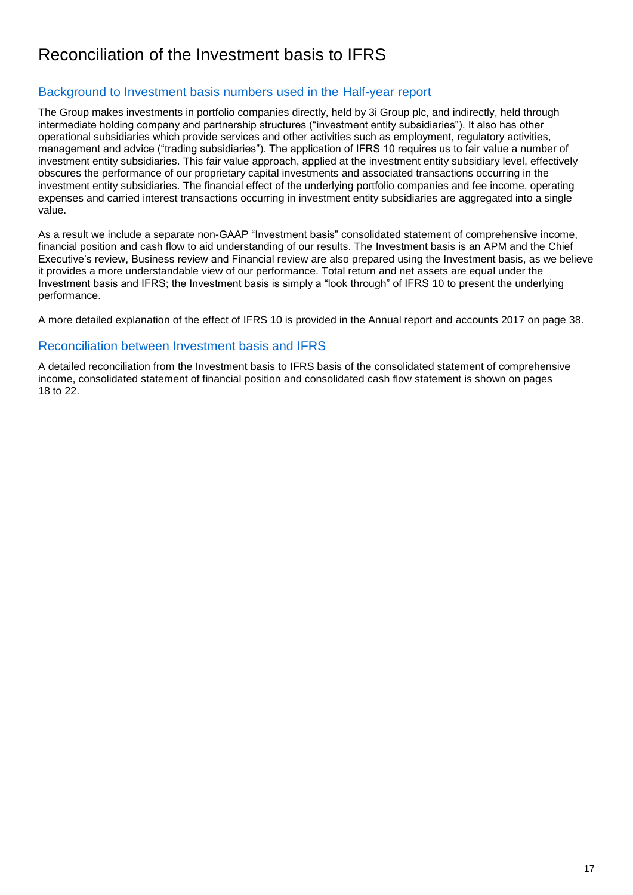# Reconciliation of the Investment basis to IFRS

## Background to Investment basis numbers used in the Half-year report

The Group makes investments in portfolio companies directly, held by 3i Group plc, and indirectly, held through intermediate holding company and partnership structures ("investment entity subsidiaries"). It also has other operational subsidiaries which provide services and other activities such as employment, regulatory activities, management and advice ("trading subsidiaries"). The application of IFRS 10 requires us to fair value a number of investment entity subsidiaries. This fair value approach, applied at the investment entity subsidiary level, effectively obscures the performance of our proprietary capital investments and associated transactions occurring in the investment entity subsidiaries. The financial effect of the underlying portfolio companies and fee income, operating expenses and carried interest transactions occurring in investment entity subsidiaries are aggregated into a single value.

As a result we include a separate non-GAAP "Investment basis" consolidated statement of comprehensive income, financial position and cash flow to aid understanding of our results. The Investment basis is an APM and the Chief Executive's review, Business review and Financial review are also prepared using the Investment basis, as we believe it provides a more understandable view of our performance. Total return and net assets are equal under the Investment basis and IFRS; the Investment basis is simply a "look through" of IFRS 10 to present the underlying performance.

A more detailed explanation of the effect of IFRS 10 is provided in the Annual report and accounts 2017 on page 38.

### Reconciliation between Investment basis and IFRS

A detailed reconciliation from the Investment basis to IFRS basis of the consolidated statement of comprehensive income, consolidated statement of financial position and consolidated cash flow statement is shown on pages 18 to 22.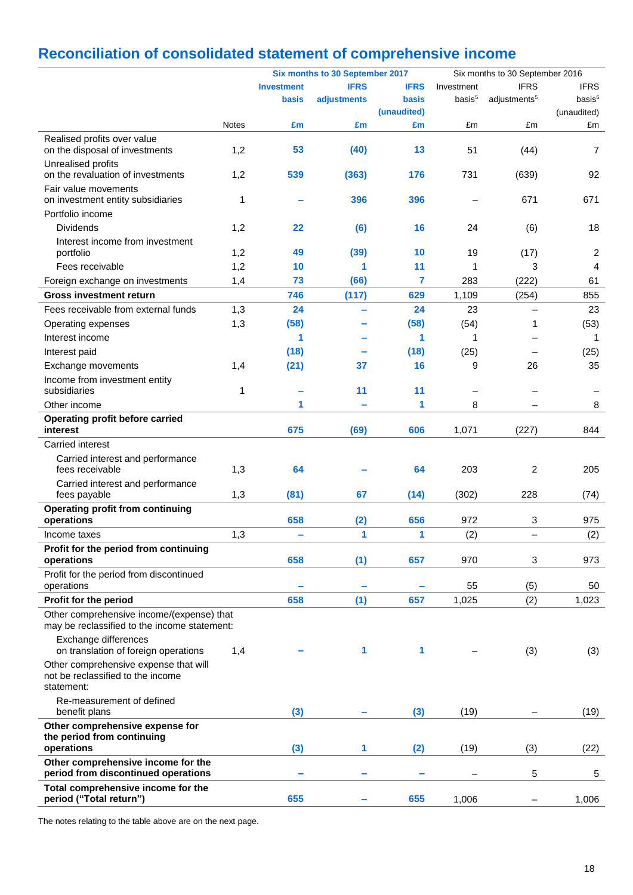# **Reconciliation of consolidated statement of comprehensive income**

|                                                                                           |              | Six months to 30 September 2017 |             |             | Six months to 30 September 2016 |                          |                    |  |
|-------------------------------------------------------------------------------------------|--------------|---------------------------------|-------------|-------------|---------------------------------|--------------------------|--------------------|--|
|                                                                                           |              | <b>Investment</b>               | <b>IFRS</b> | <b>IFRS</b> | Investment                      | <b>IFRS</b>              | <b>IFRS</b>        |  |
|                                                                                           |              | basis                           | adjustments | basis       | basis <sup>5</sup>              | adjustments <sup>5</sup> | basis <sup>5</sup> |  |
|                                                                                           |              |                                 |             | (unaudited) |                                 |                          | (unaudited)        |  |
|                                                                                           | <b>Notes</b> | £m                              | £m          | £m          | £m                              | £m                       | £m                 |  |
| Realised profits over value<br>on the disposal of investments                             | 1,2          | 53                              | (40)        | 13          | 51                              | (44)                     | 7                  |  |
| Unrealised profits<br>on the revaluation of investments                                   | 1,2          | 539                             | (363)       | 176         | 731                             | (639)                    | 92                 |  |
| Fair value movements                                                                      |              |                                 |             |             |                                 |                          |                    |  |
| on investment entity subsidiaries                                                         | 1            |                                 | 396         | 396         |                                 | 671                      | 671                |  |
| Portfolio income                                                                          |              |                                 |             |             |                                 |                          |                    |  |
| <b>Dividends</b>                                                                          | 1,2          | 22                              | (6)         | 16          | 24                              | (6)                      | 18                 |  |
| Interest income from investment<br>portfolio                                              | 1,2          | 49                              | (39)        | 10          | 19                              | (17)                     | $\overline{2}$     |  |
| Fees receivable                                                                           | 1,2          | 10                              | 1           | 11          | $\mathbf 1$                     | 3                        | $\overline{4}$     |  |
| Foreign exchange on investments                                                           | 1,4          | 73                              | (66)        | 7           | 283                             | (222)                    | 61                 |  |
| <b>Gross investment return</b>                                                            |              | 746                             | (117)       | 629         | 1,109                           |                          | 855                |  |
| Fees receivable from external funds                                                       |              | 24                              |             | 24          |                                 | (254)                    | 23                 |  |
|                                                                                           | 1,3          |                                 | Ξ.          |             | 23                              |                          |                    |  |
| Operating expenses                                                                        | 1,3          | (58)<br>1                       |             | (58)        | (54)                            | 1                        | (53)               |  |
| Interest income                                                                           |              |                                 |             | 1           | 1                               |                          | 1                  |  |
| Interest paid                                                                             |              | (18)                            |             | (18)        | (25)                            |                          | (25)               |  |
| Exchange movements                                                                        | 1,4          | (21)                            | 37          | 16          | 9                               | 26                       | 35                 |  |
| Income from investment entity<br>subsidiaries                                             | 1            |                                 | 11          | 11          |                                 |                          |                    |  |
| Other income                                                                              |              | 1                               |             | 1           | 8                               |                          | 8                  |  |
| Operating profit before carried                                                           |              |                                 |             |             |                                 |                          |                    |  |
| interest                                                                                  |              | 675                             | (69)        | 606         | 1,071                           | (227)                    | 844                |  |
| Carried interest                                                                          |              |                                 |             |             |                                 |                          |                    |  |
| Carried interest and performance<br>fees receivable                                       | 1,3          | 64                              |             | 64          | 203                             | $\overline{2}$           | 205                |  |
| Carried interest and performance<br>fees payable                                          | 1,3          | (81)                            | 67          | (14)        | (302)                           | 228                      | (74)               |  |
| <b>Operating profit from continuing</b><br>operations                                     |              | 658                             | (2)         | 656         | 972                             | 3                        | 975                |  |
| Income taxes                                                                              | 1,3          | -                               | 1           | 1           | (2)                             | —                        | (2)                |  |
| Profit for the period from continuing                                                     |              |                                 |             |             |                                 |                          |                    |  |
| operations                                                                                |              | 658                             | (1)         | 657         | 970                             | 3                        | 973                |  |
| Profit for the period from discontinued<br>operations                                     |              |                                 |             |             | 55                              | (5)                      | 50                 |  |
| Profit for the period                                                                     |              | 658                             | (1)         | 657         | 1,025                           | (2)                      | 1,023              |  |
| Other comprehensive income/(expense) that<br>may be reclassified to the income statement: |              |                                 |             |             |                                 |                          |                    |  |
| Exchange differences<br>on translation of foreign operations                              | 1,4          |                                 | 1           | 1           |                                 | (3)                      | (3)                |  |
| Other comprehensive expense that will<br>not be reclassified to the income<br>statement:  |              |                                 |             |             |                                 |                          |                    |  |
| Re-measurement of defined<br>benefit plans                                                |              | (3)                             |             | (3)         | (19)                            |                          | (19)               |  |
| Other comprehensive expense for                                                           |              |                                 |             |             |                                 |                          |                    |  |
| the period from continuing<br>operations                                                  |              | (3)                             | 1           | (2)         | (19)                            | (3)                      | (22)               |  |
| Other comprehensive income for the<br>period from discontinued operations                 |              | ۰                               | -           |             |                                 | 5                        | 5                  |  |
| Total comprehensive income for the<br>period ("Total return")                             |              | 655                             |             | 655         | 1,006                           |                          | 1,006              |  |
|                                                                                           |              |                                 |             |             |                                 |                          |                    |  |

The notes relating to the table above are on the next page.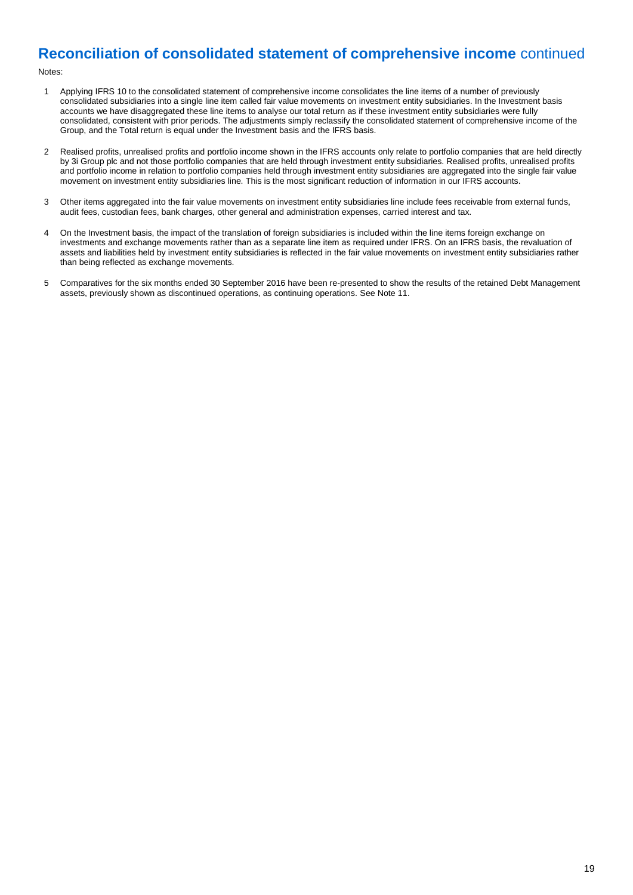## **Reconciliation of consolidated statement of comprehensive income** continued

Notes:

- 1 Applying IFRS 10 to the consolidated statement of comprehensive income consolidates the line items of a number of previously consolidated subsidiaries into a single line item called fair value movements on investment entity subsidiaries. In the Investment basis accounts we have disaggregated these line items to analyse our total return as if these investment entity subsidiaries were fully consolidated, consistent with prior periods. The adjustments simply reclassify the consolidated statement of comprehensive income of the Group, and the Total return is equal under the Investment basis and the IFRS basis.
- 2 Realised profits, unrealised profits and portfolio income shown in the IFRS accounts only relate to portfolio companies that are held directly by 3i Group plc and not those portfolio companies that are held through investment entity subsidiaries. Realised profits, unrealised profits and portfolio income in relation to portfolio companies held through investment entity subsidiaries are aggregated into the single fair value movement on investment entity subsidiaries line. This is the most significant reduction of information in our IFRS accounts.
- 3 Other items aggregated into the fair value movements on investment entity subsidiaries line include fees receivable from external funds, audit fees, custodian fees, bank charges, other general and administration expenses, carried interest and tax.
- 4 On the Investment basis, the impact of the translation of foreign subsidiaries is included within the line items foreign exchange on investments and exchange movements rather than as a separate line item as required under IFRS. On an IFRS basis, the revaluation of assets and liabilities held by investment entity subsidiaries is reflected in the fair value movements on investment entity subsidiaries rather than being reflected as exchange movements.
- 5 Comparatives for the six months ended 30 September 2016 have been re-presented to show the results of the retained Debt Management assets, previously shown as discontinued operations, as continuing operations. See Note 11.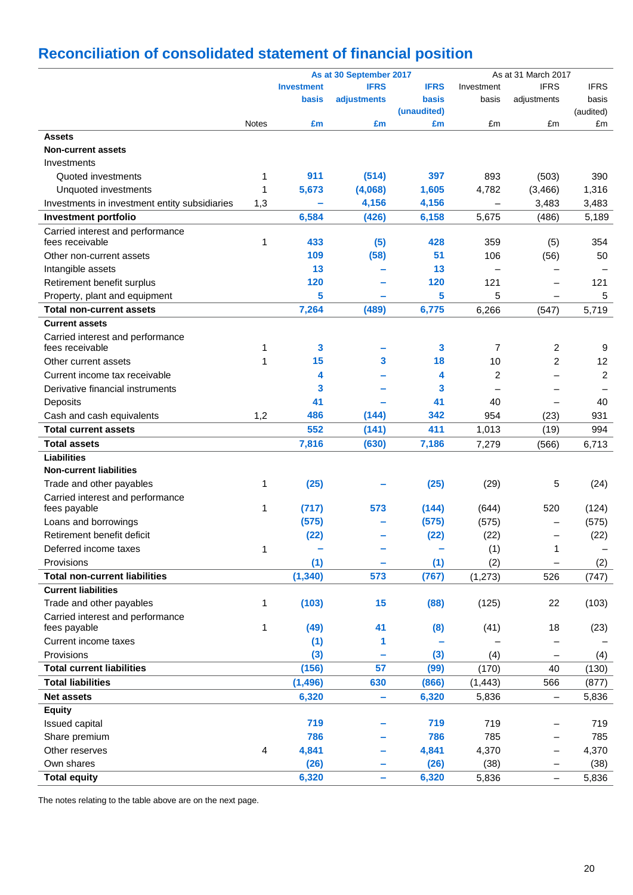# **Reconciliation of consolidated statement of financial position**

|                                               |              |                   | As at 30 September 2017 |              |            | As at 31 March 2017      |                |
|-----------------------------------------------|--------------|-------------------|-------------------------|--------------|------------|--------------------------|----------------|
|                                               |              | <b>Investment</b> | <b>IFRS</b>             | <b>IFRS</b>  | Investment | <b>IFRS</b>              | <b>IFRS</b>    |
|                                               |              | basis             | adjustments             | <b>basis</b> | basis      | adjustments              | basis          |
|                                               |              |                   |                         | (unaudited)  |            |                          | (audited)      |
|                                               | <b>Notes</b> | £m                | £m                      | £m           | £m         | £m                       | £m             |
| <b>Assets</b>                                 |              |                   |                         |              |            |                          |                |
| <b>Non-current assets</b>                     |              |                   |                         |              |            |                          |                |
| Investments                                   |              |                   |                         |              |            |                          |                |
| Quoted investments                            | 1            | 911               | (514)                   | 397          | 893        | (503)                    | 390            |
| Unquoted investments                          | 1            | 5,673             | (4,068)                 | 1,605        | 4,782      | (3,466)                  | 1,316          |
| Investments in investment entity subsidiaries | 1,3          |                   | 4,156                   | 4,156        |            | 3,483                    | 3,483          |
| Investment portfolio                          |              | 6,584             | (426)                   | 6,158        | 5,675      | (486)                    | 5,189          |
| Carried interest and performance              |              |                   |                         |              |            |                          |                |
| fees receivable                               | 1            | 433               | (5)                     | 428          | 359        | (5)                      | 354            |
| Other non-current assets                      |              | 109               | (58)                    | 51           | 106        | (56)                     | 50             |
| Intangible assets                             |              | 13                |                         | 13           |            |                          |                |
| Retirement benefit surplus                    |              | 120               |                         | 120          | 121        | $\overline{\phantom{0}}$ | 121            |
| Property, plant and equipment                 |              | 5                 |                         | 5            | 5          |                          | 5              |
| <b>Total non-current assets</b>               |              | 7,264             | (489)                   | 6,775        | 6,266      | (547)                    | 5,719          |
| <b>Current assets</b>                         |              |                   |                         |              |            |                          |                |
| Carried interest and performance              |              |                   |                         |              |            |                          |                |
| fees receivable                               | 1            | 3                 |                         | 3            | 7          | 2                        | 9              |
| Other current assets                          | 1            | 15                | 3                       | 18           | 10         | $\overline{2}$           | 12             |
| Current income tax receivable                 |              | 4                 |                         | 4            | 2          | $\equiv$                 | $\overline{c}$ |
|                                               |              |                   |                         |              |            |                          |                |
| Derivative financial instruments              |              | 3                 |                         | 3            |            |                          |                |
| Deposits                                      |              | 41                |                         | 41           | 40         |                          | 40             |
| Cash and cash equivalents                     | 1,2          | 486               | (144)                   | 342          | 954        | (23)                     | 931            |
| <b>Total current assets</b>                   |              | 552               | (141)                   | 411          | 1,013      | (19)                     | 994            |
| <b>Total assets</b>                           |              | 7,816             | (630)                   | 7,186        | 7,279      | (566)                    | 6,713          |
| <b>Liabilities</b>                            |              |                   |                         |              |            |                          |                |
| <b>Non-current liabilities</b>                |              |                   |                         |              |            |                          |                |
| Trade and other payables                      | 1            | (25)              |                         | (25)         | (29)       | 5                        | (24)           |
| Carried interest and performance              |              |                   |                         |              |            |                          |                |
| fees payable                                  | 1            | (717)             | 573                     | (144)        | (644)      | 520                      | (124)          |
| Loans and borrowings                          |              | (575)             |                         | (575)        | (575)      |                          | (575)          |
| Retirement benefit deficit                    |              | (22)              |                         | (22)         | (22)       |                          | (22)           |
| Deferred income taxes                         | 1            |                   |                         |              | (1)        | 1                        |                |
| Provisions                                    |              | (1)               |                         | (1)          | (2)        |                          | (2)            |
| <b>Total non-current liabilities</b>          |              | (1, 340)          | 573                     | (767)        | (1, 273)   | 526                      | (747)          |
| <b>Current liabilities</b>                    |              |                   |                         |              |            |                          |                |
| Trade and other payables                      | 1            | (103)             | 15                      | (88)         | (125)      | 22                       | (103)          |
| Carried interest and performance              |              |                   |                         |              |            |                          |                |
| fees payable                                  | 1            | (49)              | 41                      | (8)          | (41)       | 18                       | (23)           |
| Current income taxes                          |              | (1)               | 1                       |              |            |                          |                |
| Provisions                                    |              | (3)               |                         | (3)          | (4)        |                          | (4)            |
| <b>Total current liabilities</b>              |              | (156)             | 57                      | (99)         | (170)      | 40                       | (130)          |
| <b>Total liabilities</b>                      |              | (1, 496)          | 630                     | (866)        | (1, 443)   | 566                      | (877)          |
| <b>Net assets</b>                             |              | 6,320             |                         | 6,320        |            |                          |                |
|                                               |              |                   | ۰                       |              | 5,836      | $\qquad \qquad -$        | 5,836          |
| <b>Equity</b>                                 |              |                   |                         |              |            |                          |                |
| Issued capital                                |              | 719               |                         | 719          | 719        |                          | 719            |
| Share premium                                 |              | 786               |                         | 786          | 785        | —                        | 785            |
| Other reserves                                | 4            | 4,841             |                         | 4,841        | 4,370      | —                        | 4,370          |
| Own shares                                    |              | (26)              |                         | (26)         | (38)       | $\overline{\phantom{0}}$ | (38)           |
| <b>Total equity</b>                           |              | 6,320             | ÷                       | 6,320        | 5,836      | $\overline{\phantom{0}}$ | 5,836          |

The notes relating to the table above are on the next page.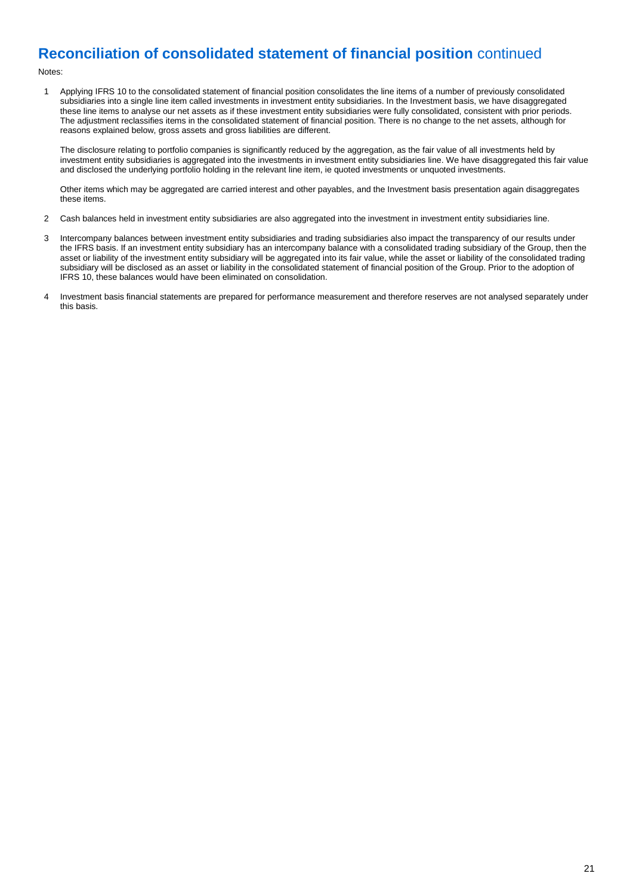## **Reconciliation of consolidated statement of financial position** continued

Notes:

1 Applying IFRS 10 to the consolidated statement of financial position consolidates the line items of a number of previously consolidated subsidiaries into a single line item called investments in investment entity subsidiaries. In the Investment basis, we have disaggregated these line items to analyse our net assets as if these investment entity subsidiaries were fully consolidated, consistent with prior periods. The adjustment reclassifies items in the consolidated statement of financial position. There is no change to the net assets, although for reasons explained below, gross assets and gross liabilities are different.

The disclosure relating to portfolio companies is significantly reduced by the aggregation, as the fair value of all investments held by investment entity subsidiaries is aggregated into the investments in investment entity subsidiaries line. We have disaggregated this fair value and disclosed the underlying portfolio holding in the relevant line item, ie quoted investments or unquoted investments.

Other items which may be aggregated are carried interest and other payables, and the Investment basis presentation again disaggregates these items.

- 2 Cash balances held in investment entity subsidiaries are also aggregated into the investment in investment entity subsidiaries line.
- 3 Intercompany balances between investment entity subsidiaries and trading subsidiaries also impact the transparency of our results under the IFRS basis. If an investment entity subsidiary has an intercompany balance with a consolidated trading subsidiary of the Group, then the asset or liability of the investment entity subsidiary will be aggregated into its fair value, while the asset or liability of the consolidated trading subsidiary will be disclosed as an asset or liability in the consolidated statement of financial position of the Group. Prior to the adoption of IFRS 10, these balances would have been eliminated on consolidation.
- 4 Investment basis financial statements are prepared for performance measurement and therefore reserves are not analysed separately under this basis.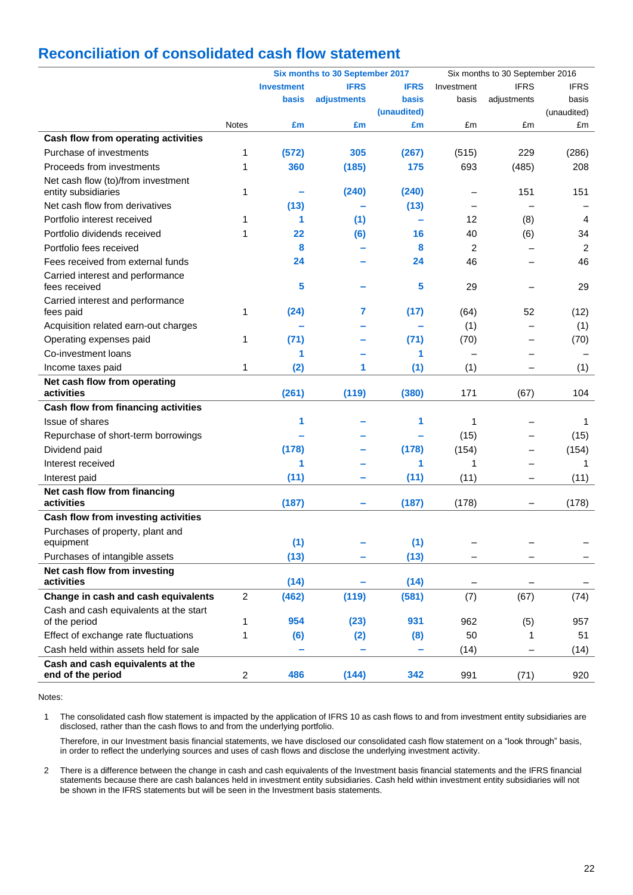## **Reconciliation of consolidated cash flow statement**

|                                                           | Six months to 30 September 2017 |                   |             |             | Six months to 30 September 2016 |                          |             |
|-----------------------------------------------------------|---------------------------------|-------------------|-------------|-------------|---------------------------------|--------------------------|-------------|
|                                                           |                                 | <b>Investment</b> | <b>IFRS</b> | <b>IFRS</b> | Investment                      | <b>IFRS</b>              | <b>IFRS</b> |
|                                                           |                                 | basis             | adjustments | basis       | basis                           | adjustments              | basis       |
|                                                           |                                 |                   |             | (unaudited) |                                 |                          | (unaudited) |
|                                                           | <b>Notes</b>                    | £m                | £m          | £m          | £m                              | £m                       | £m          |
| Cash flow from operating activities                       |                                 |                   |             |             |                                 |                          |             |
| Purchase of investments                                   | 1                               | (572)             | 305         | (267)       | (515)                           | 229                      | (286)       |
| Proceeds from investments                                 | 1                               | 360               | (185)       | 175         | 693                             | (485)                    | 208         |
| Net cash flow (to)/from investment<br>entity subsidiaries | 1                               |                   | (240)       | (240)       |                                 | 151                      | 151         |
| Net cash flow from derivatives                            |                                 | (13)              |             | (13)        |                                 |                          |             |
| Portfolio interest received                               | 1                               | 1                 | (1)         | ÷           | 12                              | (8)                      | 4           |
| Portfolio dividends received                              | 1                               | 22                | (6)         | 16          | 40                              | (6)                      | 34          |
| Portfolio fees received                                   |                                 | 8                 |             | 8           | 2                               | $\overline{\phantom{0}}$ | 2           |
| Fees received from external funds                         |                                 | 24                |             | 24          | 46                              |                          | 46          |
| Carried interest and performance<br>fees received         |                                 | 5                 |             | 5           | 29                              |                          | 29          |
| Carried interest and performance                          |                                 |                   |             |             |                                 |                          |             |
| fees paid                                                 | 1                               | (24)              | 7           | (17)        | (64)                            | 52                       | (12)        |
| Acquisition related earn-out charges                      |                                 |                   |             |             | (1)                             |                          | (1)         |
| Operating expenses paid                                   | 1                               | (71)              |             | (71)        | (70)                            |                          | (70)        |
| Co-investment loans                                       |                                 | 1                 |             | 1           |                                 |                          |             |
| Income taxes paid                                         | 1                               | (2)               | 1           | (1)         | (1)                             |                          | (1)         |
| Net cash flow from operating                              |                                 |                   |             |             |                                 |                          |             |
| activities                                                |                                 | (261)             | (119)       | (380)       | 171                             | (67)                     | 104         |
| Cash flow from financing activities                       |                                 |                   |             |             |                                 |                          |             |
| <b>Issue of shares</b>                                    |                                 | 1                 |             | 1           | 1                               |                          | 1           |
| Repurchase of short-term borrowings                       |                                 |                   |             |             | (15)                            |                          | (15)        |
| Dividend paid                                             |                                 | (178)             |             | (178)       | (154)                           | $\overline{\phantom{0}}$ | (154)       |
| Interest received                                         |                                 | 1                 |             | 1           | 1                               |                          | 1           |
| Interest paid                                             |                                 | (11)              |             | (11)        | (11)                            |                          | (11)        |
| Net cash flow from financing                              |                                 |                   |             |             |                                 |                          |             |
| activities                                                |                                 | (187)             |             | (187)       | (178)                           | —                        | (178)       |
| Cash flow from investing activities                       |                                 |                   |             |             |                                 |                          |             |
| Purchases of property, plant and                          |                                 |                   |             |             |                                 |                          |             |
| equipment                                                 |                                 | (1)               |             | (1)         |                                 |                          |             |
| Purchases of intangible assets                            |                                 | (13)              |             | (13)        |                                 |                          |             |
| Net cash flow from investing<br>activities                |                                 | (14)              |             | (14)        |                                 |                          |             |
| Change in cash and cash equivalents                       | $\overline{2}$                  | (462)             | (119)       | (581)       | (7)                             | (67)                     | (74)        |
| Cash and cash equivalents at the start<br>of the period   | 1                               | 954               | (23)        | 931         | 962                             | (5)                      | 957         |
| Effect of exchange rate fluctuations                      | 1                               | (6)               | (2)         | (8)         | 50                              | 1                        | 51          |
| Cash held within assets held for sale                     |                                 |                   |             |             | (14)                            |                          | (14)        |
| Cash and cash equivalents at the<br>end of the period     | $\overline{\mathbf{c}}$         | 486               | (144)       | 342         | 991                             | (71)                     | 920         |
|                                                           |                                 |                   |             |             |                                 |                          |             |

Notes:

1 The consolidated cash flow statement is impacted by the application of IFRS 10 as cash flows to and from investment entity subsidiaries are disclosed, rather than the cash flows to and from the underlying portfolio.

Therefore, in our Investment basis financial statements, we have disclosed our consolidated cash flow statement on a "look through" basis, in order to reflect the underlying sources and uses of cash flows and disclose the underlying investment activity.

2 There is a difference between the change in cash and cash equivalents of the Investment basis financial statements and the IFRS financial statements because there are cash balances held in investment entity subsidiaries. Cash held within investment entity subsidiaries will not be shown in the IFRS statements but will be seen in the Investment basis statements.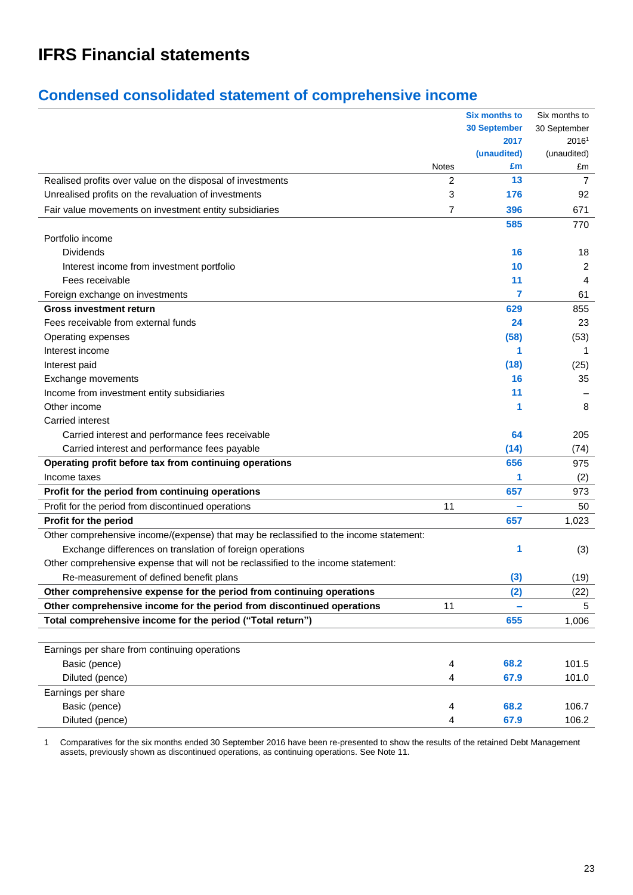# **IFRS Financial statements**

## **Condensed consolidated statement of comprehensive income**

|                                                                                        |              | <b>Six months to</b> | Six months to     |
|----------------------------------------------------------------------------------------|--------------|----------------------|-------------------|
|                                                                                        |              | <b>30 September</b>  | 30 September      |
|                                                                                        |              | 2017                 | 2016 <sup>1</sup> |
|                                                                                        |              | (unaudited)          | (unaudited)       |
|                                                                                        | <b>Notes</b> | £m                   | £m                |
| Realised profits over value on the disposal of investments                             | 2            | 13                   | 7                 |
| Unrealised profits on the revaluation of investments                                   | 3            | 176                  | 92                |
| Fair value movements on investment entity subsidiaries                                 | 7            | 396                  | 671               |
|                                                                                        |              | 585                  | 770               |
| Portfolio income                                                                       |              |                      |                   |
| Dividends                                                                              |              | 16                   | 18                |
| Interest income from investment portfolio                                              |              | 10                   | 2                 |
| Fees receivable                                                                        |              | 11                   | 4                 |
| Foreign exchange on investments                                                        |              | 7                    | 61                |
| <b>Gross investment return</b>                                                         |              | 629                  | 855               |
| Fees receivable from external funds                                                    |              | 24                   | 23                |
| Operating expenses                                                                     |              | (58)                 | (53)              |
| Interest income                                                                        |              | 1                    | 1                 |
| Interest paid                                                                          |              | (18)                 | (25)              |
| Exchange movements                                                                     |              | 16                   | 35                |
| Income from investment entity subsidiaries                                             |              | 11                   |                   |
| Other income                                                                           |              |                      | 8                 |
| <b>Carried interest</b>                                                                |              |                      |                   |
| Carried interest and performance fees receivable                                       |              | 64                   | 205               |
| Carried interest and performance fees payable                                          |              | (14)                 | (74)              |
| Operating profit before tax from continuing operations                                 |              | 656                  | 975               |
| Income taxes                                                                           |              |                      | (2)               |
| Profit for the period from continuing operations                                       |              | 657                  | 973               |
| Profit for the period from discontinued operations                                     | 11           | ÷                    | 50                |
| Profit for the period                                                                  |              | 657                  | 1,023             |
| Other comprehensive income/(expense) that may be reclassified to the income statement: |              |                      |                   |
| Exchange differences on translation of foreign operations                              |              | 1                    | (3)               |
| Other comprehensive expense that will not be reclassified to the income statement:     |              |                      |                   |
| Re-measurement of defined benefit plans                                                |              | (3)                  | (19)              |
| Other comprehensive expense for the period from continuing operations                  |              | (2)                  | (22)              |
| Other comprehensive income for the period from discontinued operations                 | 11           |                      | 5                 |
| Total comprehensive income for the period ("Total return")                             |              | 655                  | 1,006             |
|                                                                                        |              |                      |                   |
| Earnings per share from continuing operations                                          |              |                      |                   |
| Basic (pence)                                                                          | 4            | 68.2                 | 101.5             |
| Diluted (pence)                                                                        | 4            | 67.9                 | 101.0             |
| Earnings per share                                                                     |              |                      |                   |
| Basic (pence)                                                                          | 4            | 68.2                 | 106.7             |
| Diluted (pence)                                                                        | 4            | 67.9                 | 106.2             |

1 Comparatives for the six months ended 30 September 2016 have been re-presented to show the results of the retained Debt Management assets, previously shown as discontinued operations, as continuing operations. See Note 11.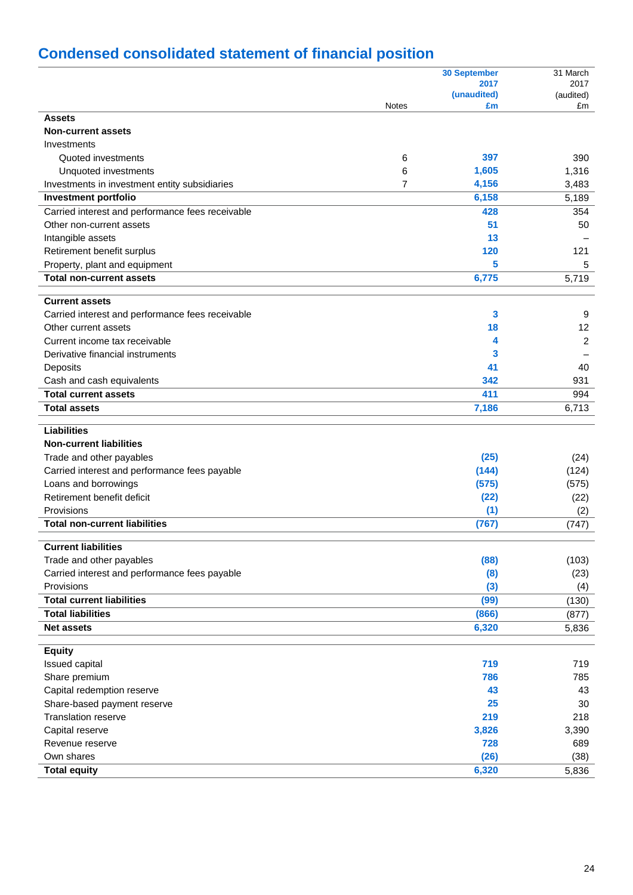# **Condensed consolidated statement of financial position**

|                                                  |              | <b>30 September</b> | 31 March       |
|--------------------------------------------------|--------------|---------------------|----------------|
|                                                  |              | 2017                | 2017           |
|                                                  |              | (unaudited)         | (audited)      |
| <b>Assets</b>                                    | <b>Notes</b> | £m                  | £m             |
| <b>Non-current assets</b>                        |              |                     |                |
|                                                  |              |                     |                |
| Investments<br>Quoted investments                |              | 397                 | 390            |
|                                                  | 6            |                     |                |
| Unquoted investments                             | 6            | 1,605               | 1,316          |
| Investments in investment entity subsidiaries    | 7            | 4,156               | 3,483          |
| Investment portfolio                             |              | 6,158               | 5,189          |
| Carried interest and performance fees receivable |              | 428                 | 354            |
| Other non-current assets                         |              | 51                  | 50             |
| Intangible assets                                |              | 13                  |                |
| Retirement benefit surplus                       |              | 120                 | 121            |
| Property, plant and equipment                    |              | 5                   | 5              |
| <b>Total non-current assets</b>                  |              | 6,775               | 5,719          |
| <b>Current assets</b>                            |              |                     |                |
|                                                  |              | 3                   |                |
| Carried interest and performance fees receivable |              |                     | 9              |
| Other current assets                             |              | 18                  | 12             |
| Current income tax receivable                    |              | 4                   | $\overline{2}$ |
| Derivative financial instruments                 |              | 3                   |                |
| Deposits                                         |              | 41                  | 40             |
| Cash and cash equivalents                        |              | 342                 | 931            |
| <b>Total current assets</b>                      |              | 411                 | 994            |
| <b>Total assets</b>                              |              | 7,186               | 6,713          |
| <b>Liabilities</b>                               |              |                     |                |
| <b>Non-current liabilities</b>                   |              |                     |                |
| Trade and other payables                         |              | (25)                | (24)           |
| Carried interest and performance fees payable    |              | (144)               | (124)          |
| Loans and borrowings                             |              | (575)               | (575)          |
| Retirement benefit deficit                       |              | (22)                |                |
| Provisions                                       |              |                     | (22)           |
| <b>Total non-current liabilities</b>             |              | (1)<br>(767)        | (2)            |
|                                                  |              |                     | (747)          |
| <b>Current liabilities</b>                       |              |                     |                |
| Trade and other payables                         |              | (88)                | (103)          |
| Carried interest and performance fees payable    |              | (8)                 | (23)           |
| Provisions                                       |              | (3)                 | (4)            |
| <b>Total current liabilities</b>                 |              | (99)                | (130)          |
| <b>Total liabilities</b>                         |              | (866)               | (877)          |
| <b>Net assets</b>                                |              | 6,320               | 5,836          |
|                                                  |              |                     |                |
| <b>Equity</b>                                    |              |                     |                |
| Issued capital                                   |              | 719                 | 719            |
| Share premium                                    |              | 786                 | 785            |
| Capital redemption reserve                       |              | 43                  | 43             |
| Share-based payment reserve                      |              | 25                  | 30             |
| <b>Translation reserve</b>                       |              | 219                 | 218            |
| Capital reserve                                  |              | 3,826               | 3,390          |
| Revenue reserve                                  |              | 728                 | 689            |
| Own shares                                       |              | (26)                | (38)           |
| <b>Total equity</b>                              |              | 6,320               | 5,836          |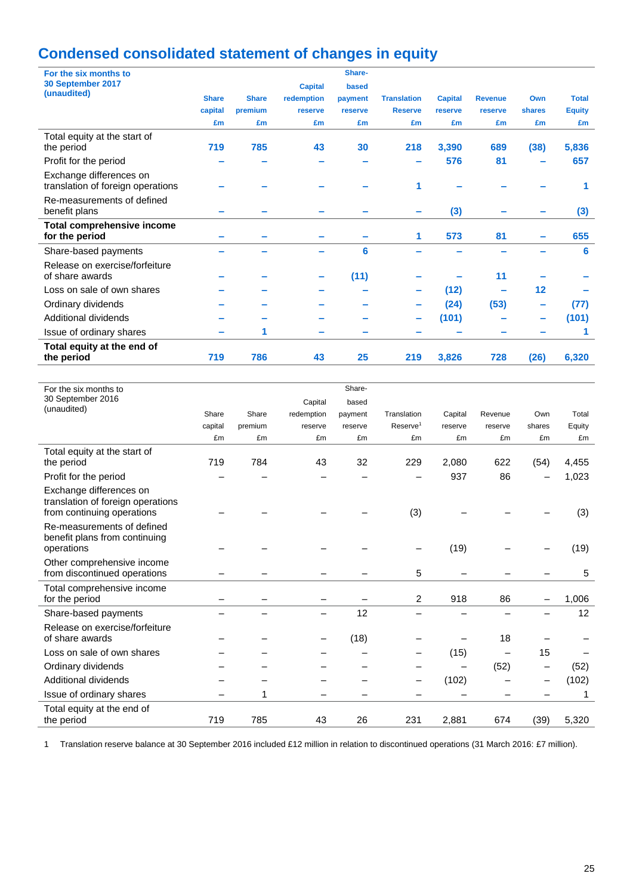# **Condensed consolidated statement of changes in equity**

| For the six months to                                        |              |              |                | Share-  |                    |                |                |        |               |
|--------------------------------------------------------------|--------------|--------------|----------------|---------|--------------------|----------------|----------------|--------|---------------|
| 30 September 2017                                            |              |              | <b>Capital</b> | based   |                    |                |                |        |               |
| (unaudited)                                                  | <b>Share</b> | <b>Share</b> | redemption     | payment | <b>Translation</b> | <b>Capital</b> | <b>Revenue</b> | Own    | <b>Total</b>  |
|                                                              | capital      | premium      | reserve        | reserve | <b>Reserve</b>     | reserve        | reserve        | shares | <b>Equity</b> |
|                                                              | £m           | £m           | £m             | £m      | £m                 | £m             | £m             | £m     | £m            |
| Total equity at the start of                                 |              |              |                |         |                    |                |                |        |               |
| the period                                                   | 719          | 785          | 43             | 30      | 218                | 3,390          | 689            | (38)   | 5,836         |
| Profit for the period                                        |              |              |                |         |                    | 576            | 81             |        | 657           |
| Exchange differences on<br>translation of foreign operations |              |              |                |         | 1                  |                |                |        |               |
| Re-measurements of defined                                   |              |              |                |         |                    |                |                |        |               |
| benefit plans                                                |              |              |                |         |                    | (3)            |                |        | (3)           |
| <b>Total comprehensive income</b>                            |              |              |                |         |                    |                |                |        |               |
| for the period                                               |              |              |                |         | 1                  | 573            | 81             |        | 655           |
| Share-based payments                                         |              |              |                | 6       |                    |                |                |        | 6             |
| Release on exercise/forfeiture                               |              |              |                |         |                    |                |                |        |               |
| of share awards                                              |              |              |                | (11)    |                    |                | 11             |        |               |
| Loss on sale of own shares                                   |              |              |                |         |                    | (12)           |                | 12     |               |
| Ordinary dividends                                           |              |              |                |         |                    | (24)           | (53)           |        | (77)          |
| Additional dividends                                         |              |              |                |         |                    | (101)          |                |        | (101)         |
| Issue of ordinary shares                                     |              | 1            |                |         |                    |                |                |        |               |
| Total equity at the end of<br>the period                     | 719          | 786          | 43             | 25      | 219                | 3,826          | 728            | (26)   | 6,320         |
|                                                              |              |              |                |         |                    |                |                |        |               |

| For the six months to                                                                      |         |         |            | Share-  |                      |         |         |        |        |
|--------------------------------------------------------------------------------------------|---------|---------|------------|---------|----------------------|---------|---------|--------|--------|
| 30 September 2016                                                                          |         |         | Capital    | based   |                      |         |         |        |        |
| (unaudited)                                                                                | Share   | Share   | redemption | payment | Translation          | Capital | Revenue | Own    | Total  |
|                                                                                            | capital | premium | reserve    | reserve | Reserve <sup>1</sup> | reserve | reserve | shares | Equity |
|                                                                                            | £m      | £m      | £m         | £m      | £m                   | £m      | £m      | £m     | £m     |
| Total equity at the start of                                                               |         |         |            |         |                      |         |         |        |        |
| the period                                                                                 | 719     | 784     | 43         | 32      | 229                  | 2,080   | 622     | (54)   | 4,455  |
| Profit for the period                                                                      |         |         |            |         |                      | 937     | 86      | —      | 1,023  |
| Exchange differences on<br>translation of foreign operations<br>from continuing operations |         |         |            |         | (3)                  |         |         |        | (3)    |
| Re-measurements of defined<br>benefit plans from continuing<br>operations                  |         |         |            |         |                      | (19)    |         |        | (19)   |
| Other comprehensive income<br>from discontinued operations                                 |         |         |            |         | 5                    |         |         |        | 5      |
| Total comprehensive income<br>for the period                                               |         |         |            |         | 2                    | 918     | 86      |        | 1,006  |
| Share-based payments                                                                       |         |         |            | 12      |                      |         |         |        | 12     |
| Release on exercise/forfeiture<br>of share awards                                          |         |         |            | (18)    |                      |         | 18      |        |        |
| Loss on sale of own shares                                                                 |         |         |            |         |                      | (15)    |         | 15     |        |
| Ordinary dividends                                                                         |         |         |            |         |                      |         | (52)    | -      | (52)   |
| Additional dividends                                                                       |         |         |            |         |                      | (102)   |         | —      | (102)  |
| Issue of ordinary shares                                                                   |         | 1       |            |         |                      |         |         |        | 1      |
| Total equity at the end of<br>the period                                                   | 719     | 785     | 43         | 26      | 231                  | 2,881   | 674     | (39)   | 5,320  |

1 Translation reserve balance at 30 September 2016 included £12 million in relation to discontinued operations (31 March 2016: £7 million).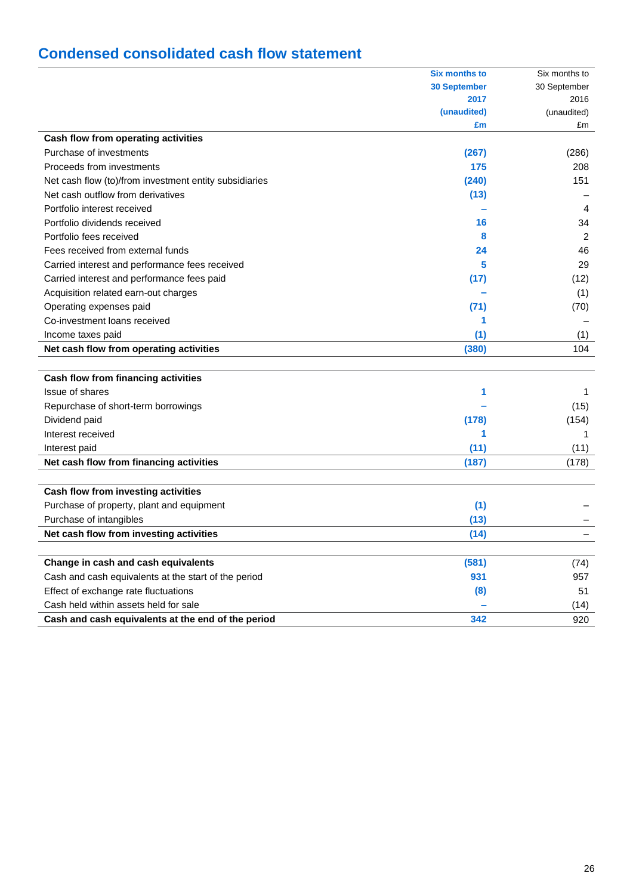## **Condensed consolidated cash flow statement**

|                                                        | <b>Six months to</b> | Six months to  |
|--------------------------------------------------------|----------------------|----------------|
|                                                        | <b>30 September</b>  | 30 September   |
|                                                        | 2017                 | 2016           |
|                                                        | (unaudited)          | (unaudited)    |
|                                                        | £m                   | £m             |
| Cash flow from operating activities                    |                      |                |
| Purchase of investments                                | (267)                | (286)          |
| Proceeds from investments                              | 175                  | 208            |
| Net cash flow (to)/from investment entity subsidiaries | (240)                | 151            |
| Net cash outflow from derivatives                      | (13)                 |                |
| Portfolio interest received                            |                      | $\overline{4}$ |
| Portfolio dividends received                           | 16                   | 34             |
| Portfolio fees received                                | 8                    | 2              |
| Fees received from external funds                      | 24                   | 46             |
| Carried interest and performance fees received         | 5                    | 29             |
| Carried interest and performance fees paid             | (17)                 | (12)           |
| Acquisition related earn-out charges                   |                      | (1)            |
| Operating expenses paid                                | (71)                 | (70)           |
| Co-investment loans received                           | 1                    |                |
| Income taxes paid                                      | (1)                  | (1)            |
| Net cash flow from operating activities                | (380)                | 104            |
|                                                        |                      |                |
| Cash flow from financing activities                    |                      |                |
| Issue of shares                                        | 1                    | 1              |
| Repurchase of short-term borrowings                    |                      | (15)           |
| Dividend paid                                          | (178)                | (154)          |
| Interest received                                      | 1                    |                |
| Interest paid                                          | (11)                 | (11)           |
| Net cash flow from financing activities                | (187)                | (178)          |
|                                                        |                      |                |
| Cash flow from investing activities                    |                      |                |
| Purchase of property, plant and equipment              | (1)                  |                |
| Purchase of intangibles                                | (13)                 |                |
| Net cash flow from investing activities                | (14)                 |                |
|                                                        |                      |                |
| Change in cash and cash equivalents                    | (581)                | (74)           |
| Cash and cash equivalents at the start of the period   | 931                  | 957            |
| Effect of exchange rate fluctuations                   | (8)                  | 51             |
| Cash held within assets held for sale                  |                      | (14)           |
| Cash and cash equivalents at the end of the period     | 342                  | 920            |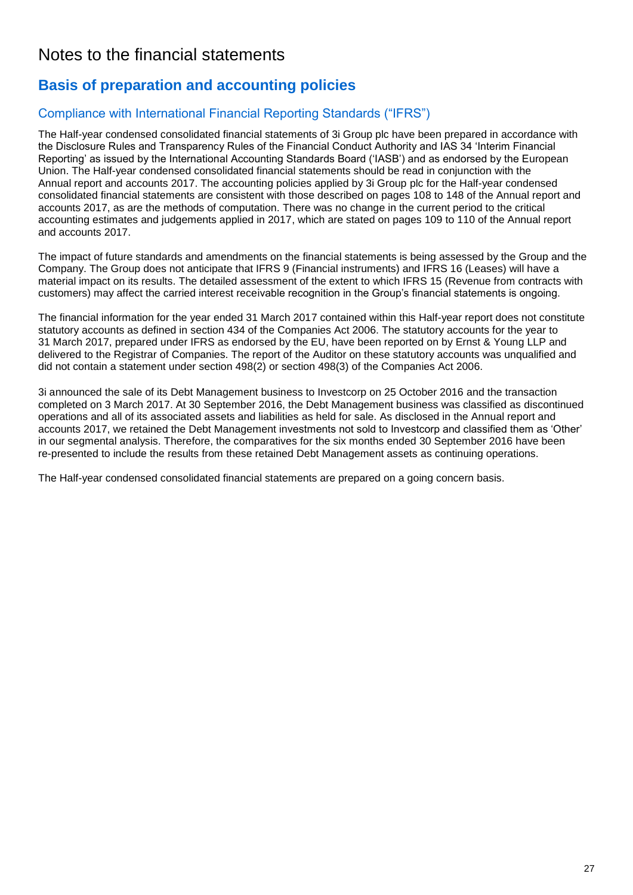## Notes to the financial statements

## **Basis of preparation and accounting policies**

## Compliance with International Financial Reporting Standards ("IFRS")

The Half-year condensed consolidated financial statements of 3i Group plc have been prepared in accordance with the Disclosure Rules and Transparency Rules of the Financial Conduct Authority and IAS 34 'Interim Financial Reporting' as issued by the International Accounting Standards Board ('IASB') and as endorsed by the European Union. The Half-year condensed consolidated financial statements should be read in conjunction with the Annual report and accounts 2017. The accounting policies applied by 3i Group plc for the Half-year condensed consolidated financial statements are consistent with those described on pages 108 to 148 of the Annual report and accounts 2017, as are the methods of computation. There was no change in the current period to the critical accounting estimates and judgements applied in 2017, which are stated on pages 109 to 110 of the Annual report and accounts 2017.

The impact of future standards and amendments on the financial statements is being assessed by the Group and the Company. The Group does not anticipate that IFRS 9 (Financial instruments) and IFRS 16 (Leases) will have a material impact on its results. The detailed assessment of the extent to which IFRS 15 (Revenue from contracts with customers) may affect the carried interest receivable recognition in the Group's financial statements is ongoing.

The financial information for the year ended 31 March 2017 contained within this Half-year report does not constitute statutory accounts as defined in section 434 of the Companies Act 2006. The statutory accounts for the year to 31 March 2017, prepared under IFRS as endorsed by the EU, have been reported on by Ernst & Young LLP and delivered to the Registrar of Companies. The report of the Auditor on these statutory accounts was unqualified and did not contain a statement under section 498(2) or section 498(3) of the Companies Act 2006.

3i announced the sale of its Debt Management business to Investcorp on 25 October 2016 and the transaction completed on 3 March 2017. At 30 September 2016, the Debt Management business was classified as discontinued operations and all of its associated assets and liabilities as held for sale. As disclosed in the Annual report and accounts 2017, we retained the Debt Management investments not sold to Investcorp and classified them as 'Other' in our segmental analysis. Therefore, the comparatives for the six months ended 30 September 2016 have been re-presented to include the results from these retained Debt Management assets as continuing operations.

The Half-year condensed consolidated financial statements are prepared on a going concern basis.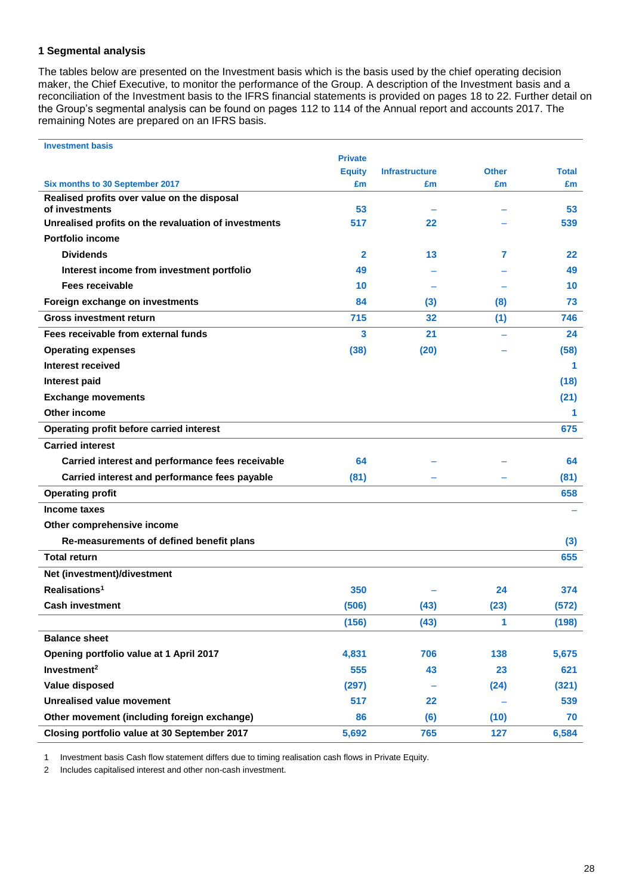### **1 Segmental analysis**

The tables below are presented on the Investment basis which is the basis used by the chief operating decision maker, the Chief Executive, to monitor the performance of the Group. A description of the Investment basis and a reconciliation of the Investment basis to the IFRS financial statements is provided on pages 18 to 22. Further detail on the Group's segmental analysis can be found on pages 112 to 114 of the Annual report and accounts 2017. The remaining Notes are prepared on an IFRS basis.

| <b>Investment basis</b>                                                        |                |                       |              |              |
|--------------------------------------------------------------------------------|----------------|-----------------------|--------------|--------------|
|                                                                                | <b>Private</b> |                       |              |              |
|                                                                                | <b>Equity</b>  | <b>Infrastructure</b> | <b>Other</b> | <b>Total</b> |
| Six months to 30 September 2017<br>Realised profits over value on the disposal | £m             | £m                    | £m           | £m           |
| of investments                                                                 | 53             |                       |              | 53           |
| Unrealised profits on the revaluation of investments                           | 517            | 22                    |              | 539          |
| <b>Portfolio income</b>                                                        |                |                       |              |              |
| <b>Dividends</b>                                                               | $\mathbf{2}$   | 13                    | 7            | 22           |
| Interest income from investment portfolio                                      | 49             |                       |              | 49           |
| Fees receivable                                                                | 10             |                       |              | 10           |
| Foreign exchange on investments                                                | 84             | (3)                   | (8)          | 73           |
| <b>Gross investment return</b>                                                 | 715            | 32                    | (1)          | 746          |
| Fees receivable from external funds                                            | 3              | 21                    |              | 24           |
| <b>Operating expenses</b>                                                      | (38)           | (20)                  |              | (58)         |
| Interest received                                                              |                |                       |              | 1            |
| <b>Interest paid</b>                                                           |                |                       |              | (18)         |
| <b>Exchange movements</b>                                                      |                |                       |              | (21)         |
| <b>Other income</b>                                                            |                |                       |              | 1.           |
| Operating profit before carried interest                                       |                |                       |              | 675          |
| <b>Carried interest</b>                                                        |                |                       |              |              |
| Carried interest and performance fees receivable                               | 64             |                       |              | 64           |
| Carried interest and performance fees payable                                  | (81)           |                       |              | (81)         |
| <b>Operating profit</b>                                                        |                |                       |              | 658          |
| Income taxes                                                                   |                |                       |              |              |
| Other comprehensive income                                                     |                |                       |              |              |
| Re-measurements of defined benefit plans                                       |                |                       |              | (3)          |
| <b>Total return</b>                                                            |                |                       |              | 655          |
| Net (investment)/divestment                                                    |                |                       |              |              |
| Realisations <sup>1</sup>                                                      | 350            |                       | 24           | 374          |
| <b>Cash investment</b>                                                         | (506)          | (43)                  | (23)         | (572)        |
|                                                                                | (156)          | (43)                  | 1            | (198)        |
| <b>Balance sheet</b>                                                           |                |                       |              |              |
| Opening portfolio value at 1 April 2017                                        | 4,831          | 706                   | 138          | 5,675        |
| Investment <sup>2</sup>                                                        | 555            | 43                    | 23           | 621          |
| Value disposed                                                                 | (297)          |                       | (24)         | (321)        |
| <b>Unrealised value movement</b>                                               | 517            | 22                    |              | 539          |
| Other movement (including foreign exchange)                                    | 86             | (6)                   | (10)         | 70           |
| Closing portfolio value at 30 September 2017                                   | 5,692          | 765                   | 127          | 6,584        |

1 Investment basis Cash flow statement differs due to timing realisation cash flows in Private Equity.

2 Includes capitalised interest and other non-cash investment.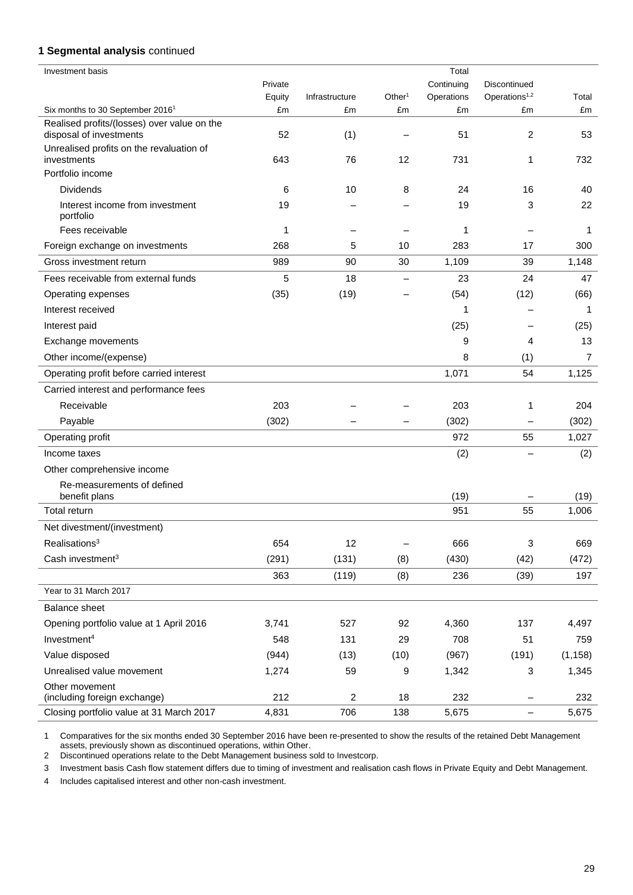### **1 Segmental analysis** continued

| <b>Investment</b> basis                                                |         |                |                    | Total      |                           |                |
|------------------------------------------------------------------------|---------|----------------|--------------------|------------|---------------------------|----------------|
|                                                                        | Private |                |                    | Continuing | Discontinued              |                |
|                                                                        | Equity  | Infrastructure | Other <sup>1</sup> | Operations | Operations <sup>1,2</sup> | Total          |
| Six months to 30 September 2016 <sup>1</sup>                           | £m      | £m             | £m                 | £m         | £m                        | £m             |
| Realised profits/(losses) over value on the<br>disposal of investments | 52      | (1)            |                    | 51         | 2                         | 53             |
| Unrealised profits on the revaluation of<br>investments                | 643     | 76             | 12                 | 731        | 1                         | 732            |
| Portfolio income                                                       |         |                |                    |            |                           |                |
| <b>Dividends</b>                                                       | 6       | 10             | 8                  | 24         | 16                        | 40             |
| Interest income from investment<br>portfolio                           | 19      |                |                    | 19         | 3                         | 22             |
| Fees receivable                                                        | 1       |                |                    | 1          |                           | 1              |
| Foreign exchange on investments                                        | 268     | 5              | 10                 | 283        | 17                        | 300            |
| Gross investment return                                                | 989     | 90             | 30                 | 1,109      | 39                        | 1,148          |
| Fees receivable from external funds                                    | 5       | 18             |                    | 23         | 24                        | 47             |
| Operating expenses                                                     | (35)    | (19)           |                    | (54)       | (12)                      | (66)           |
| Interest received                                                      |         |                |                    | 1          |                           | 1              |
| Interest paid                                                          |         |                |                    | (25)       |                           | (25)           |
| Exchange movements                                                     |         |                |                    | 9          | 4                         | 13             |
| Other income/(expense)                                                 |         |                |                    | 8          | (1)                       | $\overline{7}$ |
| Operating profit before carried interest                               |         |                |                    | 1,071      | 54                        | 1,125          |
| Carried interest and performance fees                                  |         |                |                    |            |                           |                |
| Receivable                                                             | 203     |                |                    | 203        | 1                         | 204            |
| Payable                                                                | (302)   |                |                    | (302)      | $\overline{\phantom{0}}$  | (302)          |
| Operating profit                                                       |         |                |                    | 972        | 55                        | 1,027          |
| Income taxes                                                           |         |                |                    | (2)        |                           | (2)            |
| Other comprehensive income                                             |         |                |                    |            |                           |                |
| Re-measurements of defined<br>benefit plans                            |         |                |                    | (19)       |                           | (19)           |
| Total return                                                           |         |                |                    | 951        | 55                        | 1,006          |
| Net divestment/(investment)                                            |         |                |                    |            |                           |                |
| Realisations <sup>3</sup>                                              | 654     | 12             | -                  | 666        | 3                         | 669            |
| Cash investment <sup>3</sup>                                           | (291)   | (131)          | (8)                | (430)      | (42)                      | (472)          |
|                                                                        | 363     | (119)          | (8)                | 236        | (39)                      | 197            |
| Year to 31 March 2017                                                  |         |                |                    |            |                           |                |
| <b>Balance sheet</b>                                                   |         |                |                    |            |                           |                |
| Opening portfolio value at 1 April 2016                                | 3,741   | 527            | 92                 | 4,360      | 137                       | 4,497          |
| Investment <sup>4</sup>                                                | 548     | 131            | 29                 | 708        | 51                        | 759            |
| Value disposed                                                         | (944)   | (13)           | (10)               | (967)      | (191)                     | (1, 158)       |
| Unrealised value movement                                              | 1,274   | 59             | 9                  | 1,342      | 3                         | 1,345          |
| Other movement<br>(including foreign exchange)                         | 212     | $\overline{c}$ | 18                 | 232        | —                         | 232            |
| Closing portfolio value at 31 March 2017                               | 4,831   | 706            | 138                | 5,675      | $\overline{\phantom{0}}$  | 5,675          |

1 Comparatives for the six months ended 30 September 2016 have been re-presented to show the results of the retained Debt Management assets, previously shown as discontinued operations, within Other.

2 Discontinued operations relate to the Debt Management business sold to Investcorp.

3 Investment basis Cash flow statement differs due to timing of investment and realisation cash flows in Private Equity and Debt Management.

4 Includes capitalised interest and other non-cash investment.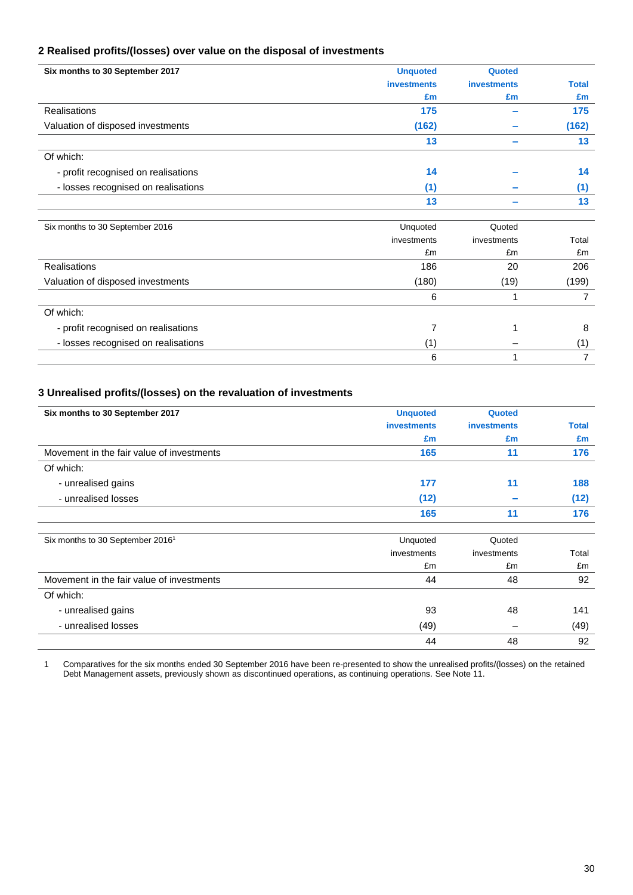### **2 Realised profits/(losses) over value on the disposal of investments**

| Six months to 30 September 2017     | <b>Unquoted</b>    | Quoted             |                |
|-------------------------------------|--------------------|--------------------|----------------|
|                                     | <b>investments</b> | <b>investments</b> | <b>Total</b>   |
|                                     | £m                 | £m                 | £m             |
| <b>Realisations</b>                 | 175                |                    | 175            |
| Valuation of disposed investments   | (162)              |                    | (162)          |
|                                     | 13                 |                    | 13             |
| Of which:                           |                    |                    |                |
| - profit recognised on realisations | 14                 |                    | 14             |
| - losses recognised on realisations | (1)                |                    | (1)            |
|                                     | 13                 |                    | 13             |
|                                     |                    |                    |                |
| Six months to 30 September 2016     | Unquoted           | Quoted             |                |
|                                     | investments        | investments        | Total          |
|                                     | £m                 | £m                 | £m             |
| <b>Realisations</b>                 | 186                | 20                 | 206            |
| Valuation of disposed investments   | (180)              | (19)               | (199)          |
|                                     | 6                  | 1                  | 7              |
| Of which:                           |                    |                    |                |
| - profit recognised on realisations | 7                  |                    | 8              |
| - losses recognised on realisations | (1)                |                    | (1)            |
|                                     | 6                  |                    | $\overline{7}$ |

### **3 Unrealised profits/(losses) on the revaluation of investments**

| Six months to 30 September 2017              | <b>Unquoted</b>    | Quoted             |       |
|----------------------------------------------|--------------------|--------------------|-------|
|                                              | <b>investments</b> | <b>investments</b> | Total |
|                                              | £m                 | £m                 | £m    |
| Movement in the fair value of investments    | 165                | 11                 | 176   |
| Of which:                                    |                    |                    |       |
| - unrealised gains                           | 177                | 11                 | 188   |
| - unrealised losses                          | (12)               |                    | (12)  |
|                                              | 165                | 11                 | 176   |
| Six months to 30 September 2016 <sup>1</sup> | Unquoted           | Quoted             |       |
|                                              | investments        | investments        | Total |
|                                              | £m                 | £m                 | £m    |
| Movement in the fair value of investments    | 44                 | 48                 | 92    |
| Of which:                                    |                    |                    |       |
| - unrealised gains                           | 93                 | 48                 | 141   |
| - unrealised losses                          | (49)               |                    | (49)  |
|                                              | 44                 | 48                 | 92    |

1 Comparatives for the six months ended 30 September 2016 have been re-presented to show the unrealised profits/(losses) on the retained Debt Management assets, previously shown as discontinued operations, as continuing operations. See Note 11.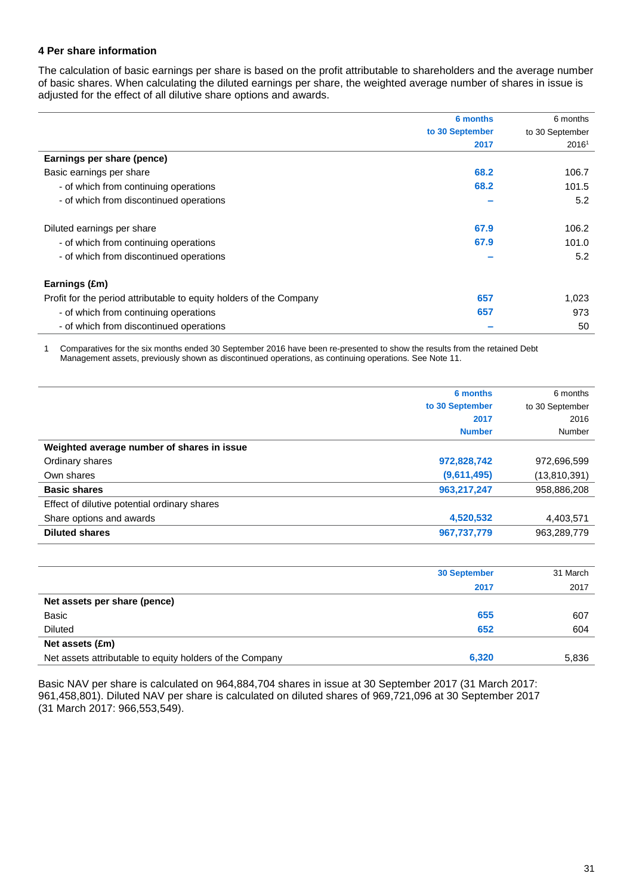### **4 Per share information**

The calculation of basic earnings per share is based on the profit attributable to shareholders and the average number of basic shares. When calculating the diluted earnings per share, the weighted average number of shares in issue is adjusted for the effect of all dilutive share options and awards.

|                                                                     | 6 months        | 6 months          |
|---------------------------------------------------------------------|-----------------|-------------------|
|                                                                     | to 30 September | to 30 September   |
|                                                                     | 2017            | 2016 <sup>1</sup> |
| Earnings per share (pence)                                          |                 |                   |
| Basic earnings per share                                            | 68.2            | 106.7             |
| - of which from continuing operations                               | 68.2            | 101.5             |
| - of which from discontinued operations                             |                 | 5.2               |
| Diluted earnings per share                                          | 67.9            | 106.2             |
| - of which from continuing operations                               | 67.9            | 101.0             |
| - of which from discontinued operations                             |                 | 5.2               |
| Earnings (£m)                                                       |                 |                   |
| Profit for the period attributable to equity holders of the Company | 657             | 1,023             |
| - of which from continuing operations                               | 657             | 973               |
| - of which from discontinued operations                             |                 | 50                |

1 Comparatives for the six months ended 30 September 2016 have been re-presented to show the results from the retained Debt Management assets, previously shown as discontinued operations, as continuing operations. See Note 11.

|                                              | 6 months        | 6 months        |
|----------------------------------------------|-----------------|-----------------|
|                                              | to 30 September | to 30 September |
|                                              | 2017            | 2016            |
|                                              | <b>Number</b>   | Number          |
| Weighted average number of shares in issue   |                 |                 |
| Ordinary shares                              | 972,828,742     | 972,696,599     |
| Own shares                                   | (9,611,495)     | (13,810,391)    |
| <b>Basic shares</b>                          | 963,217,247     | 958,886,208     |
| Effect of dilutive potential ordinary shares |                 |                 |
| Share options and awards                     | 4,520,532       | 4,403,571       |
| <b>Diluted shares</b>                        | 967,737,779     | 963.289.779     |

|                                                          | <b>30 September</b> | 31 March |
|----------------------------------------------------------|---------------------|----------|
|                                                          | 2017                | 2017     |
| Net assets per share (pence)                             |                     |          |
| Basic                                                    | 655                 | 607      |
| <b>Diluted</b>                                           | 652                 | 604      |
| Net assets (£m)                                          |                     |          |
| Net assets attributable to equity holders of the Company | 6,320               | 5,836    |

Basic NAV per share is calculated on 964,884,704 shares in issue at 30 September 2017 (31 March 2017: 961,458,801). Diluted NAV per share is calculated on diluted shares of 969,721,096 at 30 September 2017 (31 March 2017: 966,553,549).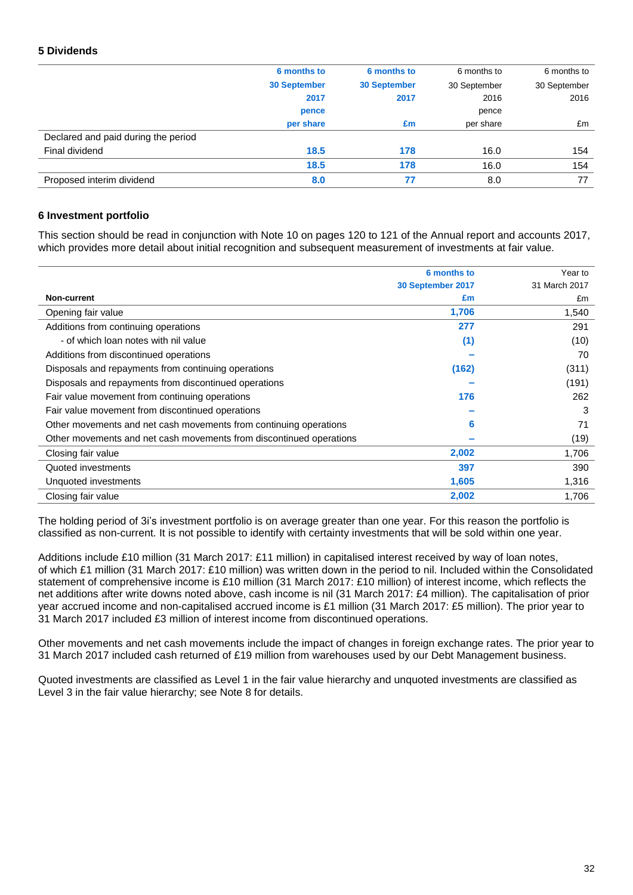### **5 Dividends**

|                                     | 6 months to         | 6 months to         | 6 months to  | 6 months to  |
|-------------------------------------|---------------------|---------------------|--------------|--------------|
|                                     | <b>30 September</b> | <b>30 September</b> | 30 September | 30 September |
|                                     | 2017                | 2017                | 2016         | 2016         |
|                                     | pence               |                     | pence        |              |
|                                     | per share           | £m                  | per share    | £m           |
| Declared and paid during the period |                     |                     |              |              |
| Final dividend                      | 18.5                | 178                 | 16.0         | 154          |
|                                     | 18.5                | 178                 | 16.0         | 154          |
| Proposed interim dividend           | 8.0                 | 77                  | 8.0          | 77           |

#### **6 Investment portfolio**

This section should be read in conjunction with Note 10 on pages 120 to 121 of the Annual report and accounts 2017, which provides more detail about initial recognition and subsequent measurement of investments at fair value.

|                                                                     | 6 months to       | Year to       |
|---------------------------------------------------------------------|-------------------|---------------|
|                                                                     | 30 September 2017 | 31 March 2017 |
| <b>Non-current</b>                                                  | £m                | £m            |
| Opening fair value                                                  | 1,706             | 1,540         |
| Additions from continuing operations                                | 277               | 291           |
| - of which loan notes with nil value                                | (1)               | (10)          |
| Additions from discontinued operations                              |                   | 70            |
| Disposals and repayments from continuing operations                 | (162)             | (311)         |
| Disposals and repayments from discontinued operations               |                   | (191)         |
| Fair value movement from continuing operations                      | 176               | 262           |
| Fair value movement from discontinued operations                    |                   | 3             |
| Other movements and net cash movements from continuing operations   | 6                 | 71            |
| Other movements and net cash movements from discontinued operations |                   | (19)          |
| Closing fair value                                                  | 2,002             | 1,706         |
| Quoted investments                                                  | 397               | 390           |
| Unquoted investments                                                | 1,605             | 1,316         |
| Closing fair value                                                  | 2,002             | 1,706         |

The holding period of 3i's investment portfolio is on average greater than one year. For this reason the portfolio is classified as non-current. It is not possible to identify with certainty investments that will be sold within one year.

Additions include £10 million (31 March 2017: £11 million) in capitalised interest received by way of loan notes, of which £1 million (31 March 2017: £10 million) was written down in the period to nil. Included within the Consolidated statement of comprehensive income is £10 million (31 March 2017: £10 million) of interest income, which reflects the net additions after write downs noted above, cash income is nil (31 March 2017: £4 million). The capitalisation of prior year accrued income and non-capitalised accrued income is £1 million (31 March 2017: £5 million). The prior year to 31 March 2017 included £3 million of interest income from discontinued operations.

Other movements and net cash movements include the impact of changes in foreign exchange rates. The prior year to 31 March 2017 included cash returned of £19 million from warehouses used by our Debt Management business.

Quoted investments are classified as Level 1 in the fair value hierarchy and unquoted investments are classified as Level 3 in the fair value hierarchy; see Note 8 for details.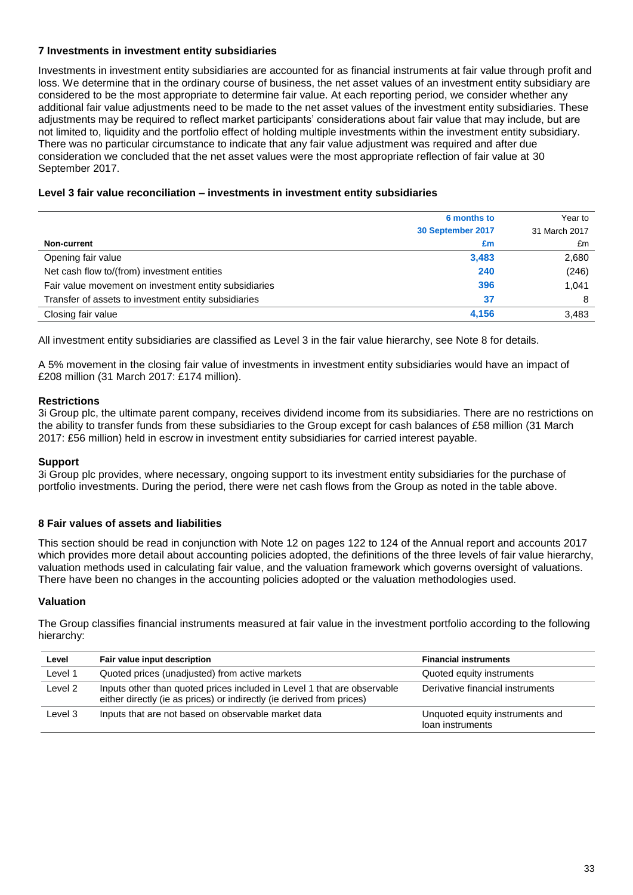### **7 Investments in investment entity subsidiaries**

Investments in investment entity subsidiaries are accounted for as financial instruments at fair value through profit and loss. We determine that in the ordinary course of business, the net asset values of an investment entity subsidiary are considered to be the most appropriate to determine fair value. At each reporting period, we consider whether any additional fair value adjustments need to be made to the net asset values of the investment entity subsidiaries. These adjustments may be required to reflect market participants' considerations about fair value that may include, but are not limited to, liquidity and the portfolio effect of holding multiple investments within the investment entity subsidiary. There was no particular circumstance to indicate that any fair value adjustment was required and after due consideration we concluded that the net asset values were the most appropriate reflection of fair value at 30 September 2017.

### **Level 3 fair value reconciliation – investments in investment entity subsidiaries**

|                                                       | 6 months to       | Year to       |
|-------------------------------------------------------|-------------------|---------------|
|                                                       | 30 September 2017 | 31 March 2017 |
| Non-current                                           | £m                | £m            |
| Opening fair value                                    | 3,483             | 2,680         |
| Net cash flow to/(from) investment entities           | 240               | (246)         |
| Fair value movement on investment entity subsidiaries | 396               | 1.041         |
| Transfer of assets to investment entity subsidiaries  | 37                | 8             |
| Closing fair value                                    | 4,156             | 3,483         |

All investment entity subsidiaries are classified as Level 3 in the fair value hierarchy, see Note 8 for details.

A 5% movement in the closing fair value of investments in investment entity subsidiaries would have an impact of £208 million (31 March 2017: £174 million).

### **Restrictions**

3i Group plc, the ultimate parent company, receives dividend income from its subsidiaries. There are no restrictions on the ability to transfer funds from these subsidiaries to the Group except for cash balances of £58 million (31 March 2017: £56 million) held in escrow in investment entity subsidiaries for carried interest payable.

### **Support**

3i Group plc provides, where necessary, ongoing support to its investment entity subsidiaries for the purchase of portfolio investments. During the period, there were net cash flows from the Group as noted in the table above.

### **8 Fair values of assets and liabilities**

This section should be read in conjunction with Note 12 on pages 122 to 124 of the Annual report and accounts 2017 which provides more detail about accounting policies adopted, the definitions of the three levels of fair value hierarchy, valuation methods used in calculating fair value, and the valuation framework which governs oversight of valuations. There have been no changes in the accounting policies adopted or the valuation methodologies used.

### **Valuation**

The Group classifies financial instruments measured at fair value in the investment portfolio according to the following hierarchy:

| Level   | Fair value input description                                                                                                                     | <b>Financial instruments</b>                        |
|---------|--------------------------------------------------------------------------------------------------------------------------------------------------|-----------------------------------------------------|
| Level 1 | Quoted prices (unadjusted) from active markets                                                                                                   | Quoted equity instruments                           |
| Level 2 | Inputs other than quoted prices included in Level 1 that are observable<br>either directly (ie as prices) or indirectly (ie derived from prices) | Derivative financial instruments                    |
| Level 3 | Inputs that are not based on observable market data                                                                                              | Unquoted equity instruments and<br>loan instruments |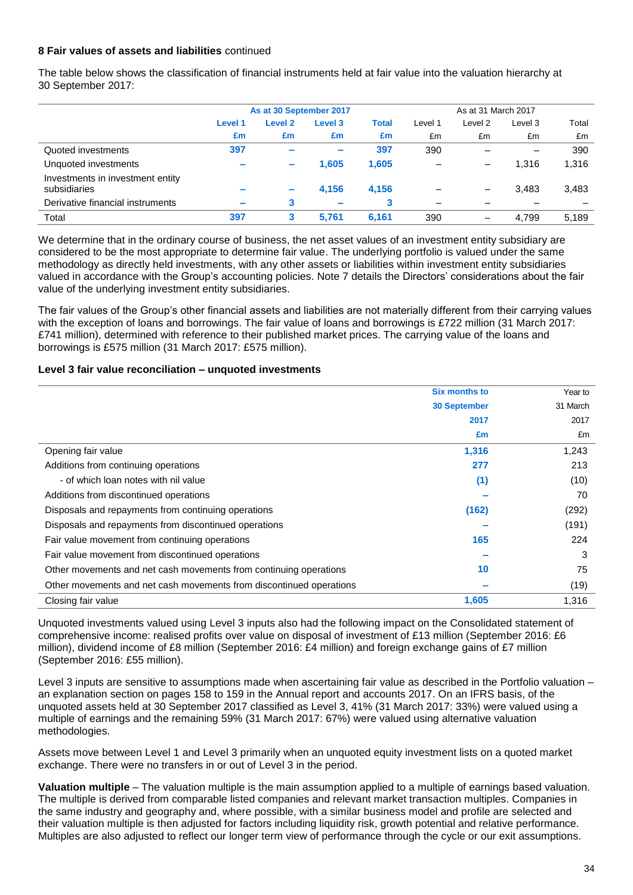### **8 Fair values of assets and liabilities** continued

The table below shows the classification of financial instruments held at fair value into the valuation hierarchy at 30 September 2017:

|                                                  | As at 30 September 2017 |                          |                          |              | As at 31 March 2017 |                 |         |       |
|--------------------------------------------------|-------------------------|--------------------------|--------------------------|--------------|---------------------|-----------------|---------|-------|
|                                                  | Level 1                 | Level <sub>2</sub>       | Level 3                  | <b>Total</b> | Level 1             | Level 2         | Level 3 | Total |
|                                                  | £m                      | £m                       | £m                       | £m           | £m                  | £m              | £m      | £m    |
| Quoted investments                               | 397                     |                          | $\equiv$                 | 397          | 390                 |                 |         | 390   |
| Unquoted investments                             | -                       | $\overline{\phantom{a}}$ | 1,605                    | 1,605        |                     | -               | 1.316   | 1,316 |
| Investments in investment entity<br>subsidiaries | -                       | $\overline{\phantom{a}}$ | 4.156                    | 4.156        |                     | —               | 3.483   | 3,483 |
| Derivative financial instruments                 | $\sim$                  | 3                        | $\overline{\phantom{a}}$ | 3            |                     |                 |         |       |
| Total                                            | 397                     | 3                        | 5,761                    | 6,161        | 390                 | $\qquad \qquad$ | 4,799   | 5,189 |

We determine that in the ordinary course of business, the net asset values of an investment entity subsidiary are considered to be the most appropriate to determine fair value. The underlying portfolio is valued under the same methodology as directly held investments, with any other assets or liabilities within investment entity subsidiaries valued in accordance with the Group's accounting policies. Note 7 details the Directors' considerations about the fair value of the underlying investment entity subsidiaries.

The fair values of the Group's other financial assets and liabilities are not materially different from their carrying values with the exception of loans and borrowings. The fair value of loans and borrowings is £722 million (31 March 2017: £741 million), determined with reference to their published market prices. The carrying value of the loans and borrowings is £575 million (31 March 2017: £575 million).

#### **Level 3 fair value reconciliation – unquoted investments**

|                                                                     | <b>Six months to</b> | Year to  |
|---------------------------------------------------------------------|----------------------|----------|
|                                                                     | <b>30 September</b>  | 31 March |
|                                                                     | 2017                 | 2017     |
|                                                                     | £m                   | £m       |
| Opening fair value                                                  | 1,316                | 1,243    |
| Additions from continuing operations                                | 277                  | 213      |
| - of which loan notes with nil value                                | (1)                  | (10)     |
| Additions from discontinued operations                              |                      | 70       |
| Disposals and repayments from continuing operations                 | (162)                | (292)    |
| Disposals and repayments from discontinued operations               |                      | (191)    |
| Fair value movement from continuing operations                      | 165                  | 224      |
| Fair value movement from discontinued operations                    |                      | 3        |
| Other movements and net cash movements from continuing operations   | 10                   | 75       |
| Other movements and net cash movements from discontinued operations |                      | (19)     |
| Closing fair value                                                  | 1,605                | 1,316    |

Unquoted investments valued using Level 3 inputs also had the following impact on the Consolidated statement of comprehensive income: realised profits over value on disposal of investment of £13 million (September 2016: £6 million), dividend income of £8 million (September 2016: £4 million) and foreign exchange gains of £7 million (September 2016: £55 million).

Level 3 inputs are sensitive to assumptions made when ascertaining fair value as described in the Portfolio valuation – an explanation section on pages 158 to 159 in the Annual report and accounts 2017. On an IFRS basis, of the unquoted assets held at 30 September 2017 classified as Level 3, 41% (31 March 2017: 33%) were valued using a multiple of earnings and the remaining 59% (31 March 2017: 67%) were valued using alternative valuation methodologies.

Assets move between Level 1 and Level 3 primarily when an unquoted equity investment lists on a quoted market exchange. There were no transfers in or out of Level 3 in the period.

**Valuation multiple** – The valuation multiple is the main assumption applied to a multiple of earnings based valuation. The multiple is derived from comparable listed companies and relevant market transaction multiples. Companies in the same industry and geography and, where possible, with a similar business model and profile are selected and their valuation multiple is then adjusted for factors including liquidity risk, growth potential and relative performance. Multiples are also adjusted to reflect our longer term view of performance through the cycle or our exit assumptions.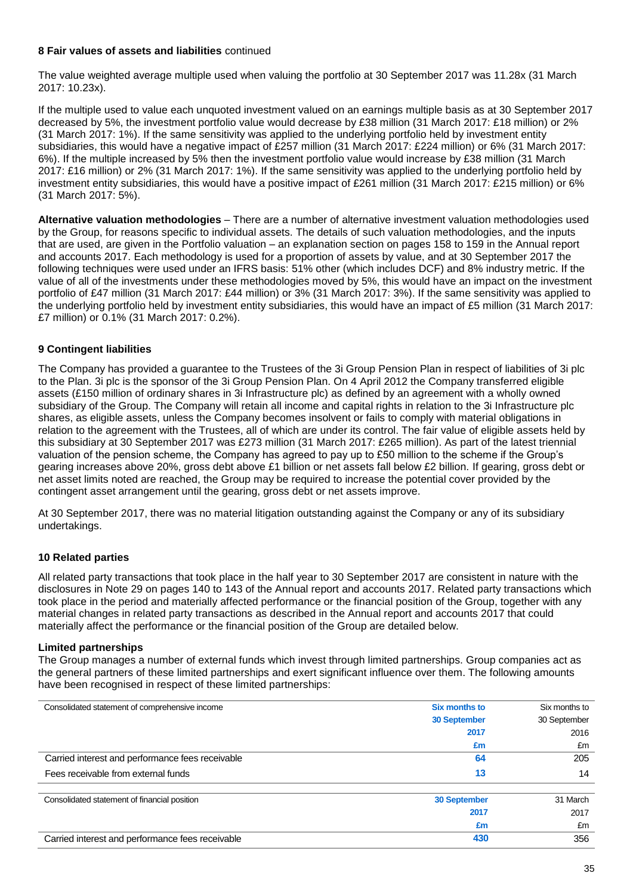### **8 Fair values of assets and liabilities** continued

The value weighted average multiple used when valuing the portfolio at 30 September 2017 was 11.28x (31 March 2017: 10.23x).

If the multiple used to value each unquoted investment valued on an earnings multiple basis as at 30 September 2017 decreased by 5%, the investment portfolio value would decrease by £38 million (31 March 2017: £18 million) or 2% (31 March 2017: 1%). If the same sensitivity was applied to the underlying portfolio held by investment entity subsidiaries, this would have a negative impact of £257 million (31 March 2017: £224 million) or 6% (31 March 2017: 6%). If the multiple increased by 5% then the investment portfolio value would increase by £38 million (31 March 2017: £16 million) or 2% (31 March 2017: 1%). If the same sensitivity was applied to the underlying portfolio held by investment entity subsidiaries, this would have a positive impact of £261 million (31 March 2017: £215 million) or 6% (31 March 2017: 5%).

**Alternative valuation methodologies** – There are a number of alternative investment valuation methodologies used by the Group, for reasons specific to individual assets. The details of such valuation methodologies, and the inputs that are used, are given in the Portfolio valuation – an explanation section on pages 158 to 159 in the Annual report and accounts 2017. Each methodology is used for a proportion of assets by value, and at 30 September 2017 the following techniques were used under an IFRS basis: 51% other (which includes DCF) and 8% industry metric. If the value of all of the investments under these methodologies moved by 5%, this would have an impact on the investment portfolio of £47 million (31 March 2017: £44 million) or 3% (31 March 2017: 3%). If the same sensitivity was applied to the underlying portfolio held by investment entity subsidiaries, this would have an impact of £5 million (31 March 2017: £7 million) or 0.1% (31 March 2017: 0.2%).

### **9 Contingent liabilities**

The Company has provided a guarantee to the Trustees of the 3i Group Pension Plan in respect of liabilities of 3i plc to the Plan. 3i plc is the sponsor of the 3i Group Pension Plan. On 4 April 2012 the Company transferred eligible assets (£150 million of ordinary shares in 3i Infrastructure plc) as defined by an agreement with a wholly owned subsidiary of the Group. The Company will retain all income and capital rights in relation to the 3i Infrastructure plc shares, as eligible assets, unless the Company becomes insolvent or fails to comply with material obligations in relation to the agreement with the Trustees, all of which are under its control. The fair value of eligible assets held by this subsidiary at 30 September 2017 was £273 million (31 March 2017: £265 million). As part of the latest triennial valuation of the pension scheme, the Company has agreed to pay up to £50 million to the scheme if the Group's gearing increases above 20%, gross debt above £1 billion or net assets fall below £2 billion. If gearing, gross debt or net asset limits noted are reached, the Group may be required to increase the potential cover provided by the contingent asset arrangement until the gearing, gross debt or net assets improve.

At 30 September 2017, there was no material litigation outstanding against the Company or any of its subsidiary undertakings.

### **10 Related parties**

All related party transactions that took place in the half year to 30 September 2017 are consistent in nature with the disclosures in Note 29 on pages 140 to 143 of the Annual report and accounts 2017. Related party transactions which took place in the period and materially affected performance or the financial position of the Group, together with any material changes in related party transactions as described in the Annual report and accounts 2017 that could materially affect the performance or the financial position of the Group are detailed below.

### **Limited partnerships**

The Group manages a number of external funds which invest through limited partnerships. Group companies act as the general partners of these limited partnerships and exert significant influence over them. The following amounts have been recognised in respect of these limited partnerships:

| Consolidated statement of comprehensive income   | <b>Six months to</b> | Six months to |  |
|--------------------------------------------------|----------------------|---------------|--|
|                                                  | <b>30 September</b>  | 30 September  |  |
|                                                  | 2017                 | 2016          |  |
|                                                  | £m                   | £m            |  |
| Carried interest and performance fees receivable | 64                   | 205           |  |
| Fees receivable from external funds              | 13                   | 14            |  |
| Consolidated statement of financial position     | <b>30 September</b>  | 31 March      |  |
|                                                  | 2017                 | 2017          |  |
|                                                  | £m                   | £m            |  |
| Carried interest and performance fees receivable | 430                  | 356           |  |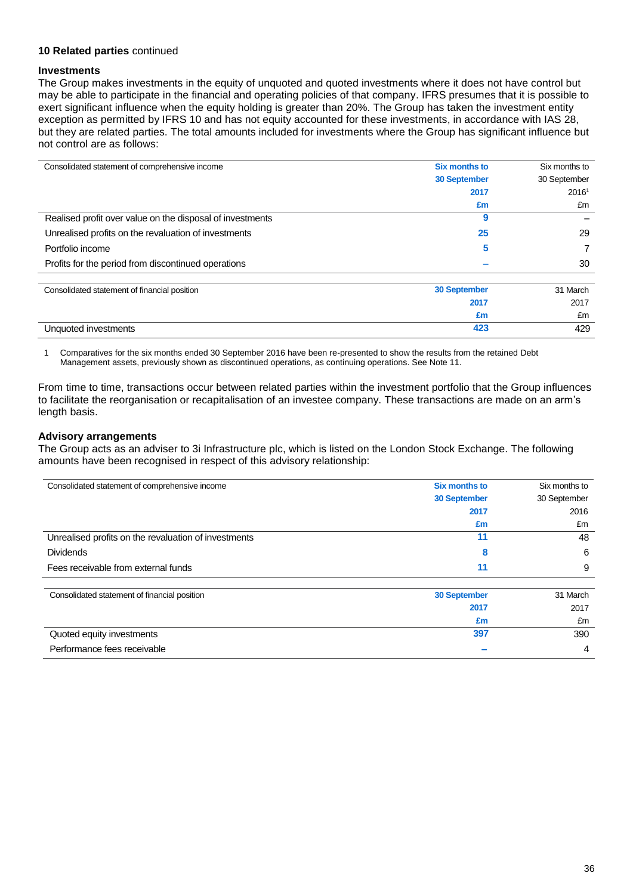### **10 Related parties** continued

#### **Investments**

The Group makes investments in the equity of unquoted and quoted investments where it does not have control but may be able to participate in the financial and operating policies of that company. IFRS presumes that it is possible to exert significant influence when the equity holding is greater than 20%. The Group has taken the investment entity exception as permitted by IFRS 10 and has not equity accounted for these investments, in accordance with IAS 28, but they are related parties. The total amounts included for investments where the Group has significant influence but not control are as follows:

| Consolidated statement of comprehensive income            | <b>Six months to</b> | Six months to |
|-----------------------------------------------------------|----------------------|---------------|
|                                                           | <b>30 September</b>  | 30 September  |
|                                                           | 2017                 | 20161         |
|                                                           | £m                   | £m            |
| Realised profit over value on the disposal of investments | 9                    |               |
| Unrealised profits on the revaluation of investments      | 25                   | 29            |
| Portfolio income                                          | 5                    |               |
| Profits for the period from discontinued operations       |                      | 30            |
|                                                           |                      |               |
| Consolidated statement of financial position              | <b>30 September</b>  | 31 March      |
|                                                           | 2017                 | 2017          |
|                                                           | £m                   | £m            |
| Unquoted investments                                      | 423                  | 429           |

1 Comparatives for the six months ended 30 September 2016 have been re-presented to show the results from the retained Debt Management assets, previously shown as discontinued operations, as continuing operations. See Note 11.

From time to time, transactions occur between related parties within the investment portfolio that the Group influences to facilitate the reorganisation or recapitalisation of an investee company. These transactions are made on an arm's length basis.

### **Advisory arrangements**

The Group acts as an adviser to 3i Infrastructure plc, which is listed on the London Stock Exchange. The following amounts have been recognised in respect of this advisory relationship:

| Consolidated statement of comprehensive income       | <b>Six months to</b> | Six months to |
|------------------------------------------------------|----------------------|---------------|
|                                                      | <b>30 September</b>  | 30 September  |
|                                                      | 2017                 | 2016          |
|                                                      | £m                   | £m            |
| Unrealised profits on the revaluation of investments | 11                   | 48            |
| <b>Dividends</b>                                     | 8                    | 6             |
| Fees receivable from external funds                  | 11                   | 9             |
| Consolidated statement of financial position         | <b>30 September</b>  | 31 March      |
|                                                      | 2017                 | 2017          |
|                                                      | £m                   | £m            |
| Quoted equity investments                            | 397                  | 390           |
| Performance fees receivable                          |                      | 4             |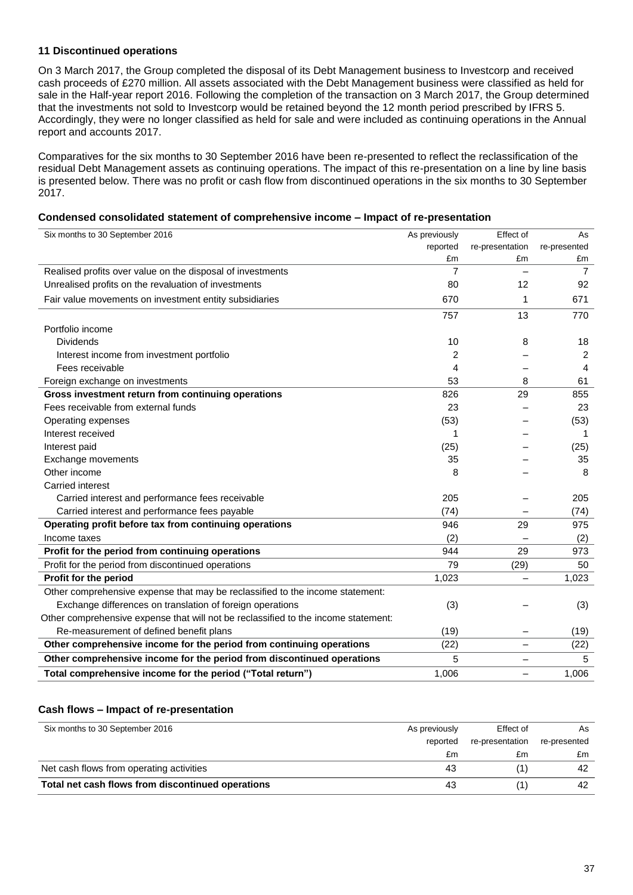### **11 Discontinued operations**

On 3 March 2017, the Group completed the disposal of its Debt Management business to Investcorp and received cash proceeds of £270 million. All assets associated with the Debt Management business were classified as held for sale in the Half-year report 2016. Following the completion of the transaction on 3 March 2017, the Group determined that the investments not sold to Investcorp would be retained beyond the 12 month period prescribed by IFRS 5. Accordingly, they were no longer classified as held for sale and were included as continuing operations in the Annual report and accounts 2017.

Comparatives for the six months to 30 September 2016 have been re-presented to reflect the reclassification of the residual Debt Management assets as continuing operations. The impact of this re-presentation on a line by line basis is presented below. There was no profit or cash flow from discontinued operations in the six months to 30 September 2017.

#### **Condensed consolidated statement of comprehensive income – Impact of re-presentation**

| Six months to 30 September 2016                                                    | As previously  | Effect of                | As             |
|------------------------------------------------------------------------------------|----------------|--------------------------|----------------|
|                                                                                    | reported       | re-presentation          | re-presented   |
|                                                                                    | £m             | £m                       | £m             |
| Realised profits over value on the disposal of investments                         | $\overline{7}$ |                          | $\overline{7}$ |
| Unrealised profits on the revaluation of investments                               | 80             | 12                       | 92             |
| Fair value movements on investment entity subsidiaries                             | 670            | 1                        | 671            |
|                                                                                    | 757            | 13                       | 770            |
| Portfolio income                                                                   |                |                          |                |
| <b>Dividends</b>                                                                   | 10             | 8                        | 18             |
| Interest income from investment portfolio                                          | 2              |                          | 2              |
| Fees receivable                                                                    | 4              |                          | 4              |
| Foreign exchange on investments                                                    | 53             | 8                        | 61             |
| Gross investment return from continuing operations                                 | 826            | 29                       | 855            |
| Fees receivable from external funds                                                | 23             |                          | 23             |
| Operating expenses                                                                 | (53)           |                          | (53)           |
| Interest received                                                                  | 1              |                          | 1              |
| Interest paid                                                                      | (25)           |                          | (25)           |
| Exchange movements                                                                 | 35             |                          | 35             |
| Other income                                                                       | 8              |                          | 8              |
| <b>Carried interest</b>                                                            |                |                          |                |
| Carried interest and performance fees receivable                                   | 205            |                          | 205            |
| Carried interest and performance fees payable                                      | (74)           |                          | (74)           |
| Operating profit before tax from continuing operations                             | 946            | 29                       | 975            |
| Income taxes                                                                       | (2)            |                          | (2)            |
| Profit for the period from continuing operations                                   | 944            | 29                       | 973            |
| Profit for the period from discontinued operations                                 | 79             | (29)                     | 50             |
| Profit for the period                                                              | 1,023          | $\overline{\phantom{0}}$ | 1,023          |
| Other comprehensive expense that may be reclassified to the income statement:      |                |                          |                |
| Exchange differences on translation of foreign operations                          | (3)            |                          | (3)            |
| Other comprehensive expense that will not be reclassified to the income statement: |                |                          |                |
| Re-measurement of defined benefit plans                                            | (19)           |                          | (19)           |
| Other comprehensive income for the period from continuing operations               | (22)           | $\overline{\phantom{0}}$ | (22)           |
| Other comprehensive income for the period from discontinued operations             | 5              |                          | 5              |
| Total comprehensive income for the period ("Total return")                         | 1,006          | -                        | 1,006          |

#### **Cash flows – Impact of re-presentation**

| Six months to 30 September 2016                   | As previously | Effect of       | As           |
|---------------------------------------------------|---------------|-----------------|--------------|
|                                                   | reported      | re-presentation | re-presented |
|                                                   | £m            | £m              | £m           |
| Net cash flows from operating activities          | 43            |                 | 42           |
| Total net cash flows from discontinued operations | 43            |                 | 42           |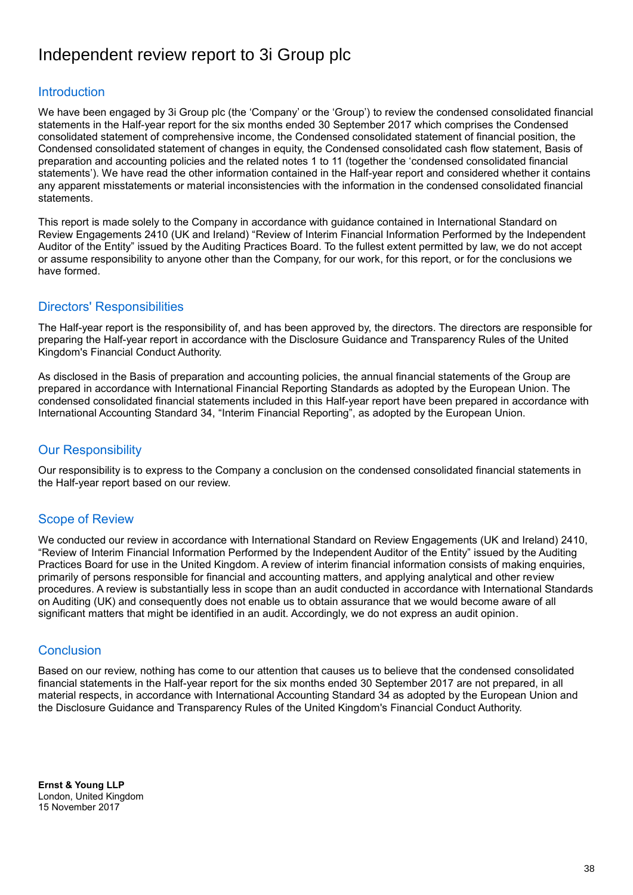# Independent review report to 3i Group plc

## **Introduction**

We have been engaged by 3i Group plc (the 'Company' or the 'Group') to review the condensed consolidated financial statements in the Half-year report for the six months ended 30 September 2017 which comprises the Condensed consolidated statement of comprehensive income, the Condensed consolidated statement of financial position, the Condensed consolidated statement of changes in equity, the Condensed consolidated cash flow statement, Basis of preparation and accounting policies and the related notes 1 to 11 (together the 'condensed consolidated financial statements'). We have read the other information contained in the Half-year report and considered whether it contains any apparent misstatements or material inconsistencies with the information in the condensed consolidated financial statements.

This report is made solely to the Company in accordance with guidance contained in International Standard on Review Engagements 2410 (UK and Ireland) "Review of Interim Financial Information Performed by the Independent Auditor of the Entity" issued by the Auditing Practices Board. To the fullest extent permitted by law, we do not accept or assume responsibility to anyone other than the Company, for our work, for this report, or for the conclusions we have formed.

## Directors' Responsibilities

The Half-year report is the responsibility of, and has been approved by, the directors. The directors are responsible for preparing the Half-year report in accordance with the Disclosure Guidance and Transparency Rules of the United Kingdom's Financial Conduct Authority.

As disclosed in the Basis of preparation and accounting policies, the annual financial statements of the Group are prepared in accordance with International Financial Reporting Standards as adopted by the European Union. The condensed consolidated financial statements included in this Half-year report have been prepared in accordance with International Accounting Standard 34, "Interim Financial Reporting", as adopted by the European Union.

## Our Responsibility

Our responsibility is to express to the Company a conclusion on the condensed consolidated financial statements in the Half-year report based on our review.

## Scope of Review

We conducted our review in accordance with International Standard on Review Engagements (UK and Ireland) 2410, "Review of Interim Financial Information Performed by the Independent Auditor of the Entity" issued by the Auditing Practices Board for use in the United Kingdom. A review of interim financial information consists of making enquiries, primarily of persons responsible for financial and accounting matters, and applying analytical and other review procedures. A review is substantially less in scope than an audit conducted in accordance with International Standards on Auditing (UK) and consequently does not enable us to obtain assurance that we would become aware of all significant matters that might be identified in an audit. Accordingly, we do not express an audit opinion.

## **Conclusion**

Based on our review, nothing has come to our attention that causes us to believe that the condensed consolidated financial statements in the Half-year report for the six months ended 30 September 2017 are not prepared, in all material respects, in accordance with International Accounting Standard 34 as adopted by the European Union and the Disclosure Guidance and Transparency Rules of the United Kingdom's Financial Conduct Authority.

**Ernst & Young LLP** London, United Kingdom 15 November 2017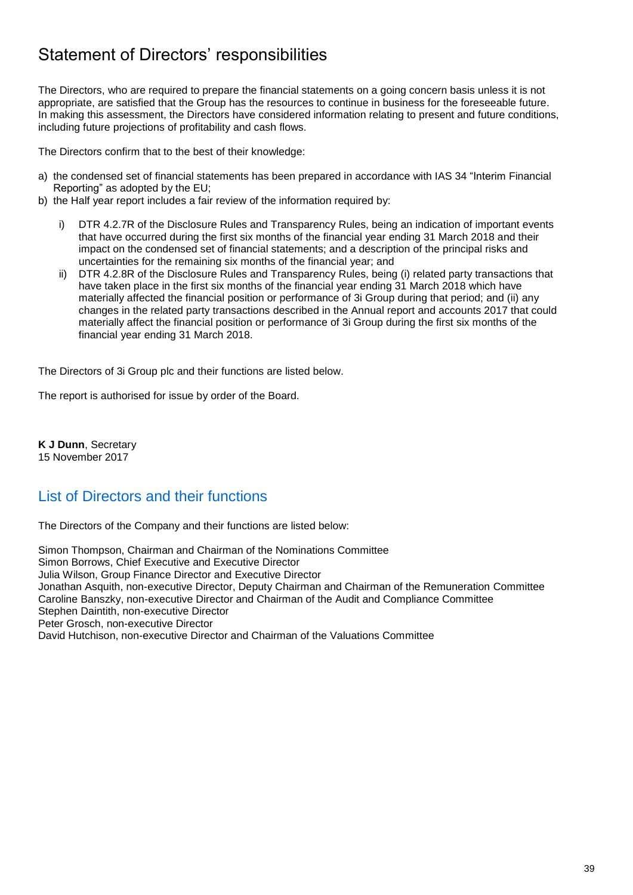# Statement of Directors' responsibilities

The Directors, who are required to prepare the financial statements on a going concern basis unless it is not appropriate, are satisfied that the Group has the resources to continue in business for the foreseeable future. In making this assessment, the Directors have considered information relating to present and future conditions, including future projections of profitability and cash flows.

The Directors confirm that to the best of their knowledge:

- a) the condensed set of financial statements has been prepared in accordance with IAS 34 "Interim Financial Reporting" as adopted by the EU;
- b) the Half year report includes a fair review of the information required by:
	- i) DTR 4.2.7R of the Disclosure Rules and Transparency Rules, being an indication of important events that have occurred during the first six months of the financial year ending 31 March 2018 and their impact on the condensed set of financial statements; and a description of the principal risks and uncertainties for the remaining six months of the financial year; and
	- ii) DTR 4.2.8R of the Disclosure Rules and Transparency Rules, being (i) related party transactions that have taken place in the first six months of the financial year ending 31 March 2018 which have materially affected the financial position or performance of 3i Group during that period; and (ii) any changes in the related party transactions described in the Annual report and accounts 2017 that could materially affect the financial position or performance of 3i Group during the first six months of the financial year ending 31 March 2018.

The Directors of 3i Group plc and their functions are listed below.

The report is authorised for issue by order of the Board.

**K J Dunn**, Secretary 15 November 2017

## List of Directors and their functions

The Directors of the Company and their functions are listed below:

Simon Thompson, Chairman and Chairman of the Nominations Committee Simon Borrows, Chief Executive and Executive Director Julia Wilson, Group Finance Director and Executive Director Jonathan Asquith, non-executive Director, Deputy Chairman and Chairman of the Remuneration Committee Caroline Banszky, non-executive Director and Chairman of the Audit and Compliance Committee Stephen Daintith, non-executive Director Peter Grosch, non-executive Director David Hutchison, non-executive Director and Chairman of the Valuations Committee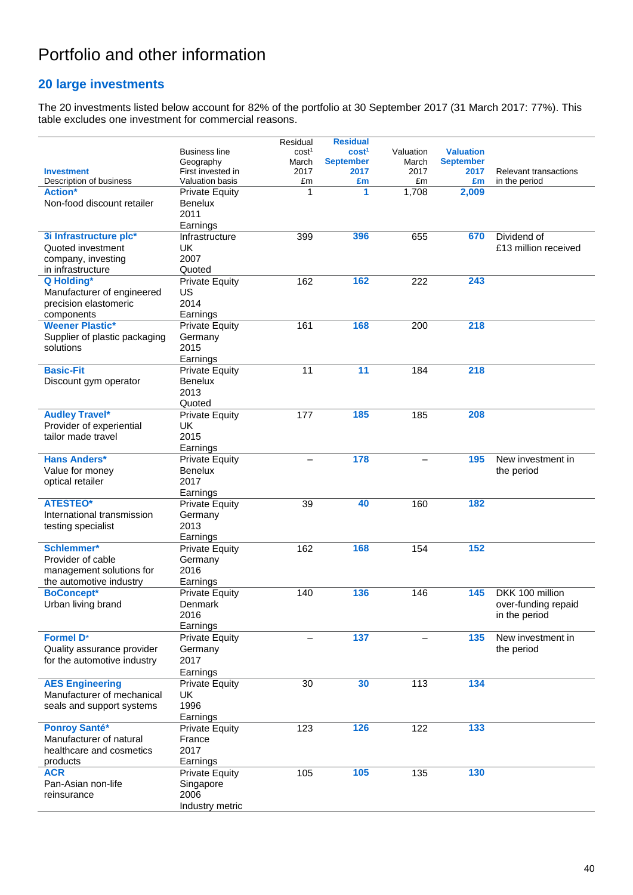# Portfolio and other information

## **20 large investments**

The 20 investments listed below account for 82% of the portfolio at 30 September 2017 (31 March 2017: 77%). This table excludes one investment for commercial reasons.

|                               |                        | Residual          | <b>Residual</b>   |           |                  |                              |
|-------------------------------|------------------------|-------------------|-------------------|-----------|------------------|------------------------------|
|                               | <b>Business line</b>   | cost <sup>1</sup> | cost <sup>1</sup> | Valuation | <b>Valuation</b> |                              |
|                               | Geography              | March             | <b>September</b>  | March     | <b>September</b> |                              |
| <b>Investment</b>             | First invested in      | 2017              | 2017              | 2017      | 2017             | <b>Relevant transactions</b> |
| Description of business       | <b>Valuation basis</b> | £m                | £m                | £m        | £m               | in the period                |
| <b>Action*</b>                | <b>Private Equity</b>  | 1                 | 1                 | 1,708     | 2,009            |                              |
| Non-food discount retailer    | <b>Benelux</b>         |                   |                   |           |                  |                              |
|                               | 2011                   |                   |                   |           |                  |                              |
|                               | Earnings               |                   |                   |           |                  |                              |
| 3i Infrastructure plc*        | Infrastructure         | 399               | 396               | 655       | 670              | Dividend of                  |
| Quoted investment             | UK                     |                   |                   |           |                  | £13 million received         |
| company, investing            | 2007                   |                   |                   |           |                  |                              |
| in infrastructure             | Quoted                 |                   |                   |           |                  |                              |
| Q Holding*                    | <b>Private Equity</b>  | 162               | 162               | 222       | 243              |                              |
| Manufacturer of engineered    | US                     |                   |                   |           |                  |                              |
| precision elastomeric         | 2014                   |                   |                   |           |                  |                              |
| components                    | Earnings               |                   |                   |           |                  |                              |
| <b>Weener Plastic*</b>        | <b>Private Equity</b>  | 161               | 168               | 200       | 218              |                              |
| Supplier of plastic packaging | Germany                |                   |                   |           |                  |                              |
| solutions                     | 2015                   |                   |                   |           |                  |                              |
|                               | Earnings               |                   |                   |           |                  |                              |
| <b>Basic-Fit</b>              | <b>Private Equity</b>  | 11                | 11                | 184       | 218              |                              |
| Discount gym operator         | <b>Benelux</b>         |                   |                   |           |                  |                              |
|                               | 2013                   |                   |                   |           |                  |                              |
|                               | Quoted                 |                   |                   |           |                  |                              |
| <b>Audley Travel*</b>         | <b>Private Equity</b>  | 177               | 185               | 185       | 208              |                              |
| Provider of experiential      | UK                     |                   |                   |           |                  |                              |
| tailor made travel            | 2015                   |                   |                   |           |                  |                              |
|                               | Earnings               |                   |                   |           |                  |                              |
| <b>Hans Anders*</b>           | <b>Private Equity</b>  |                   | 178               |           | 195              | New investment in            |
| Value for money               | <b>Benelux</b>         |                   |                   |           |                  | the period                   |
| optical retailer              | 2017                   |                   |                   |           |                  |                              |
|                               | Earnings               |                   |                   |           |                  |                              |
| <b>ATESTEO*</b>               | <b>Private Equity</b>  | 39                | 40                | 160       | 182              |                              |
| International transmission    | Germany                |                   |                   |           |                  |                              |
|                               | 2013                   |                   |                   |           |                  |                              |
| testing specialist            |                        |                   |                   |           |                  |                              |
| Schlemmer*                    | Earnings               |                   | 168               |           | 152              |                              |
|                               | <b>Private Equity</b>  | 162               |                   | 154       |                  |                              |
| Provider of cable             | Germany                |                   |                   |           |                  |                              |
| management solutions for      | 2016                   |                   |                   |           |                  |                              |
| the automotive industry       | Earnings               |                   |                   |           |                  |                              |
| <b>BoConcept*</b>             | <b>Private Equity</b>  | 140               | 136               | 146       | 145              | DKK 100 million              |
| Urban living brand            | Denmark                |                   |                   |           |                  | over-funding repaid          |
|                               | 2016                   |                   |                   |           |                  | in the period                |
|                               | Earnings               |                   |                   |           |                  |                              |
| <b>Formel D*</b>              | <b>Private Equity</b>  |                   | 137               |           | 135              | New investment in            |
| Quality assurance provider    | Germany                |                   |                   |           |                  | the period                   |
| for the automotive industry   | 2017                   |                   |                   |           |                  |                              |
|                               | Earnings               |                   |                   |           |                  |                              |
| <b>AES Engineering</b>        | <b>Private Equity</b>  | 30                | 30                | 113       | 134              |                              |
| Manufacturer of mechanical    | UK                     |                   |                   |           |                  |                              |
| seals and support systems     | 1996                   |                   |                   |           |                  |                              |
|                               | Earnings               |                   |                   |           |                  |                              |
| <b>Ponroy Santé*</b>          | <b>Private Equity</b>  | 123               | 126               | 122       | 133              |                              |
| Manufacturer of natural       | France                 |                   |                   |           |                  |                              |
| healthcare and cosmetics      | 2017                   |                   |                   |           |                  |                              |
| products                      | Earnings               |                   |                   |           |                  |                              |
| <b>ACR</b>                    | <b>Private Equity</b>  | 105               | 105               | 135       | 130              |                              |
| Pan-Asian non-life            | Singapore              |                   |                   |           |                  |                              |
| reinsurance                   | 2006                   |                   |                   |           |                  |                              |
|                               | Industry metric        |                   |                   |           |                  |                              |
|                               |                        |                   |                   |           |                  |                              |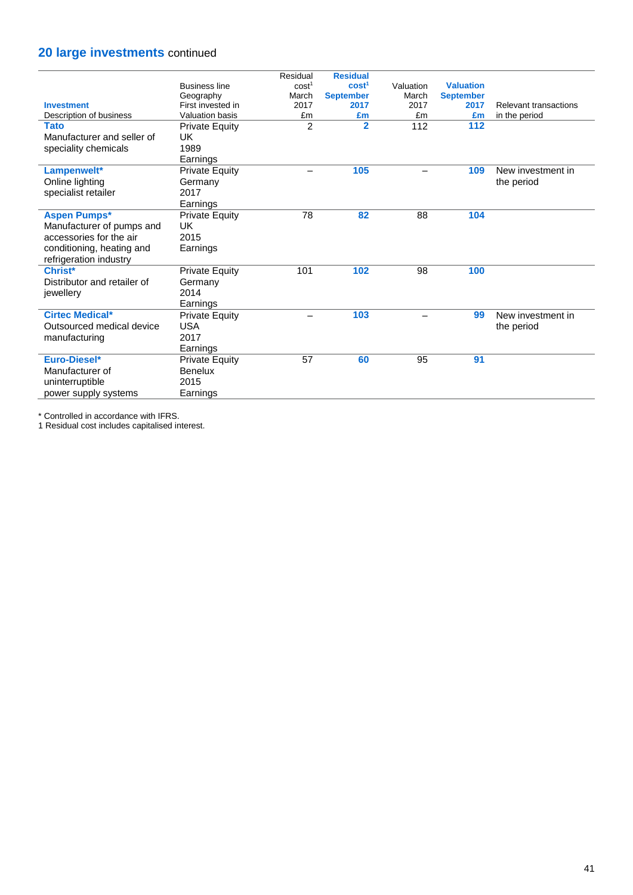## **20 large investments** continued

|                             |                        | Residual                 | <b>Residual</b>   |           |                  |                       |
|-----------------------------|------------------------|--------------------------|-------------------|-----------|------------------|-----------------------|
|                             | <b>Business line</b>   | cost <sup>1</sup>        | cost <sup>1</sup> | Valuation | <b>Valuation</b> |                       |
|                             | Geography              | March                    | <b>September</b>  | March     | <b>September</b> |                       |
| <b>Investment</b>           | First invested in      | 2017                     | 2017              | 2017      | 2017             | Relevant transactions |
| Description of business     | <b>Valuation basis</b> | £m                       | £m                | £m        | £m               | in the period         |
| <b>Tato</b>                 | <b>Private Equity</b>  | $\overline{2}$           | $\overline{2}$    | 112       | 112              |                       |
| Manufacturer and seller of  | UK                     |                          |                   |           |                  |                       |
| speciality chemicals        | 1989                   |                          |                   |           |                  |                       |
|                             | Earnings               |                          |                   |           |                  |                       |
| Lampenwelt*                 | <b>Private Equity</b>  | $\overline{\phantom{0}}$ | 105               |           | 109              | New investment in     |
| Online lighting             | Germany                |                          |                   |           |                  | the period            |
| specialist retailer         | 2017                   |                          |                   |           |                  |                       |
|                             | Earnings               |                          |                   |           |                  |                       |
| <b>Aspen Pumps*</b>         | <b>Private Equity</b>  | 78                       | 82                | 88        | 104              |                       |
| Manufacturer of pumps and   | UK                     |                          |                   |           |                  |                       |
| accessories for the air     | 2015                   |                          |                   |           |                  |                       |
| conditioning, heating and   | Earnings               |                          |                   |           |                  |                       |
| refrigeration industry      |                        |                          |                   |           |                  |                       |
| Christ*                     | <b>Private Equity</b>  | 101                      | 102               | 98        | 100              |                       |
| Distributor and retailer of | Germany                |                          |                   |           |                  |                       |
| jewellery                   | 2014                   |                          |                   |           |                  |                       |
|                             | Earnings               |                          |                   |           |                  |                       |
| <b>Cirtec Medical*</b>      | <b>Private Equity</b>  | $\overline{\phantom{0}}$ | 103               |           | 99               | New investment in     |
| Outsourced medical device   | <b>USA</b>             |                          |                   |           |                  | the period            |
| manufacturing               | 2017                   |                          |                   |           |                  |                       |
|                             | Earnings               |                          |                   |           |                  |                       |
| Euro-Diesel*                | <b>Private Equity</b>  | 57                       | 60                | 95        | 91               |                       |
| Manufacturer of             | <b>Benelux</b>         |                          |                   |           |                  |                       |
|                             |                        |                          |                   |           |                  |                       |
| uninterruptible             | 2015                   |                          |                   |           |                  |                       |
| power supply systems        | Earnings               |                          |                   |           |                  |                       |

\* Controlled in accordance with IFRS.

1 Residual cost includes capitalised interest.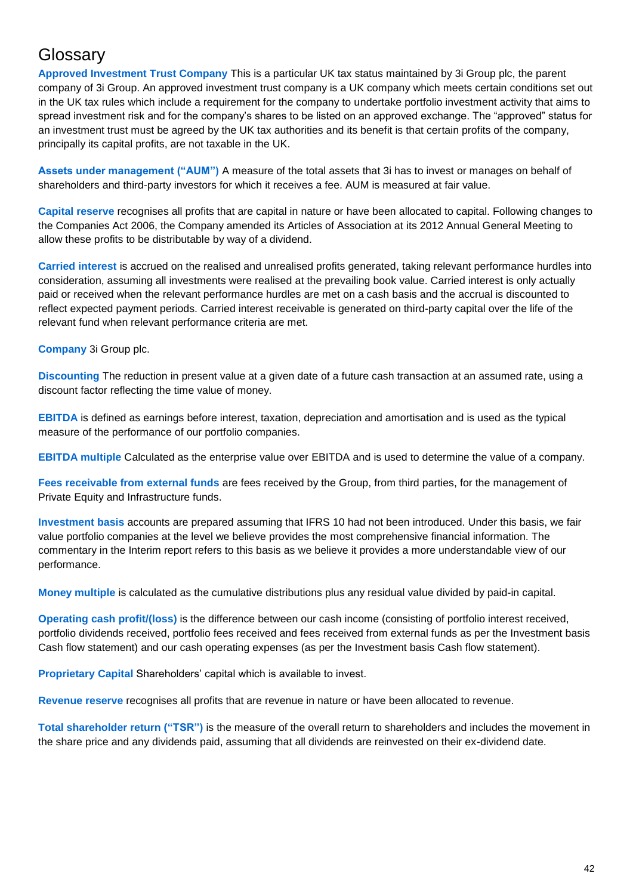## **Glossarv**

**Approved Investment Trust Company** This is a particular UK tax status maintained by 3i Group plc, the parent company of 3i Group. An approved investment trust company is a UK company which meets certain conditions set out in the UK tax rules which include a requirement for the company to undertake portfolio investment activity that aims to spread investment risk and for the company's shares to be listed on an approved exchange. The "approved" status for an investment trust must be agreed by the UK tax authorities and its benefit is that certain profits of the company, principally its capital profits, are not taxable in the UK.

**Assets under management ("AUM")** A measure of the total assets that 3i has to invest or manages on behalf of shareholders and third-party investors for which it receives a fee. AUM is measured at fair value.

**Capital reserve** recognises all profits that are capital in nature or have been allocated to capital. Following changes to the Companies Act 2006, the Company amended its Articles of Association at its 2012 Annual General Meeting to allow these profits to be distributable by way of a dividend.

**Carried interest** is accrued on the realised and unrealised profits generated, taking relevant performance hurdles into consideration, assuming all investments were realised at the prevailing book value. Carried interest is only actually paid or received when the relevant performance hurdles are met on a cash basis and the accrual is discounted to reflect expected payment periods. Carried interest receivable is generated on third-party capital over the life of the relevant fund when relevant performance criteria are met.

**Company** 3i Group plc.

**Discounting** The reduction in present value at a given date of a future cash transaction at an assumed rate, using a discount factor reflecting the time value of money.

**EBITDA** is defined as earnings before interest, taxation, depreciation and amortisation and is used as the typical measure of the performance of our portfolio companies.

**EBITDA multiple** Calculated as the enterprise value over EBITDA and is used to determine the value of a company.

**Fees receivable from external funds** are fees received by the Group, from third parties, for the management of Private Equity and Infrastructure funds.

**Investment basis** accounts are prepared assuming that IFRS 10 had not been introduced. Under this basis, we fair value portfolio companies at the level we believe provides the most comprehensive financial information. The commentary in the Interim report refers to this basis as we believe it provides a more understandable view of our performance.

**Money multiple** is calculated as the cumulative distributions plus any residual value divided by paid-in capital.

**Operating cash profit/(loss)** is the difference between our cash income (consisting of portfolio interest received, portfolio dividends received, portfolio fees received and fees received from external funds as per the Investment basis Cash flow statement) and our cash operating expenses (as per the Investment basis Cash flow statement).

**Proprietary Capital** Shareholders' capital which is available to invest.

**Revenue reserve** recognises all profits that are revenue in nature or have been allocated to revenue.

**Total shareholder return ("TSR")** is the measure of the overall return to shareholders and includes the movement in the share price and any dividends paid, assuming that all dividends are reinvested on their ex-dividend date.